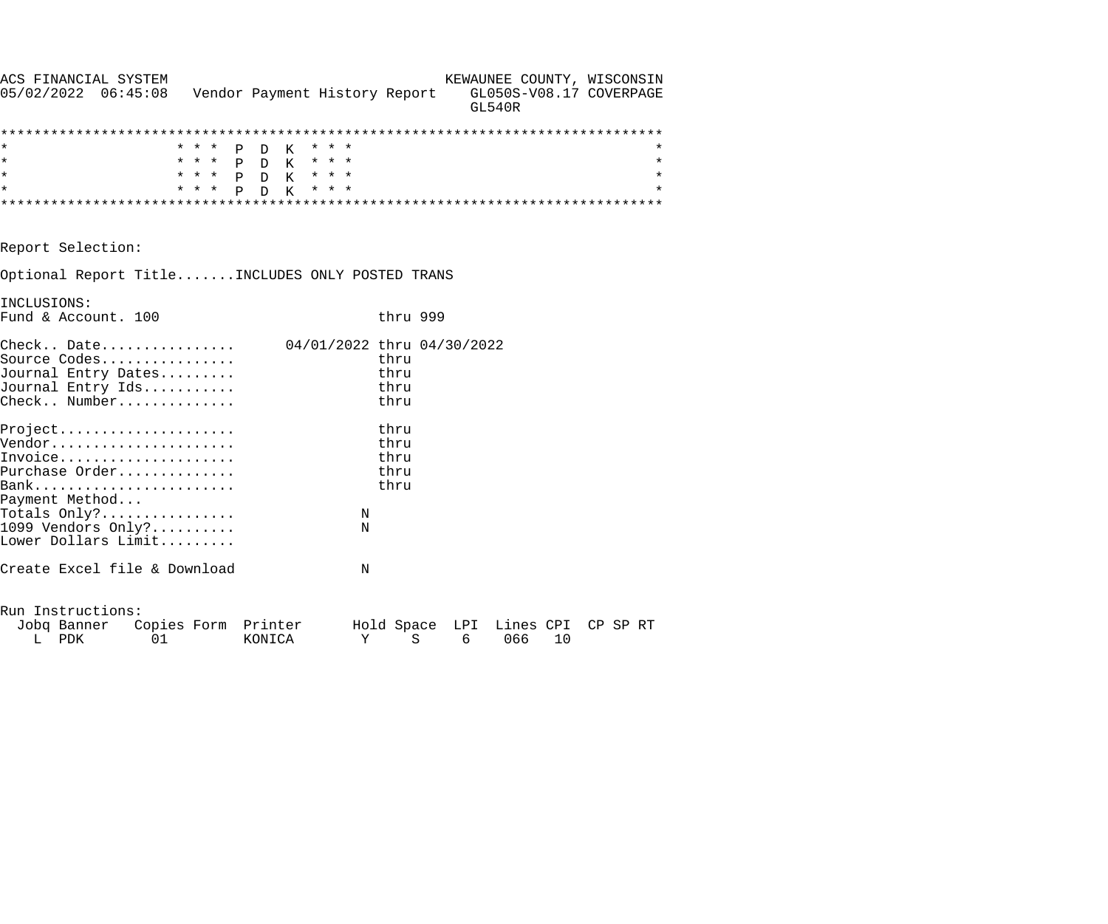| ACS FINANCIAL SYSTEM                                                  |       |                               |                            |          |               | KEWAUNEE COUNTY, WISCONSIN        |         |
|-----------------------------------------------------------------------|-------|-------------------------------|----------------------------|----------|---------------|-----------------------------------|---------|
| $05/02/2022$ $06:45:08$                                               |       | Vendor Payment History Report |                            |          | <b>GL540R</b> | GL050S-V08.17 COVERPAGE           |         |
|                                                                       |       |                               |                            |          |               |                                   |         |
|                                                                       |       | * * * P D K                   | * * *                      |          |               |                                   | $\star$ |
| $\star$                                                               |       | * * * P D K * * *             |                            |          |               |                                   | $\star$ |
| $\star$                                                               |       | * * * P D K * * *             |                            |          |               |                                   | $\star$ |
| $\star$                                                               | * * * | P D K                         | * * *                      |          |               |                                   | $\star$ |
|                                                                       |       |                               |                            |          |               |                                   |         |
| Report Selection:                                                     |       |                               |                            |          |               |                                   |         |
| Optional Report TitleINCLUDES ONLY POSTED TRANS                       |       |                               |                            |          |               |                                   |         |
| INCLUSIONS:                                                           |       |                               |                            |          |               |                                   |         |
| Fund & Account. 100                                                   |       |                               |                            | thru 999 |               |                                   |         |
| $\texttt{Check.}. \quad \texttt{Date.} \dots \dots \dots \dots \dots$ |       |                               | 04/01/2022 thru 04/30/2022 |          |               |                                   |         |
| Source Codes                                                          |       |                               |                            | thru     |               |                                   |         |
| Journal Entry Dates                                                   |       |                               |                            | thru     |               |                                   |         |
| Journal Entry Ids                                                     |       |                               |                            | thru     |               |                                   |         |
| Check Number                                                          |       |                               |                            | thru     |               |                                   |         |
| Project                                                               |       |                               |                            | thru     |               |                                   |         |
| Vendor                                                                |       |                               |                            | thru     |               |                                   |         |
| Invoice                                                               |       |                               |                            | thru     |               |                                   |         |
| Purchase Order                                                        |       |                               |                            | thru     |               |                                   |         |
|                                                                       |       |                               |                            | thru     |               |                                   |         |
| Payment Method                                                        |       |                               |                            |          |               |                                   |         |
| Totals $Only?$                                                        |       |                               | N                          |          |               |                                   |         |
| 1099 Vendors Only?                                                    |       |                               | N                          |          |               |                                   |         |
| Lower Dollars Limit                                                   |       |                               |                            |          |               |                                   |         |
| Create Excel file & Download                                          |       |                               | N                          |          |               |                                   |         |
| Run Instructions:                                                     |       |                               |                            |          |               |                                   |         |
| Jobq Banner Copies Form Printer                                       |       |                               |                            |          |               | Hold Space LPI Lines CPI CP SP RT |         |
| L PDK<br>01                                                           |       | KONICA                        | Υ                          | $\rm S$  | 6             | 10<br>066                         |         |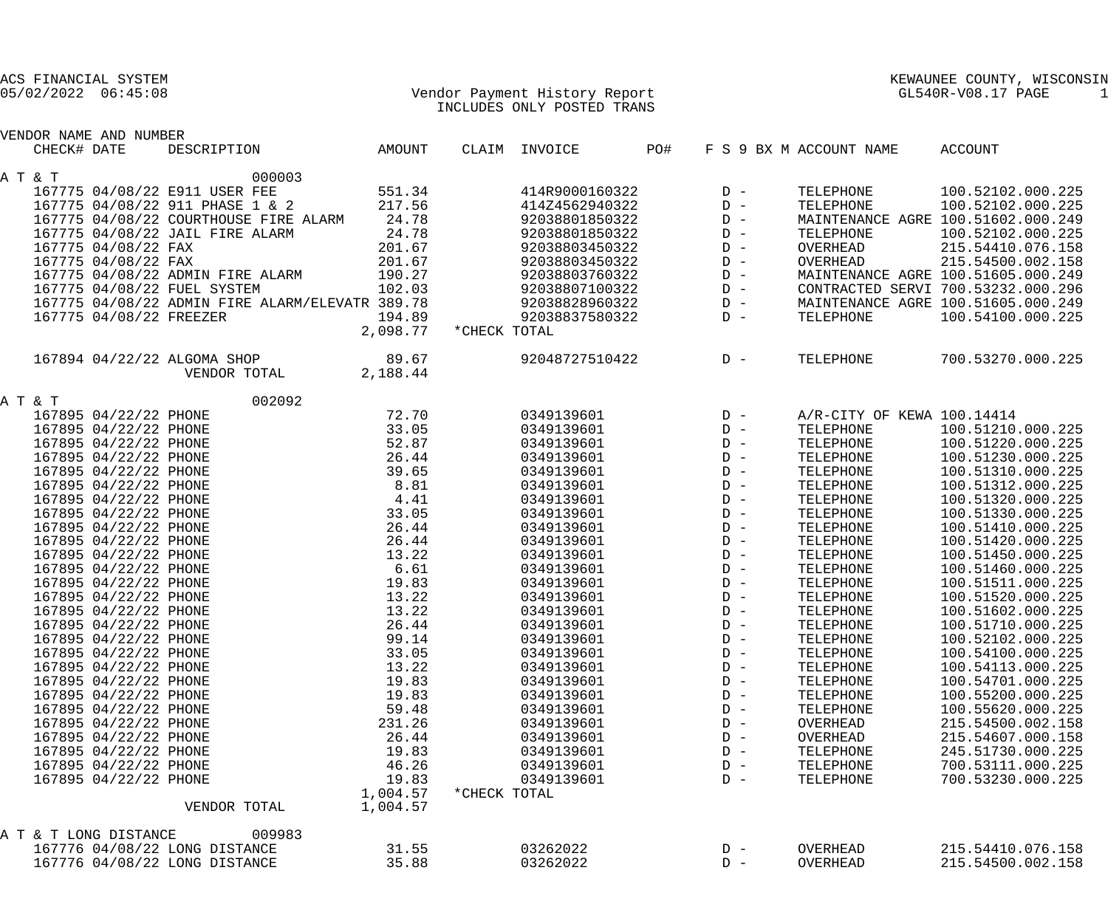|                         |             | ACS FINANCIAL SYSTEM    |                                                 |                               |              |                            |     |       |                            | KEWAUNEE COUNTY, WISCONSIN         |
|-------------------------|-------------|-------------------------|-------------------------------------------------|-------------------------------|--------------|----------------------------|-----|-------|----------------------------|------------------------------------|
| $05/02/2022$ $06:45:08$ |             |                         |                                                 | Vendor Payment History Report |              | GL540R-V08.17 PAGE<br>-1   |     |       |                            |                                    |
|                         |             |                         |                                                 |                               |              | INCLUDES ONLY POSTED TRANS |     |       |                            |                                    |
|                         |             | VENDOR NAME AND NUMBER  |                                                 |                               |              |                            |     |       |                            |                                    |
|                         | CHECK# DATE |                         | DESCRIPTION                                     | AMOUNT                        |              | CLAIM INVOICE              | PO# |       | F S 9 BX M ACCOUNT NAME    | ACCOUNT                            |
|                         | A T & T     |                         | 000003                                          |                               |              |                            |     |       |                            |                                    |
|                         |             |                         | 167775 04/08/22 E911 USER FEE                   | 551.34                        |              | 414R9000160322             |     | $D -$ | TELEPHONE                  | 100.52102.000.225                  |
|                         |             |                         | 167775 04/08/22 911 PHASE 1 & 2                 | 217.56                        |              | 414Z4562940322             |     | $D -$ | TELEPHONE                  | 100.52102.000.225                  |
|                         |             |                         | 167775 04/08/22 COURTHOUSE FIRE ALARM           | 24.78                         |              | 92038801850322             |     | $D -$ |                            | MAINTENANCE AGRE 100.51602.000.249 |
|                         |             |                         | 167775 04/08/22 JAIL FIRE ALARM                 | 24.78                         |              | 92038801850322             |     | $D -$ | TELEPHONE                  | 100.52102.000.225                  |
|                         |             | 167775 04/08/22 FAX     |                                                 | 201.67                        |              | 92038803450322             |     | $D -$ | OVERHEAD                   | 215.54410.076.158                  |
|                         |             | 167775 04/08/22 FAX     |                                                 | 201.67                        |              | 92038803450322             |     | $D -$ | OVERHEAD                   | 215.54500.002.158                  |
|                         |             |                         | 167775 04/08/22 ADMIN FIRE ALARM                | 190.27                        |              | 92038803760322             |     | $D -$ |                            | MAINTENANCE AGRE 100.51605.000.249 |
|                         |             |                         | 167775 04/08/22 FUEL SYSTEM                     | 102.03                        |              | 92038807100322             |     | $D -$ |                            | CONTRACTED SERVI 700.53232.000.296 |
|                         |             |                         | 167775 04/08/22 ADMIN FIRE ALARM/ELEVATR 389.78 |                               |              | 92038828960322             |     | $D -$ |                            | MAINTENANCE AGRE 100.51605.000.249 |
|                         |             | 167775 04/08/22 FREEZER |                                                 | 194.89                        |              | 92038837580322             |     | $D -$ | TELEPHONE                  | 100.54100.000.225                  |
|                         |             |                         |                                                 | 2,098.77                      | *CHECK TOTAL |                            |     |       |                            |                                    |
|                         |             |                         | 167894 04/22/22 ALGOMA SHOP                     | 89.67                         |              | 92048727510422             |     | $D -$ | TELEPHONE                  | 700.53270.000.225                  |
|                         |             |                         | VENDOR TOTAL                                    | 2,188.44                      |              |                            |     |       |                            |                                    |
|                         | A T & T     |                         | 002092                                          |                               |              |                            |     |       |                            |                                    |
|                         |             | 167895 04/22/22 PHONE   |                                                 | 72.70                         |              | 0349139601                 |     | $D -$ | A/R-CITY OF KEWA 100.14414 |                                    |
|                         |             | 167895 04/22/22 PHONE   |                                                 | 33.05                         |              | 0349139601                 |     | $D -$ | TELEPHONE                  | 100.51210.000.225                  |
|                         |             | 167895 04/22/22 PHONE   |                                                 | 52.87                         |              | 0349139601                 |     | $D -$ | TELEPHONE                  | 100.51220.000.225                  |
|                         |             | 167895 04/22/22 PHONE   |                                                 | 26.44                         |              | 0349139601                 |     | $D -$ | TELEPHONE                  | 100.51230.000.225                  |
|                         |             | 167895 04/22/22 PHONE   |                                                 | 39.65                         |              | 0349139601                 |     | $D -$ | TELEPHONE                  | 100.51310.000.225                  |
|                         |             | 167895 04/22/22 PHONE   |                                                 | 8.81                          |              | 0349139601                 |     | $D -$ | TELEPHONE                  | 100.51312.000.225                  |
|                         |             | 167895 04/22/22 PHONE   |                                                 | 4.41                          |              | 0349139601                 |     | $D -$ | TELEPHONE                  | 100.51320.000.225                  |
|                         |             | 167895 04/22/22 PHONE   |                                                 | 33.05                         |              | 0349139601                 |     | $D -$ | TELEPHONE                  | 100.51330.000.225                  |
|                         |             | 167895 04/22/22 PHONE   |                                                 | 26.44                         |              | 0349139601                 |     | $D -$ | TELEPHONE                  | 100.51410.000.225                  |
|                         |             | 167895 04/22/22 PHONE   |                                                 | 26.44                         |              | 0349139601                 |     | $D -$ | TELEPHONE                  | 100.51420.000.225                  |
|                         |             | 167895 04/22/22 PHONE   |                                                 | 13.22                         |              | 0349139601                 |     | $D -$ | TELEPHONE                  | 100.51450.000.225                  |
|                         |             | 167895 04/22/22 PHONE   |                                                 | 6.61                          |              | 0349139601                 |     | $D -$ | TELEPHONE                  | 100.51460.000.225                  |
|                         |             | 167895 04/22/22 PHONE   |                                                 | 19.83                         |              | 0349139601                 |     | $D -$ | TELEPHONE                  | 100.51511.000.225                  |
|                         |             | 167895 04/22/22 PHONE   |                                                 | 13.22                         |              | 0349139601                 |     | $D -$ | TELEPHONE                  | 100.51520.000.225                  |
|                         |             | 167895 04/22/22 PHONE   |                                                 | 13.22                         |              | 0349139601                 |     | $D -$ | TELEPHONE                  | 100.51602.000.225                  |
|                         |             | 167895 04/22/22 PHONE   |                                                 | 26.44                         |              | 0349139601                 |     | $D -$ | TELEPHONE                  | 100.51710.000.225                  |
|                         |             | 167895 04/22/22 PHONE   |                                                 | 99.14                         |              | 0349139601                 |     | $D -$ | TELEPHONE                  | 100.52102.000.225                  |
|                         |             | 167895 04/22/22 PHONE   |                                                 | 33.05                         |              | 0349139601                 |     | $D -$ | TELEPHONE                  | 100.54100.000.225                  |
|                         |             | 167895 04/22/22 PHONE   |                                                 | 13.22                         |              | 0349139601                 |     | $D -$ | TELEPHONE                  | 100.54113.000.225                  |
|                         |             | 167895 04/22/22 PHONE   |                                                 | 19.83                         |              | 0349139601                 |     | $D -$ | TELEPHONE                  | 100.54701.000.225                  |
|                         |             | 167895 04/22/22 PHONE   |                                                 | 19.83                         |              | 0349139601                 |     | $D -$ | TELEPHONE                  | 100.55200.000.225                  |
|                         |             | 167895 04/22/22 PHONE   |                                                 | 59.48                         |              | 0349139601                 |     | $D -$ | TELEPHONE                  | 100.55620.000.225                  |
|                         |             | 167895 04/22/22 PHONE   |                                                 | 231.26                        |              | 0349139601                 |     | $D -$ | OVERHEAD                   | 215.54500.002.158                  |
|                         |             | 167895 04/22/22 PHONE   |                                                 | 26.44                         |              | 0349139601                 |     | $D -$ | OVERHEAD                   | 215.54607.000.158                  |
|                         |             | 167895 04/22/22 PHONE   |                                                 | 19.83                         |              | 0349139601                 |     | $D -$ | TELEPHONE                  | 245.51730.000.225                  |
|                         |             | 167895 04/22/22 PHONE   |                                                 | 46.26                         |              | 0349139601                 |     | $D -$ | TELEPHONE                  | 700.53111.000.225                  |
|                         |             | 167895 04/22/22 PHONE   |                                                 | 19.83                         |              | 0349139601                 |     | $D -$ | TELEPHONE                  | 700.53230.000.225                  |
|                         |             |                         |                                                 | 1,004.57                      | *CHECK TOTAL |                            |     |       |                            |                                    |
|                         |             |                         | VENDOR TOTAL                                    | 1,004.57                      |              |                            |     |       |                            |                                    |
|                         |             | A T & T LONG DISTANCE   | 009983                                          |                               |              |                            |     |       |                            |                                    |
|                         |             |                         | 167776 04/08/22 LONG DISTANCE                   | 31.55                         |              | 03262022                   |     | $D -$ | OVERHEAD                   | 215.54410.076.158                  |
|                         |             |                         | 167776 04/08/22 LONG DISTANCE                   | 35.88                         |              | 03262022                   |     | $D -$ | OVERHEAD                   | 215.54500.002.158                  |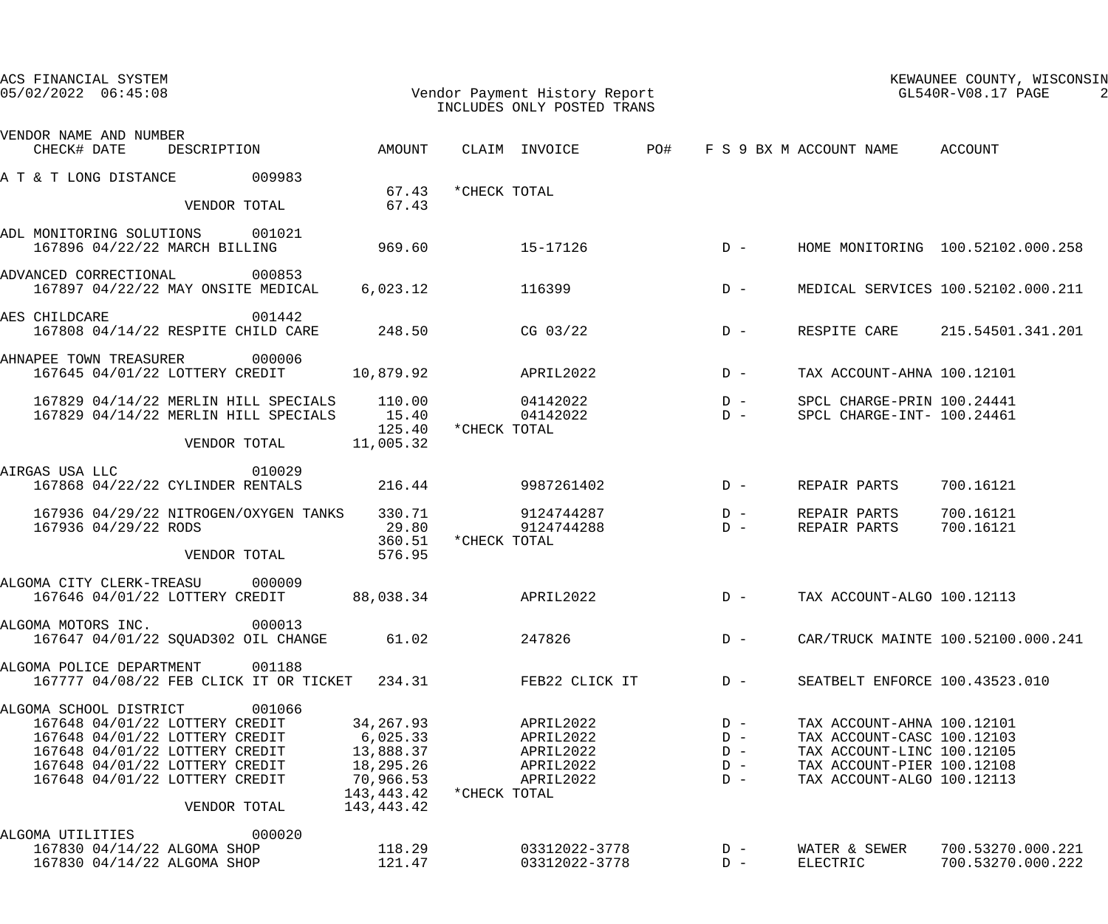| ACS FINANCIAL SYSTEM<br>$05/02/2022$ $06:45:08$                                                                                                                                                                     |                                                  | Vendor Payment History Report<br>INCLUDES ONLY POSTED TRANS   |                                           |                                                                                                                                                    | KEWAUNEE COUNTY, WISCONSIN<br>GL540R-V08.17 PAGE |  |
|---------------------------------------------------------------------------------------------------------------------------------------------------------------------------------------------------------------------|--------------------------------------------------|---------------------------------------------------------------|-------------------------------------------|----------------------------------------------------------------------------------------------------------------------------------------------------|--------------------------------------------------|--|
| VENDOR NAME AND NUMBER                                                                                                                                                                                              |                                                  |                                                               |                                           |                                                                                                                                                    |                                                  |  |
| DESCRIPTION AMOUNT<br>CHECK# DATE                                                                                                                                                                                   |                                                  | CLAIM INVOICE PO#                                             |                                           | F S 9 BX M ACCOUNT NAME ACCOUNT                                                                                                                    |                                                  |  |
| 009983<br>A T & T LONG DISTANCE                                                                                                                                                                                     | 67.43                                            | *CHECK TOTAL                                                  |                                           |                                                                                                                                                    |                                                  |  |
| VENDOR TOTAL                                                                                                                                                                                                        | 67.43                                            |                                                               |                                           |                                                                                                                                                    |                                                  |  |
| ADL MONITORING SOLUTIONS 001021<br>167896 04/22/22 MARCH BILLING                                                                                                                                                    | 969.60                                           | $15 - 17126$                                                  | $D -$                                     |                                                                                                                                                    | HOME MONITORING 100.52102.000.258                |  |
| 000853<br>ADVANCED CORRECTIONAL<br>167897 04/22/22 MAY ONSITE MEDICAL                                                                                                                                               | 6,023.12                                         | 116399                                                        | $D -$                                     |                                                                                                                                                    | MEDICAL SERVICES 100.52102.000.211               |  |
| 001442<br>AES CHILDCARE<br>167808 04/14/22 RESPITE CHILD CARE                                                                                                                                                       | 248.50                                           | CG 03/22                                                      | $D -$                                     | RESPITE CARE                                                                                                                                       | 215.54501.341.201                                |  |
| 000006<br>AHNAPEE TOWN TREASURER<br>167645 04/01/22 LOTTERY CREDIT                                                                                                                                                  | 10,879.92                                        | APRIL2022                                                     | $D -$                                     | TAX ACCOUNT-AHNA 100.12101                                                                                                                         |                                                  |  |
| 167829 04/14/22 MERLIN HILL SPECIALS<br>167829 04/14/22 MERLIN HILL SPECIALS                                                                                                                                        | 110.00<br>15.40<br>125.40                        | 04142022<br>04142022<br>*CHECK TOTAL                          | $D -$<br>$D -$                            | SPCL CHARGE-PRIN 100.24441<br>SPCL CHARGE-INT- 100.24461                                                                                           |                                                  |  |
| VENDOR TOTAL                                                                                                                                                                                                        | 11,005.32                                        |                                                               |                                           |                                                                                                                                                    |                                                  |  |
| 010029<br>AIRGAS USA LLC<br>167868 04/22/22 CYLINDER RENTALS                                                                                                                                                        | 216.44                                           | 9987261402                                                    | $D -$                                     | REPAIR PARTS                                                                                                                                       | 700.16121                                        |  |
| 167936 04/29/22 NITROGEN/OXYGEN TANKS<br>167936 04/29/22 RODS                                                                                                                                                       | 330.71<br>29.80<br>360.51                        | 9124744287<br>9124744288<br>*CHECK TOTAL                      | $D -$<br>$D -$                            | REPAIR PARTS<br>REPAIR PARTS                                                                                                                       | 700.16121<br>700.16121                           |  |
| VENDOR TOTAL                                                                                                                                                                                                        | 576.95                                           |                                                               |                                           |                                                                                                                                                    |                                                  |  |
| 000009<br>ALGOMA CITY CLERK-TREASU<br>167646 04/01/22 LOTTERY CREDIT                                                                                                                                                | 88,038.34                                        | APRIL2022                                                     |                                           | D - TAX ACCOUNT-ALGO 100.12113                                                                                                                     |                                                  |  |
| ALGOMA MOTORS INC. 000013<br>167647 04/01/22 SQUAD302 OIL CHANGE                                                                                                                                                    | 61.02                                            | 247826                                                        | $D -$                                     |                                                                                                                                                    | CAR/TRUCK MAINTE 100.52100.000.241               |  |
| ALGOMA POLICE DEPARTMENT<br>001188<br>167777 04/08/22 FEB CLICK IT OR TICKET 234.31                                                                                                                                 |                                                  | FEB22 CLICK IT                                                | $D -$                                     | SEATBELT ENFORCE 100.43523.010                                                                                                                     |                                                  |  |
| ALGOMA SCHOOL DISTRICT<br>001066<br>167648 04/01/22 LOTTERY CREDIT<br>167648 04/01/22 LOTTERY CREDIT 6,025.33<br>167648 04/01/22 LOTTERY CREDIT<br>167648 04/01/22 LOTTERY CREDIT<br>167648 04/01/22 LOTTERY CREDIT | 34,267.93<br>13,888.37<br>18,295.26<br>70,966.53 | APRIL2022<br>APRIL2022<br>APRIL2022<br>APRIL2022<br>APRIL2022 | $D -$<br>$D -$<br>$D -$<br>$D -$<br>$D -$ | TAX ACCOUNT-AHNA 100.12101<br>TAX ACCOUNT-CASC 100.12103<br>TAX ACCOUNT-LINC 100.12105<br>TAX ACCOUNT-PIER 100.12108<br>TAX ACCOUNT-ALGO 100.12113 |                                                  |  |
| VENDOR TOTAL                                                                                                                                                                                                        | 143,443.42                                       | 143,443.42 * CHECK TOTAL                                      |                                           |                                                                                                                                                    |                                                  |  |
| 000020<br>ALGOMA UTILITIES<br>167830 04/14/22 ALGOMA SHOP<br>167830 04/14/22 ALGOMA SHOP                                                                                                                            | 118.29<br>121.47                                 | 03312022-3778<br>03312022-3778                                | $D -$<br>$D -$                            | WATER & SEWER<br>ELECTRIC                                                                                                                          | 700.53270.000.221<br>700.53270.000.222           |  |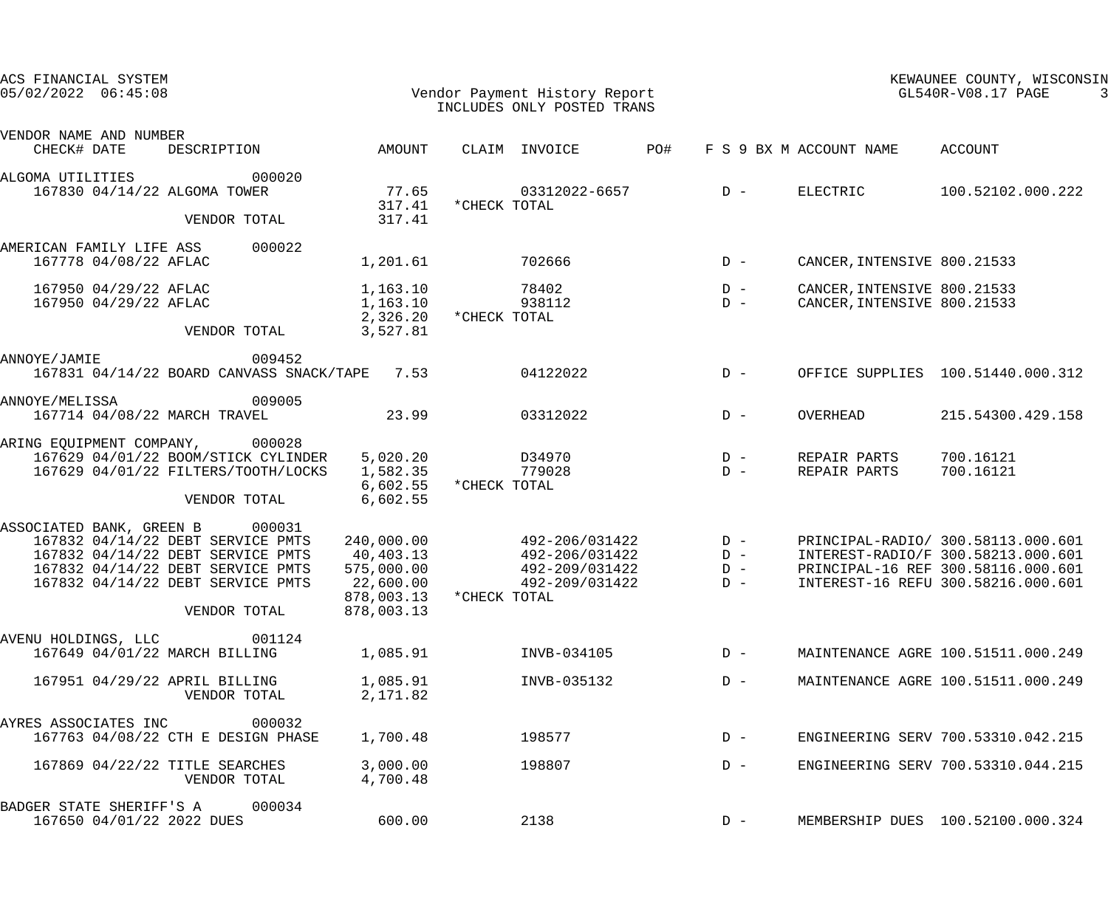| ACS FINANCIAL SYSTEM<br>$05/02/2022$ $06:45:08$       |                                                                                                                                                                  |                                                                                | Vendor Payment History Report<br>INCLUDES ONLY POSTED TRANS                             |                         |                                                            | KEWAUNEE COUNTY, WISCONSIN<br>GL540R-V08.17 PAGE                                                                                                     |
|-------------------------------------------------------|------------------------------------------------------------------------------------------------------------------------------------------------------------------|--------------------------------------------------------------------------------|-----------------------------------------------------------------------------------------|-------------------------|------------------------------------------------------------|------------------------------------------------------------------------------------------------------------------------------------------------------|
| VENDOR NAME AND NUMBER<br>CHECK# DATE                 | DESCRIPTION                                                                                                                                                      | AMOUNT                                                                         | CLAIM INVOICE                                                                           | PO#                     | F S 9 BX M ACCOUNT NAME                                    | ACCOUNT                                                                                                                                              |
| ALGOMA UTILITIES<br>167830 04/14/22 ALGOMA TOWER      | 000020<br>VENDOR TOTAL                                                                                                                                           | 77.65<br>317.41<br>317.41                                                      | 03312022-6657<br>*CHECK TOTAL                                                           | $D -$                   | ELECTRIC                                                   | 100.52102.000.222                                                                                                                                    |
| AMERICAN FAMILY LIFE ASS<br>167778 04/08/22 AFLAC     | 000022                                                                                                                                                           | 1,201.61                                                                       | 702666                                                                                  | $D -$                   | CANCER, INTENSIVE 800.21533                                |                                                                                                                                                      |
| 167950 04/29/22 AFLAC<br>167950 04/29/22 AFLAC        | VENDOR TOTAL                                                                                                                                                     | 1,163.10<br>1,163.10<br>3,527.81                                               | 78402<br>938112<br>2,326.20 * CHECK TOTAL                                               | $D -$<br>$D -$          | CANCER, INTENSIVE 800.21533<br>CANCER, INTENSIVE 800.21533 |                                                                                                                                                      |
| ANNOYE/JAMIE                                          | 009452<br>167831 04/14/22 BOARD CANVASS SNACK/TAPE 7.53                                                                                                          |                                                                                | 04122022                                                                                | $D -$                   |                                                            | OFFICE SUPPLIES 100.51440.000.312                                                                                                                    |
| ANNOYE/MELISSA<br>167714 04/08/22 MARCH TRAVEL        | 009005                                                                                                                                                           | 23.99                                                                          | 03312022                                                                                | $D -$                   | OVERHEAD                                                   | 215.54300.429.158                                                                                                                                    |
| ARING EQUIPMENT COMPANY, 000028                       | 167629 04/01/22 BOOM/STICK CYLINDER<br>167629 04/01/22 FILTERS/TOOTH/LOCKS<br>VENDOR TOTAL                                                                       | 5,020.20<br>1,582.35<br>6,602.55<br>6,602.55                                   | D34970<br>779028<br>*CHECK TOTAL                                                        | $D -$<br>$D -$          | REPAIR PARTS<br>REPAIR PARTS                               | 700.16121<br>700.16121                                                                                                                               |
| ASSOCIATED BANK, GREEN B 000031                       | 167832 04/14/22 DEBT SERVICE PMTS<br>167832 04/14/22 DEBT SERVICE PMTS<br>167832 04/14/22 DEBT SERVICE PMTS<br>167832 04/14/22 DEBT SERVICE PMTS<br>VENDOR TOTAL | 240,000.00<br>40,403.13<br>575,000.00<br>22,600.00<br>878,003.13<br>878,003.13 | 492-206/031422<br>492-206/031422 D-<br>492-209/031422<br>492-209/031422<br>*CHECK TOTAL | $D -$<br>$D -$<br>$D -$ |                                                            | PRINCIPAL-RADIO/ 300.58113.000.601<br>INTEREST-RADIO/F 300.58213.000.601<br>PRINCIPAL-16 REF 300.58116.000.601<br>INTEREST-16 REFU 300.58216.000.601 |
| AVENU HOLDINGS, LLC<br>167649 04/01/22 MARCH BILLING  | 001124                                                                                                                                                           | 1,085.91                                                                       | INVB-034105                                                                             | $D -$                   |                                                            | MAINTENANCE AGRE 100.51511.000.249                                                                                                                   |
| 167951 04/29/22 APRIL BILLING                         | VENDOR TOTAL                                                                                                                                                     | 1,085.91<br>2,171.82                                                           | INVB-035132                                                                             | $D -$                   |                                                            | MAINTENANCE AGRE 100.51511.000.249                                                                                                                   |
| AYRES ASSOCIATES INC                                  | 000032<br>167763 04/08/22 CTH E DESIGN PHASE                                                                                                                     | 1,700.48                                                                       | 198577                                                                                  | $D -$                   |                                                            | ENGINEERING SERV 700.53310.042.215                                                                                                                   |
|                                                       | 167869 04/22/22 TITLE SEARCHES<br>VENDOR TOTAL                                                                                                                   | 3,000.00<br>4,700.48                                                           | 198807                                                                                  | $D -$                   |                                                            | ENGINEERING SERV 700.53310.044.215                                                                                                                   |
| BADGER STATE SHERIFF'S A<br>167650 04/01/22 2022 DUES | 000034                                                                                                                                                           | 600.00                                                                         | 2138                                                                                    | $D -$                   |                                                            | MEMBERSHIP DUES 100.52100.000.324                                                                                                                    |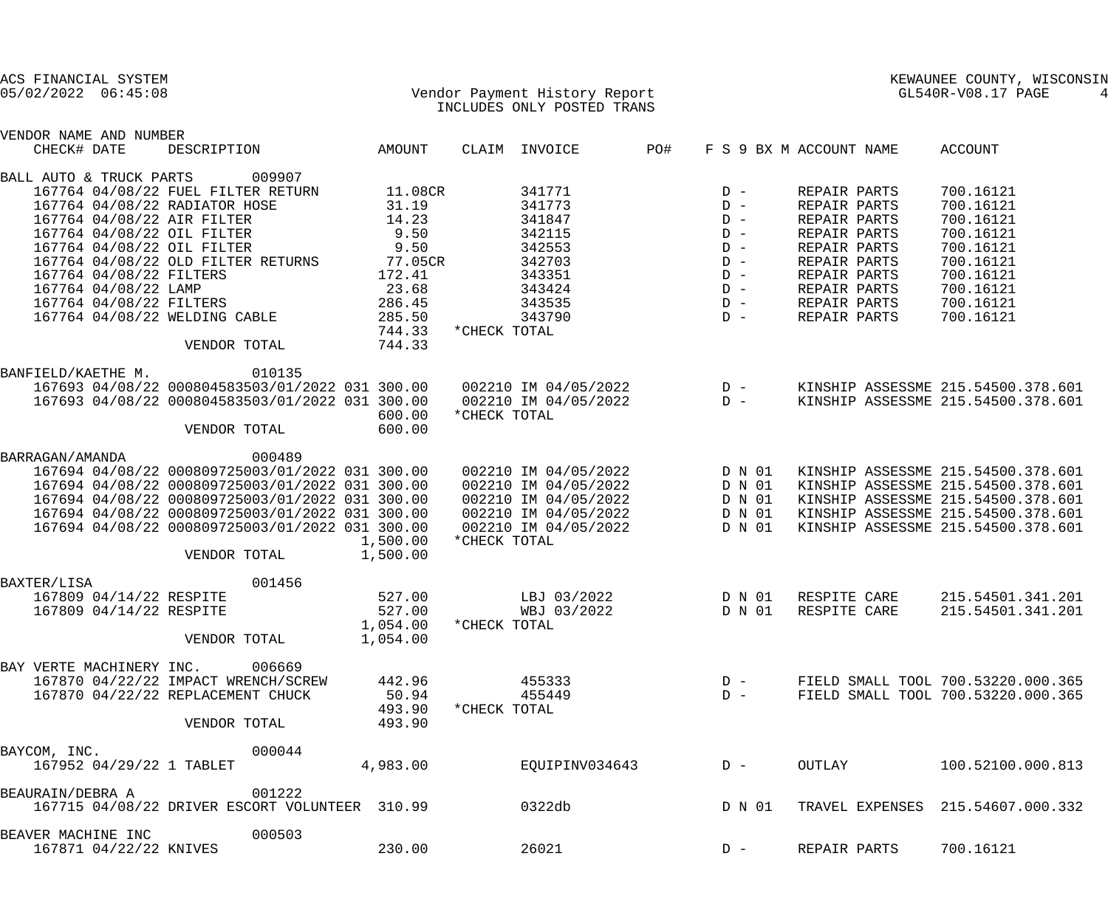| ACS FINANCIAL SYSTEM<br>$05/02/2022$ $06:45:08$                                                                                                                                                                                        |                                                                                                                                                                                                                                                                                       |                                                                                            | Vendor Payment History Report<br>INCLUDES ONLY POSTED TRANS                                                                                 |                                                                                        |                                                                                                                                                              | KEWAUNEE COUNTY, WISCONSIN<br>GL540R-V08.17 PAGE<br>4                                                                                                                                      |
|----------------------------------------------------------------------------------------------------------------------------------------------------------------------------------------------------------------------------------------|---------------------------------------------------------------------------------------------------------------------------------------------------------------------------------------------------------------------------------------------------------------------------------------|--------------------------------------------------------------------------------------------|---------------------------------------------------------------------------------------------------------------------------------------------|----------------------------------------------------------------------------------------|--------------------------------------------------------------------------------------------------------------------------------------------------------------|--------------------------------------------------------------------------------------------------------------------------------------------------------------------------------------------|
| VENDOR NAME AND NUMBER<br>CHECK# DATE                                                                                                                                                                                                  | DESCRIPTION                                                                                                                                                                                                                                                                           | AMOUNT                                                                                     | CLAIM INVOICE                                                                                                                               | PO#                                                                                    | F S 9 BX M ACCOUNT NAME                                                                                                                                      | ACCOUNT                                                                                                                                                                                    |
| BALL AUTO & TRUCK PARTS<br>167764 04/08/22 RADIATOR HOSE<br>167764 04/08/22 AIR FILTER<br>167764 04/08/22 OIL FILTER<br>167764 04/08/22 OIL FILTER<br>167764 04/08/22 FILTERS<br>167764 04/08/22 LAMP<br>167764 04/08/22 WELDING CABLE | 009907<br>167764 04/08/22 FUEL FILTER RETURN<br>167764 04/08/22 OLD FILTER RETURNS 77.05CR<br>167764 04/08/22 FILTERS                                                                                                                                                                 | 11.08CR<br>31.19<br>14.23<br>9.50<br>9.50<br>172.41<br>23.68<br>286.45<br>285.50<br>744.33 | 341771<br>341773<br>341847<br>342115<br>342553<br>342703<br>343351<br>343424<br>343535<br>343790<br>*CHECK TOTAL                            | $D -$<br>$D -$<br>$D -$<br>$D -$<br>$D -$<br>$D -$<br>$D -$<br>$D -$<br>$D -$<br>$D -$ | REPAIR PARTS<br>REPAIR PARTS<br>REPAIR PARTS<br>REPAIR PARTS<br>REPAIR PARTS<br>REPAIR PARTS<br>REPAIR PARTS<br>REPAIR PARTS<br>REPAIR PARTS<br>REPAIR PARTS | 700.16121<br>700.16121<br>700.16121<br>700.16121<br>700.16121<br>700.16121<br>700.16121<br>700.16121<br>700.16121<br>700.16121                                                             |
| BANFIELD/KAETHE M.                                                                                                                                                                                                                     | VENDOR TOTAL<br>010135<br>167693 04/08/22 000804583503/01/2022 031 300.00<br>167693 04/08/22 000804583503/01/2022 031 300.00<br>VENDOR TOTAL                                                                                                                                          | 744.33<br>600.00<br>600.00                                                                 | *CHECK TOTAL                                                                                                                                |                                                                                        |                                                                                                                                                              | KINSHIP ASSESSME 215.54500.378.601<br>KINSHIP ASSESSME 215.54500.378.601                                                                                                                   |
| BARRAGAN/AMANDA                                                                                                                                                                                                                        | 000489<br>167694 04/08/22 000809725003/01/2022 031 300.00<br>167694 04/08/22 000809725003/01/2022 031 300.00<br>167694 04/08/22 000809725003/01/2022 031 300.00<br>167694 04/08/22 000809725003/01/2022 031 300.00<br>167694 04/08/22 000809725003/01/2022 031 300.00<br>VENDOR TOTAL | 1,500.00<br>1,500.00                                                                       | 002210 IM 04/05/2022 D N 01<br>002210 IM 04/05/2022<br>002210 IM 04/05/2022<br>002210 IM 04/05/2022<br>002210 IM 04/05/2022<br>*CHECK TOTAL | D N 01<br>D N 01<br>D N 01<br>D N 01                                                   |                                                                                                                                                              | KINSHIP ASSESSME 215.54500.378.601<br>KINSHIP ASSESSME 215.54500.378.601<br>KINSHIP ASSESSME 215.54500.378.601<br>KINSHIP ASSESSME 215.54500.378.601<br>KINSHIP ASSESSME 215.54500.378.601 |
| BAXTER/LISA<br>167809 04/14/22 RESPITE<br>167809 04/14/22 RESPITE                                                                                                                                                                      | 001456<br>VENDOR TOTAL                                                                                                                                                                                                                                                                | 527.00<br>527.00<br>1,054.00<br>1,054.00                                                   | LBJ 03/2022<br>WBJ 03/2022<br>*CHECK TOTAL                                                                                                  | D N 01<br>D N 01                                                                       | RESPITE CARE<br>RESPITE CARE                                                                                                                                 | 215.54501.341.201<br>215.54501.341.201                                                                                                                                                     |
| BAY VERTE MACHINERY INC. 006669                                                                                                                                                                                                        | 167870 04/22/22 IMPACT WRENCH/SCREW<br>167870 04/22/22 REPLACEMENT CHUCK<br>VENDOR TOTAL                                                                                                                                                                                              | 442.96<br>50.94<br>493.90<br>493.90                                                        | 455333<br>455449<br>*CHECK TOTAL                                                                                                            | $D -$<br>$D -$                                                                         |                                                                                                                                                              | FIELD SMALL TOOL 700.53220.000.365<br>FIELD SMALL TOOL 700.53220.000.365                                                                                                                   |
| BAYCOM, INC.<br>167952 04/29/22 1 TABLET                                                                                                                                                                                               | 000044                                                                                                                                                                                                                                                                                | 4,983.00                                                                                   | EQUIPINV034643                                                                                                                              | $D -$                                                                                  | OUTLAY                                                                                                                                                       | 100.52100.000.813                                                                                                                                                                          |
| BEAURAIN/DEBRA A                                                                                                                                                                                                                       | 001222<br>167715 04/08/22 DRIVER ESCORT VOLUNTEER 310.99                                                                                                                                                                                                                              |                                                                                            | 0322db                                                                                                                                      | D N 01                                                                                 |                                                                                                                                                              | TRAVEL EXPENSES 215.54607.000.332                                                                                                                                                          |
| BEAVER MACHINE INC<br>167871 04/22/22 KNIVES                                                                                                                                                                                           | 000503                                                                                                                                                                                                                                                                                | 230.00                                                                                     | 26021                                                                                                                                       | $D -$                                                                                  | REPAIR PARTS                                                                                                                                                 | 700.16121                                                                                                                                                                                  |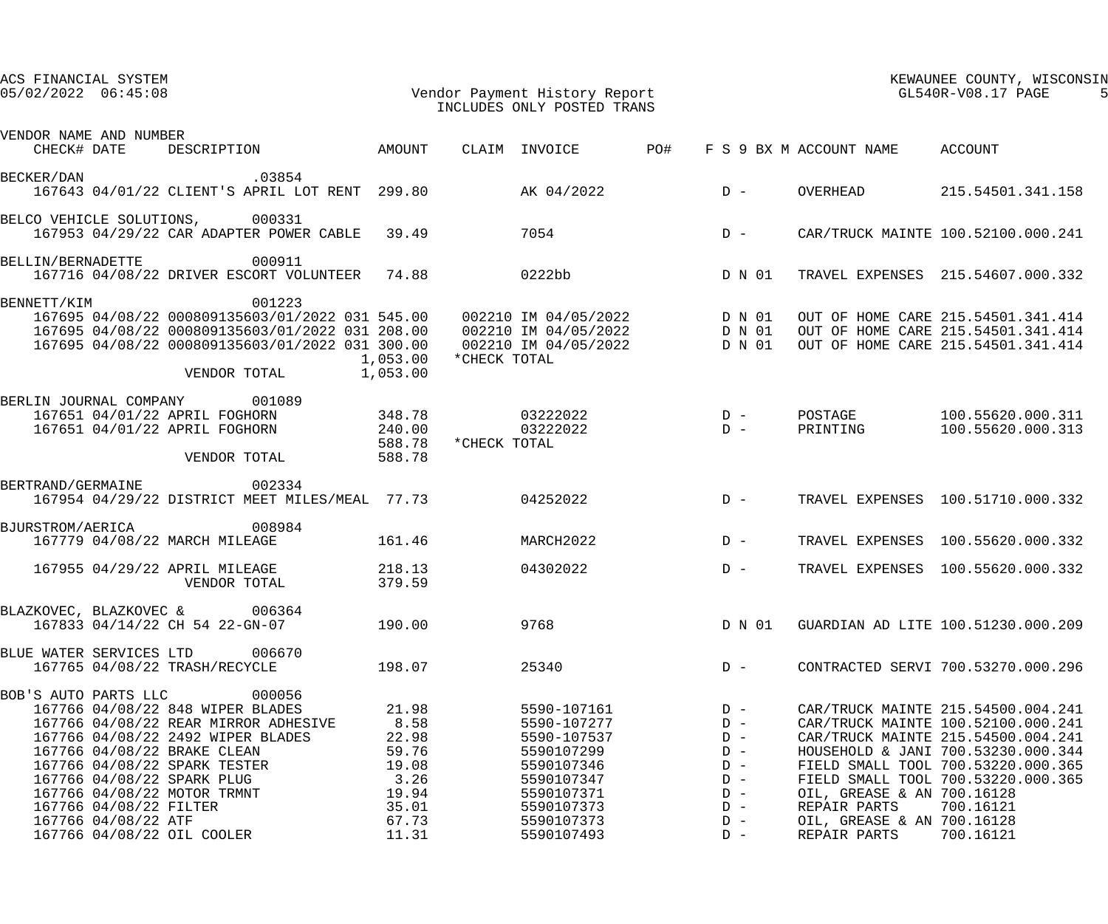| ACS FINANCIAL SYSTEM<br>$05/02/2022$ $06:45:08$                                                                                                                                                                                                                                                       |                                                                    | Vendor Payment History Report<br>INCLUDES ONLY POSTED TRANS                                                     |  | KEWAUNEE COUNTY, WISCONSIN<br>GL540R-V08.17 PAGE                     |                                            |                                                                                                                                                                                                                                               |  |
|-------------------------------------------------------------------------------------------------------------------------------------------------------------------------------------------------------------------------------------------------------------------------------------------------------|--------------------------------------------------------------------|-----------------------------------------------------------------------------------------------------------------|--|----------------------------------------------------------------------|--------------------------------------------|-----------------------------------------------------------------------------------------------------------------------------------------------------------------------------------------------------------------------------------------------|--|
| VENDOR NAME AND NUMBER<br>CHECK# DATE DESCRIPTION AMOUNT                                                                                                                                                                                                                                              |                                                                    | CLAIM INVOICE PO#                                                                                               |  |                                                                      | F S 9 BX M ACCOUNT NAME ACCOUNT            |                                                                                                                                                                                                                                               |  |
| .03854<br>BECKER/DAN<br>167643 04/01/22 CLIENT'S APRIL LOT RENT 299.80 AK 04/2022                                                                                                                                                                                                                     |                                                                    |                                                                                                                 |  | $D -$                                                                | OVERHEAD                                   | 215.54501.341.158                                                                                                                                                                                                                             |  |
| BELCO VEHICLE SOLUTIONS, 000331<br>167953 04/29/22 CAR ADAPTER POWER CABLE 39.49                                                                                                                                                                                                                      |                                                                    | 7054                                                                                                            |  | $D -$                                                                |                                            | CAR/TRUCK MAINTE 100.52100.000.241                                                                                                                                                                                                            |  |
| BELLIN/BERNADETTE 000911<br>167716 04/08/22 DRIVER ESCORT VOLUNTEER 74.88                                                                                                                                                                                                                             |                                                                    | 0222bb                                                                                                          |  | D N 01                                                               |                                            | TRAVEL EXPENSES 215.54607.000.332                                                                                                                                                                                                             |  |
| 001223<br>BENNETT/KIM<br>167695 04/08/22 000809135603/01/2022 031 545.00 002210 IM 04/05/2022 D N 01<br>167695 04/08/22 000809135603/01/2022 031 208.00 002210 IM 04/05/2022 D N 01<br>167695 04/08/22 000809135603/01/2022 031 300.00 002210 IM 04/05/2022 D<br>VENDOR TOTAL                         | 1,053.00<br>1,053.00                                               | *CHECK TOTAL                                                                                                    |  |                                                                      |                                            | OUT OF HOME CARE 215.54501.341.414<br>OUT OF HOME CARE 215.54501.341.414<br>OUT OF HOME CARE 215.54501.341.414                                                                                                                                |  |
| BERLIN JOURNAL COMPANY 001089<br>167651 04/01/22 APRIL FOGHORN<br>167651 04/01/22 APRIL FOGHORN<br>VENDOR TOTAL                                                                                                                                                                                       | 348.78<br>240.00<br>588.78<br>588.78                               | 03222022<br>03222022<br>*CHECK TOTAL                                                                            |  | $D -$<br>$D -$                                                       | PRINTING                                   | POSTAGE 100.55620.000.311<br>100.55620.000.313                                                                                                                                                                                                |  |
| BERTRAND/GERMAINE 002334<br>167954 04/29/22 DISTRICT MEET MILES/MEAL 77.73                                                                                                                                                                                                                            |                                                                    | 04252022                                                                                                        |  | $D -$                                                                |                                            | TRAVEL EXPENSES 100.51710.000.332                                                                                                                                                                                                             |  |
| 008984<br>BJURSTROM/AERICA<br>167779 04/08/22 MARCH MILEAGE                                                                                                                                                                                                                                           | 161.46                                                             | MARCH2022                                                                                                       |  | $D -$                                                                |                                            | TRAVEL EXPENSES 100.55620.000.332                                                                                                                                                                                                             |  |
| 167955 04/29/22 APRIL MILEAGE<br>VENDOR TOTAL                                                                                                                                                                                                                                                         | 218.13<br>379.59                                                   | 04302022                                                                                                        |  | $D -$                                                                |                                            | TRAVEL EXPENSES 100.55620.000.332                                                                                                                                                                                                             |  |
| BLAZKOVEC, BLAZKOVEC &<br>006364<br>167833 04/14/22 CH 54 22-GN-07                                                                                                                                                                                                                                    | 190.00                                                             | 9768                                                                                                            |  | D N 01                                                               |                                            | GUARDIAN AD LITE 100.51230.000.209                                                                                                                                                                                                            |  |
| BLUE WATER SERVICES LTD<br>006670<br>167765 04/08/22 TRASH/RECYCLE                                                                                                                                                                                                                                    | 198.07                                                             | 25340                                                                                                           |  | $D -$                                                                |                                            | CONTRACTED SERVI 700.53270.000.296                                                                                                                                                                                                            |  |
| 000056<br>BOB'S AUTO PARTS LLC<br>167766 04/08/22 848 WIPER BLADES<br>167766 04/08/22 REAR MIRROR ADHESIVE<br>167766 04/08/22 2492 WIPER BLADES<br>167766 04/08/22 BRAKE CLEAN<br>167766 04/08/22 SPARK TESTER<br>167766 04/08/22 SPARK PLUG<br>167766 04/08/22 MOTOR TRMNT<br>167766 04/08/22 FILTER | 21.98<br>8.58<br>22.98<br>59.76<br>19.08<br>3.26<br>19.94<br>35.01 | 5590-107161<br>5590-107277<br>5590-107537<br>5590107299<br>5590107346<br>5590107347<br>5590107371<br>5590107373 |  | $D -$<br>$D -$<br>$D -$<br>$D -$<br>$D -$<br>$D -$<br>$D -$<br>$D -$ | OIL, GREASE & AN 700.16128<br>REPAIR PARTS | CAR/TRUCK MAINTE 215.54500.004.241<br>CAR/TRUCK MAINTE 100.52100.000.241<br>CAR/TRUCK MAINTE 215.54500.004.241<br>HOUSEHOLD & JANI 700.53230.000.344<br>FIELD SMALL TOOL 700.53220.000.365<br>FIELD SMALL TOOL 700.53220.000.365<br>700.16121 |  |
| 167766 04/08/22 ATF<br>167766 04/08/22 OIL COOLER                                                                                                                                                                                                                                                     | 67.73<br>11.31                                                     | 5590107373<br>5590107493                                                                                        |  | $D -$<br>$D -$                                                       | OIL, GREASE & AN 700.16128<br>REPAIR PARTS | 700.16121                                                                                                                                                                                                                                     |  |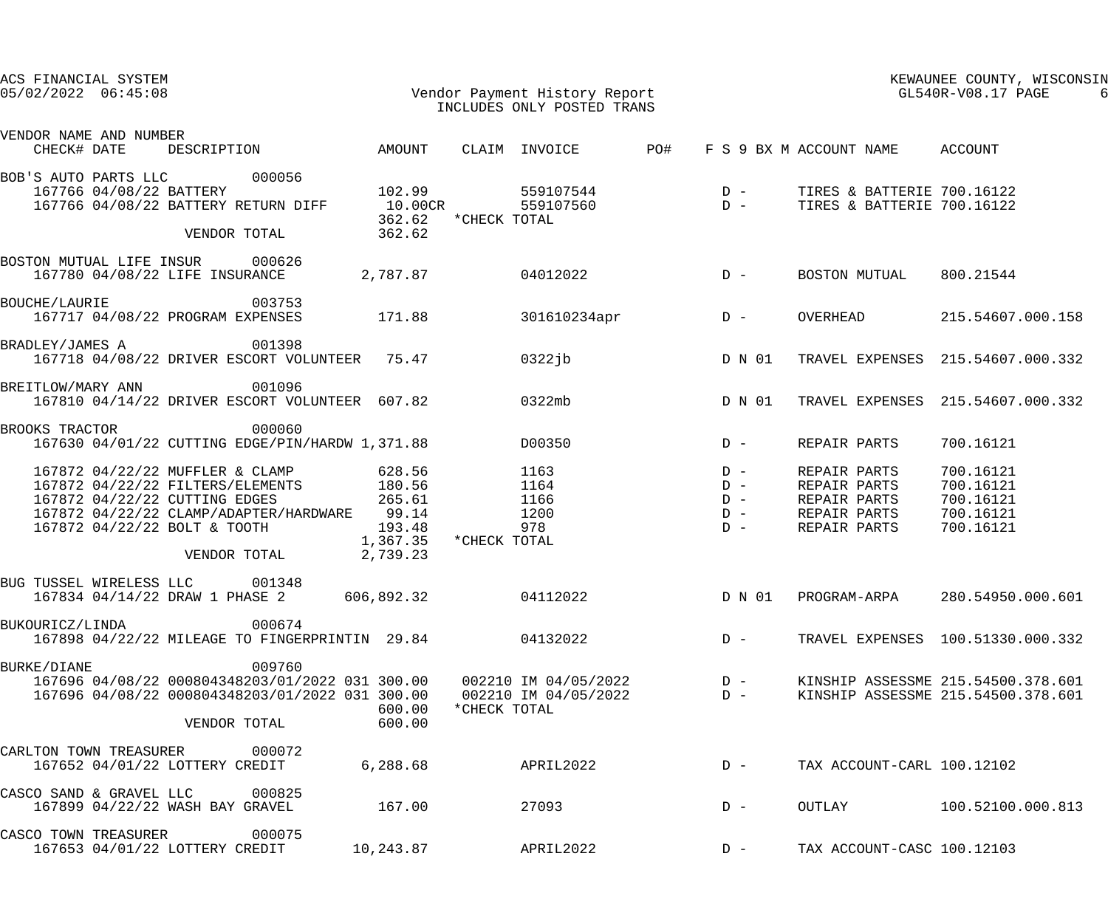| ACS FINANCIAL SYSTEM<br>$05/02/2022$ $06:45:08$                  | Vendor Payment History Report<br>TNCLUDES ONLY POSTED TRANS                                                                                                                       |                                                       |                      | INCLUDES ONLY POSTED TRANS          |        |                                                                              | KEWAUNEE COUNTY, WISCONSIN<br>GL540R-V08.17 PAGE                         |
|------------------------------------------------------------------|-----------------------------------------------------------------------------------------------------------------------------------------------------------------------------------|-------------------------------------------------------|----------------------|-------------------------------------|--------|------------------------------------------------------------------------------|--------------------------------------------------------------------------|
| VENDOR NAME AND NUMBER<br>CHECK# DATE                            | DESCRIPTION AMOUNT                                                                                                                                                                |                                                       |                      | CLAIM INVOICE PO#                   |        | F S 9 BX M ACCOUNT NAME ACCOUNT                                              |                                                                          |
| BOB'S AUTO PARTS LLC 000056<br>167766 04/08/22 BATTERY           | 167766 04/08/22 BATTERY RETURN DIFF<br>VENDOR TOTAL                                                                                                                               | 102.99<br>10.00CR<br>362.62                           | 362.62 * CHECK TOTAL |                                     |        |                                                                              |                                                                          |
| BOSTON MUTUAL LIFE INSUR 000626                                  | 167780 04/08/22 LIFE INSURANCE                                                                                                                                                    | 2,787.87 04012022                                     |                      |                                     | $D -$  | BOSTON MUTUAL                                                                | 800.21544                                                                |
| <b>BOUCHE/LAURIE</b>                                             | 003753<br>167717 04/08/22 PROGRAM EXPENSES                                                                                                                                        | 171.88                                                |                      | 301610234apr                        | $D -$  | OVERHEAD                                                                     | 215.54607.000.158                                                        |
| BRADLEY/JAMES A                                                  | 001398<br>167718 04/08/22 DRIVER ESCORT VOLUNTEER 75.47                                                                                                                           |                                                       |                      | 0322jb                              | D N 01 |                                                                              | TRAVEL EXPENSES 215.54607.000.332                                        |
| BREITLOW/MARY ANN 001096                                         | 167810 04/14/22 DRIVER ESCORT VOLUNTEER 607.82                                                                                                                                    |                                                       | 0322mb               |                                     | D N 01 |                                                                              | TRAVEL EXPENSES 215.54607.000.332                                        |
| BROOKS TRACTOR                                                   | 000060<br>167630 04/01/22 CUTTING EDGE/PIN/HARDW 1,371.88                                                                                                                         |                                                       |                      | D00350                              | $D -$  | REPAIR PARTS                                                                 | 700.16121                                                                |
| 167872 04/22/22 CUTTING EDGES                                    | 167872 04/22/22 MUFFLER & CLAMP 628.56<br>167872 04/22/22 FILTERS/ELEMENTS 180.56<br>167872 04/22/22 CLAMP/ADAPTER/HARDWARE 99.14<br>167872 04/22/22 BOLT & TOOTH<br>VENDOR TOTAL | 265.61<br>193.48<br>1,367.35 *CHECK TOTAL<br>2,739.23 |                      | 1163<br>1164<br>1166<br>1200<br>978 |        | REPAIR PARTS<br>REPAIR PARTS<br>REPAIR PARTS<br>REPAIR PARTS<br>REPAIR PARTS | 700.16121<br>700.16121<br>700.16121<br>700.16121<br>700.16121            |
| BUG TUSSEL WIRELESS LLC 001348<br>167834 04/14/22 DRAW 1 PHASE 2 |                                                                                                                                                                                   | 606,892.32                                            |                      | 04112022                            | D N 01 | PROGRAM-ARPA                                                                 | 280.54950.000.601                                                        |
| BUKOURICZ/LINDA                                                  | 000674<br>167898 04/22/22 MILEAGE TO FINGERPRINTIN 29.84                                                                                                                          |                                                       |                      | 04132022                            | $D -$  |                                                                              | TRAVEL EXPENSES 100.51330.000.332                                        |
| <b>BURKE/DIANE</b>                                               | 009760<br>167696 04/08/22 000804348203/01/2022 031 300.00<br>167696 04/08/22 000804348203/01/2022 031 300.00  002210 IM 04/05/2022<br>VENDOR TOTAL                                | 600.00<br>600.00                                      | *CHECK TOTAL         | 002210 IM 04/05/2022 D -            | $D -$  |                                                                              | KINSHIP ASSESSME 215.54500.378.601<br>KINSHIP ASSESSME 215.54500.378.601 |
| CARLTON TOWN TREASURER<br>167652 04/01/22 LOTTERY CREDIT         | 000072                                                                                                                                                                            | 6,288.68                                              |                      | APRIL2022                           | $D -$  | TAX ACCOUNT-CARL 100.12102                                                   |                                                                          |
| CASCO SAND & GRAVEL LLC<br>167899 04/22/22 WASH BAY GRAVEL       | 000825                                                                                                                                                                            | 167.00                                                |                      | 27093                               | $D -$  | OUTLAY                                                                       | 100.52100.000.813                                                        |
| CASCO TOWN TREASURER<br>167653 04/01/22 LOTTERY CREDIT           | 000075                                                                                                                                                                            | 10,243.87                                             |                      | APRIL2022                           | $D -$  | TAX ACCOUNT-CASC 100.12103                                                   |                                                                          |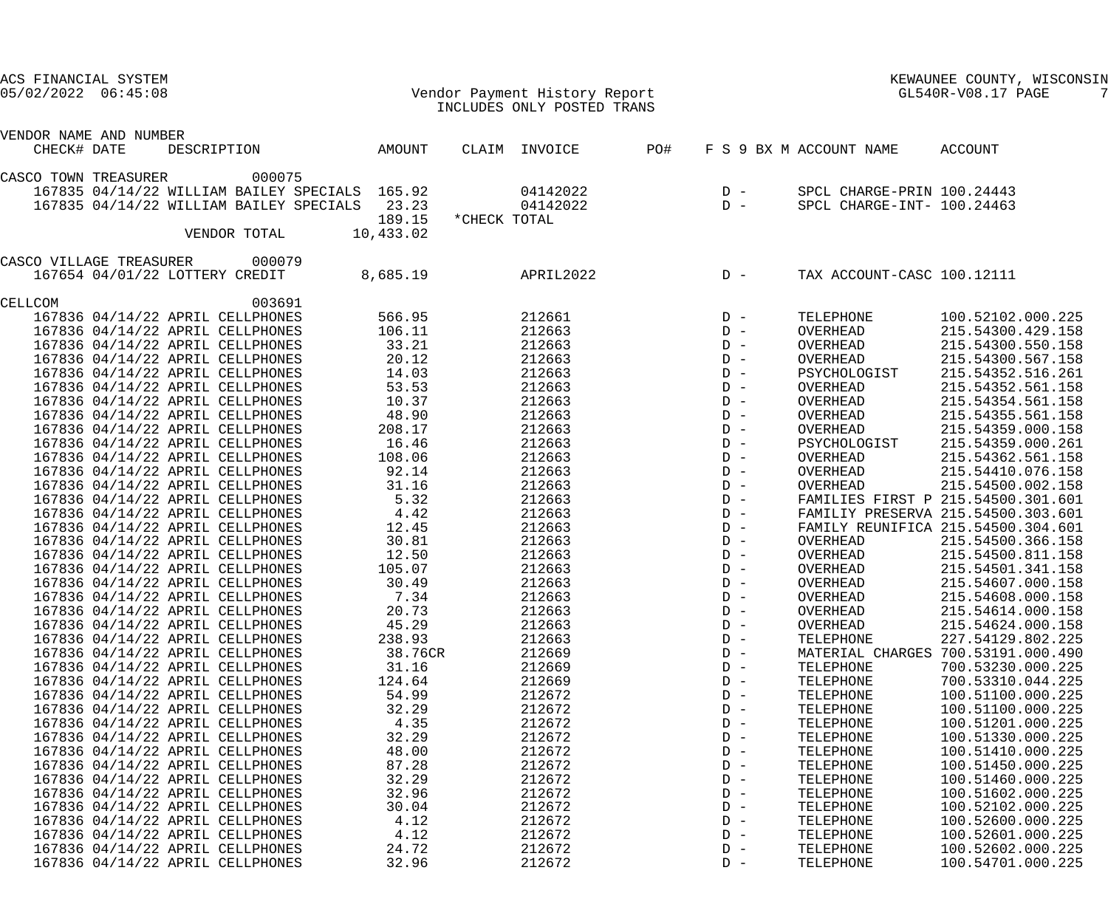| ACS FINANCIAL SYSTEM<br>$05/02/2022$ $06:45:08$ |                                                                                           |           | Vendor Payment History Report<br>INCLUDES ONLY POSTED TRANS |     |       |                            | KEWAUNEE COUNTY, WISCONSIN<br>GL540R-V08.17 PAGE |
|-------------------------------------------------|-------------------------------------------------------------------------------------------|-----------|-------------------------------------------------------------|-----|-------|----------------------------|--------------------------------------------------|
|                                                 |                                                                                           |           |                                                             |     |       |                            |                                                  |
| VENDOR NAME AND NUMBER<br>CHECK# DATE           | DESCRIPTION                                                                               | AMOUNT    | CLAIM INVOICE                                               | PO# |       | F S 9 BX M ACCOUNT NAME    | ACCOUNT                                          |
|                                                 |                                                                                           |           |                                                             |     |       |                            |                                                  |
| CASCO TOWN TREASURER                            | 000075                                                                                    |           | 04142022                                                    |     | $D -$ | SPCL CHARGE-PRIN 100.24443 |                                                  |
|                                                 | 167835 04/14/22 WILLIAM BAILEY SPECIALS 165.92<br>167835 04/14/22 WILLIAM BAILEY SPECIALS | 23.23     | 04142022                                                    |     | $D -$ | SPCL CHARGE-INT- 100.24463 |                                                  |
|                                                 |                                                                                           | 189.15    | *CHECK TOTAL                                                |     |       |                            |                                                  |
|                                                 | VENDOR TOTAL                                                                              | 10,433.02 |                                                             |     |       |                            |                                                  |
| CASCO VILLAGE TREASURER                         | 000079                                                                                    |           |                                                             |     |       |                            |                                                  |
|                                                 | 167654 04/01/22 LOTTERY CREDIT                                                            | 8,685.19  | APRIL2022                                                   |     | $D -$ | TAX ACCOUNT-CASC 100.12111 |                                                  |
| CELLCOM                                         | 003691                                                                                    |           |                                                             |     |       |                            |                                                  |
|                                                 | 167836 04/14/22 APRIL CELLPHONES                                                          | 566.95    | 212661                                                      |     | $D -$ | TELEPHONE                  | 100.52102.000.225                                |
|                                                 | 167836 04/14/22 APRIL CELLPHONES                                                          | 106.11    | 212663                                                      |     | $D -$ | OVERHEAD                   | 215.54300.429.158                                |
|                                                 | 167836 04/14/22 APRIL CELLPHONES                                                          | 33.21     | 212663                                                      |     | $D -$ | OVERHEAD                   | 215.54300.550.158                                |
|                                                 | 167836 04/14/22 APRIL CELLPHONES                                                          | 20.12     | 212663                                                      |     | $D -$ | OVERHEAD                   | 215.54300.567.158                                |
|                                                 | 167836 04/14/22 APRIL CELLPHONES                                                          | 14.03     | 212663                                                      |     | $D -$ | PSYCHOLOGIST               | 215.54352.516.261                                |
|                                                 | 167836 04/14/22 APRIL CELLPHONES                                                          | 53.53     | 212663                                                      |     | $D -$ | OVERHEAD                   | 215.54352.561.158                                |
|                                                 | 167836 04/14/22 APRIL CELLPHONES                                                          | 10.37     | 212663                                                      |     | $D -$ | OVERHEAD                   | 215.54354.561.158                                |
|                                                 | 167836 04/14/22 APRIL CELLPHONES                                                          | 48.90     | 212663                                                      |     | $D -$ | OVERHEAD                   | 215.54355.561.158                                |
|                                                 | 167836 04/14/22 APRIL CELLPHONES                                                          | 208.17    | 212663                                                      |     | $D -$ | OVERHEAD                   | 215.54359.000.158                                |
|                                                 | 167836 04/14/22 APRIL CELLPHONES                                                          | 16.46     | 212663                                                      |     | $D -$ | PSYCHOLOGIST               | 215.54359.000.261                                |
|                                                 | 167836 04/14/22 APRIL CELLPHONES                                                          | 108.06    | 212663                                                      |     | $D -$ | OVERHEAD                   | 215.54362.561.158                                |
|                                                 | 167836 04/14/22 APRIL CELLPHONES                                                          | 92.14     | 212663                                                      |     | $D -$ | OVERHEAD                   | 215.54410.076.158                                |
|                                                 | 167836 04/14/22 APRIL CELLPHONES                                                          | 31.16     | 212663                                                      |     | $D -$ | OVERHEAD                   | 215.54500.002.158                                |
|                                                 | 167836 04/14/22 APRIL CELLPHONES                                                          | 5.32      | 212663                                                      |     | $D -$ |                            | FAMILIES FIRST P 215.54500.301.601               |
|                                                 | 167836 04/14/22 APRIL CELLPHONES                                                          | 4.42      | 212663                                                      |     | $D -$ |                            | FAMILIY PRESERVA 215.54500.303.601               |
|                                                 | 167836 04/14/22 APRIL CELLPHONES                                                          | 12.45     | 212663                                                      |     | $D -$ |                            | FAMILY REUNIFICA 215.54500.304.601               |
|                                                 | 167836 04/14/22 APRIL CELLPHONES                                                          | 30.81     | 212663                                                      |     | $D -$ | OVERHEAD                   | 215.54500.366.158                                |
|                                                 | 167836 04/14/22 APRIL CELLPHONES                                                          | 12.50     | 212663                                                      |     | $D -$ | OVERHEAD                   | 215.54500.811.158                                |
|                                                 | 167836 04/14/22 APRIL CELLPHONES                                                          | 105.07    | 212663                                                      |     | $D -$ | OVERHEAD                   | 215.54501.341.158                                |
|                                                 | 167836 04/14/22 APRIL CELLPHONES                                                          | 30.49     | 212663                                                      |     | $D -$ | OVERHEAD                   | 215.54607.000.158                                |
|                                                 | 167836 04/14/22 APRIL CELLPHONES                                                          | 7.34      | 212663                                                      |     | $D -$ | OVERHEAD                   | 215.54608.000.158                                |
|                                                 | 167836 04/14/22 APRIL CELLPHONES                                                          | 20.73     | 212663                                                      |     | $D -$ | OVERHEAD                   | 215.54614.000.158                                |
|                                                 | 167836 04/14/22 APRIL CELLPHONES                                                          | 45.29     | 212663                                                      |     | $D -$ | OVERHEAD                   | 215.54624.000.158                                |
|                                                 | 167836 04/14/22 APRIL CELLPHONES                                                          | 238.93    | 212663                                                      |     | $D -$ | TELEPHONE                  | 227.54129.802.225                                |
|                                                 | 167836 04/14/22 APRIL CELLPHONES                                                          | 38.76CR   | 212669                                                      |     | $D -$ |                            | MATERIAL CHARGES 700.53191.000.490               |
|                                                 | 167836 04/14/22 APRIL CELLPHONES                                                          | 31.16     | 212669                                                      |     | $D -$ | TELEPHONE                  | 700.53230.000.225                                |
|                                                 | 167836 04/14/22 APRIL CELLPHONES                                                          | 124.64    | 212669                                                      |     | $D -$ | TELEPHONE                  | 700.53310.044.225                                |
|                                                 | 167836 04/14/22 APRIL CELLPHONES                                                          | 54.99     | 212672                                                      |     | $D -$ | TELEPHONE                  | 100.51100.000.225                                |
|                                                 | 167836 04/14/22 APRIL CELLPHONES                                                          | 32.29     | 212672                                                      |     | $D -$ | TELEPHONE                  | 100.51100.000.225                                |
|                                                 | 167836 04/14/22 APRIL CELLPHONES                                                          | 4.35      | 212672                                                      |     | $D -$ | TELEPHONE                  | 100.51201.000.225                                |
|                                                 | 167836 04/14/22 APRIL CELLPHONES                                                          | 32.29     | 212672                                                      |     | $D -$ | TELEPHONE                  | 100.51330.000.225                                |
|                                                 | 167836 04/14/22 APRIL CELLPHONES                                                          | 48.00     | 212672                                                      |     | $D -$ | TELEPHONE                  | 100.51410.000.225                                |
|                                                 | 167836 04/14/22 APRIL CELLPHONES                                                          | 87.28     | 212672                                                      |     | $D -$ | TELEPHONE                  | 100.51450.000.225                                |
|                                                 | 167836 04/14/22 APRIL CELLPHONES                                                          | 32.29     | 212672                                                      |     | $D -$ | TELEPHONE                  | 100.51460.000.225                                |
|                                                 | 167836 04/14/22 APRIL CELLPHONES                                                          | 32.96     | 212672                                                      |     | $D -$ | TELEPHONE                  | 100.51602.000.225                                |
|                                                 | 167836 04/14/22 APRIL CELLPHONES                                                          | 30.04     | 212672                                                      |     | $D -$ | TELEPHONE                  | 100.52102.000.225                                |
|                                                 | 167836 04/14/22 APRIL CELLPHONES                                                          | 4.12      | 212672                                                      |     | $D -$ | TELEPHONE                  | 100.52600.000.225                                |
|                                                 | 167836 04/14/22 APRIL CELLPHONES                                                          | 4.12      | 212672                                                      |     | $D -$ | TELEPHONE                  | 100.52601.000.225                                |
|                                                 | 167836 04/14/22 APRIL CELLPHONES                                                          | 24.72     | 212672                                                      |     | $D -$ | TELEPHONE                  | 100.52602.000.225                                |
|                                                 | 167836 04/14/22 APRIL CELLPHONES                                                          | 32.96     | 212672                                                      |     | $D -$ | TELEPHONE                  | 100.54701.000.225                                |
|                                                 |                                                                                           |           |                                                             |     |       |                            |                                                  |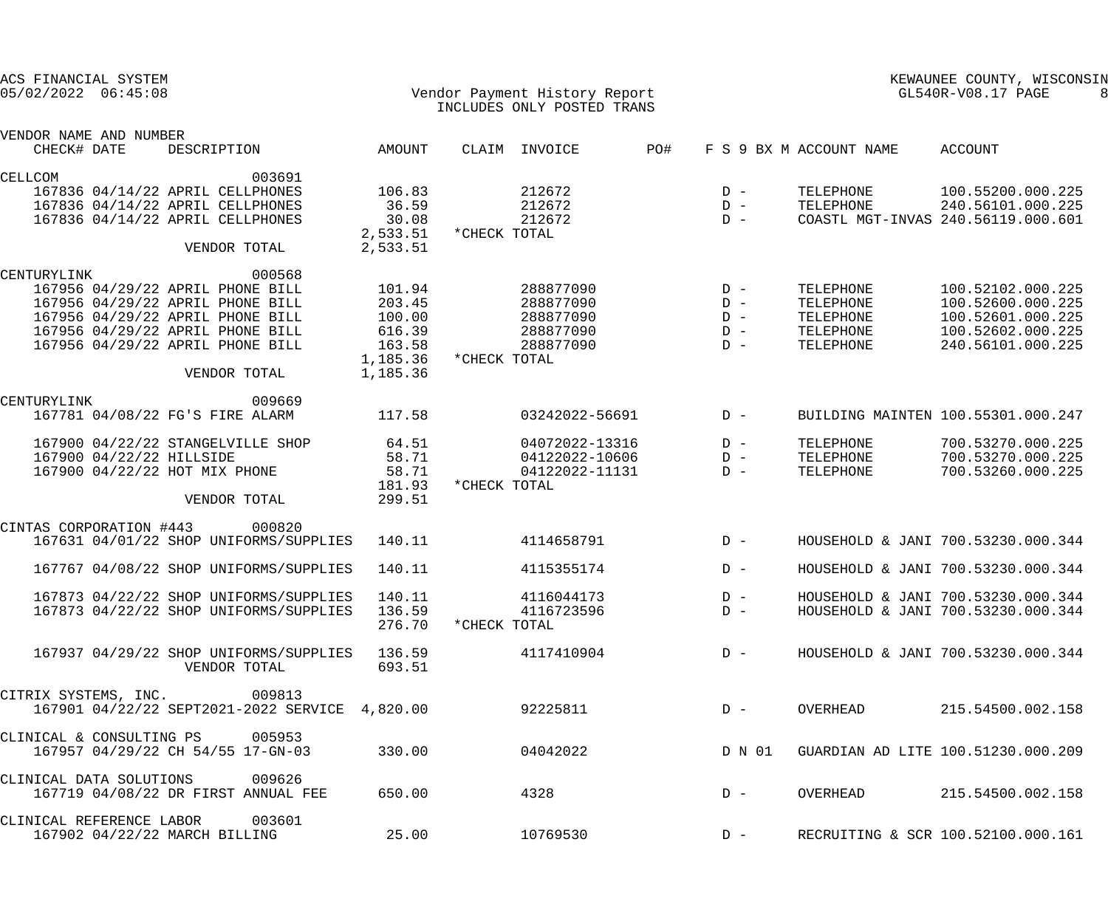| ACS FINANCIAL SYSTEM<br>05/02/2022 06:45:08 |                                                |          | Vendor Payment History Report<br>INCLUDES ONLY POSTED TRANS |                | KEWAUNEE COUNTY, WISCONSIN<br>GL540R-V08.17 PAGE |        |                         |                                    |
|---------------------------------------------|------------------------------------------------|----------|-------------------------------------------------------------|----------------|--------------------------------------------------|--------|-------------------------|------------------------------------|
| VENDOR NAME AND NUMBER<br>CHECK# DATE       | DESCRIPTION                                    | AMOUNT   |                                                             | CLAIM INVOICE  | PO#                                              |        | F S 9 BX M ACCOUNT NAME | ACCOUNT                            |
| CELLCOM                                     | 003691                                         |          |                                                             |                |                                                  |        |                         |                                    |
|                                             | 167836 04/14/22 APRIL CELLPHONES               | 106.83   |                                                             | 212672         |                                                  | $D -$  | TELEPHONE               | 100.55200.000.225                  |
|                                             | 167836 04/14/22 APRIL CELLPHONES               | 36.59    |                                                             | 212672         |                                                  | $D -$  | TELEPHONE               | 240.56101.000.225                  |
|                                             | 167836 04/14/22 APRIL CELLPHONES               | 30.08    |                                                             | 212672         |                                                  | $D -$  |                         | COASTL MGT-INVAS 240.56119.000.601 |
|                                             |                                                | 2,533.51 | *CHECK TOTAL                                                |                |                                                  |        |                         |                                    |
|                                             | VENDOR TOTAL                                   | 2,533.51 |                                                             |                |                                                  |        |                         |                                    |
| CENTURYLINK                                 | 000568                                         |          |                                                             |                |                                                  |        |                         |                                    |
|                                             | 167956 04/29/22 APRIL PHONE BILL               | 101.94   |                                                             | 288877090      |                                                  | $D -$  | TELEPHONE               | 100.52102.000.225                  |
|                                             | 167956 04/29/22 APRIL PHONE BILL               | 203.45   |                                                             | 288877090      |                                                  | $D -$  | TELEPHONE               | 100.52600.000.225                  |
|                                             | 167956 04/29/22 APRIL PHONE BILL               | 100.00   |                                                             | 288877090      |                                                  | $D -$  | TELEPHONE               | 100.52601.000.225                  |
|                                             | 167956 04/29/22 APRIL PHONE BILL               | 616.39   |                                                             | 288877090      |                                                  | $D -$  | TELEPHONE               | 100.52602.000.225                  |
|                                             | 167956 04/29/22 APRIL PHONE BILL               | 163.58   |                                                             | 288877090      |                                                  | $D -$  | TELEPHONE               | 240.56101.000.225                  |
|                                             |                                                | 1,185.36 | *CHECK TOTAL                                                |                |                                                  |        |                         |                                    |
|                                             | VENDOR TOTAL                                   | 1,185.36 |                                                             |                |                                                  |        |                         |                                    |
|                                             |                                                |          |                                                             |                |                                                  |        |                         |                                    |
| CENTURYLINK                                 | 009669                                         |          |                                                             |                |                                                  |        |                         |                                    |
|                                             | 167781 04/08/22 FG'S FIRE ALARM                | 117.58   |                                                             | 03242022-56691 |                                                  | $D -$  |                         | BUILDING MAINTEN 100.55301.000.247 |
|                                             | 167900 04/22/22 STANGELVILLE SHOP              | 64.51    |                                                             | 04072022-13316 |                                                  | $D -$  | TELEPHONE               | 700.53270.000.225                  |
|                                             | 167900 04/22/22 HILLSIDE                       | 58.71    |                                                             | 04122022-10606 |                                                  | $D -$  | TELEPHONE               | 700.53270.000.225                  |
|                                             | 167900 04/22/22 HOT MIX PHONE                  | 58.71    |                                                             | 04122022-11131 |                                                  | $D -$  | TELEPHONE               | 700.53260.000.225                  |
|                                             |                                                | 181.93   | *CHECK TOTAL                                                |                |                                                  |        |                         |                                    |
|                                             | VENDOR TOTAL                                   | 299.51   |                                                             |                |                                                  |        |                         |                                    |
| CINTAS CORPORATION #443                     | 000820                                         |          |                                                             |                |                                                  |        |                         |                                    |
|                                             | 167631 04/01/22 SHOP UNIFORMS/SUPPLIES         | 140.11   |                                                             | 4114658791     |                                                  | $D -$  |                         | HOUSEHOLD & JANI 700.53230.000.344 |
|                                             |                                                |          |                                                             |                |                                                  |        |                         |                                    |
|                                             | 167767 04/08/22 SHOP UNIFORMS/SUPPLIES         | 140.11   |                                                             | 4115355174     |                                                  | $D -$  |                         | HOUSEHOLD & JANI 700.53230.000.344 |
|                                             | 167873 04/22/22 SHOP UNIFORMS/SUPPLIES         | 140.11   |                                                             | 4116044173     |                                                  | $D -$  |                         | HOUSEHOLD & JANI 700.53230.000.344 |
|                                             | 167873 04/22/22 SHOP UNIFORMS/SUPPLIES         | 136.59   |                                                             | 4116723596     |                                                  | $D -$  |                         | HOUSEHOLD & JANI 700.53230.000.344 |
|                                             |                                                | 276.70   | *CHECK TOTAL                                                |                |                                                  |        |                         |                                    |
|                                             | 167937 04/29/22 SHOP UNIFORMS/SUPPLIES         | 136.59   |                                                             | 4117410904     |                                                  | $D -$  |                         | HOUSEHOLD & JANI 700.53230.000.344 |
|                                             | VENDOR TOTAL                                   | 693.51   |                                                             |                |                                                  |        |                         |                                    |
|                                             |                                                |          |                                                             |                |                                                  |        |                         |                                    |
|                                             | CITRIX SYSTEMS, INC. 009813                    |          |                                                             |                |                                                  |        |                         |                                    |
|                                             | 167901 04/22/22 SEPT2021-2022 SERVICE 4,820.00 |          |                                                             | 92225811       |                                                  | $D -$  | OVERHEAD                | 215.54500.002.158                  |
| CLINICAL & CONSULTING PS                    | 005953                                         |          |                                                             |                |                                                  |        |                         |                                    |
|                                             | 167957 04/29/22 CH 54/55 17-GN-03              | 330.00   |                                                             | 04042022       |                                                  | D N 01 |                         | GUARDIAN AD LITE 100.51230.000.209 |
| CLINICAL DATA SOLUTIONS                     | 009626                                         |          |                                                             |                |                                                  |        |                         |                                    |
|                                             | 167719 04/08/22 DR FIRST ANNUAL FEE            | 650.00   |                                                             | 4328           |                                                  | $D -$  | OVERHEAD                | 215.54500.002.158                  |
|                                             |                                                |          |                                                             |                |                                                  |        |                         |                                    |
| CLINICAL REFERENCE LABOR                    | 003601                                         |          |                                                             |                |                                                  |        |                         |                                    |
|                                             | 167902 04/22/22 MARCH BILLING                  | 25.00    |                                                             | 10769530       |                                                  | $D -$  |                         | RECRUITING & SCR 100.52100.000.161 |
|                                             |                                                |          |                                                             |                |                                                  |        |                         |                                    |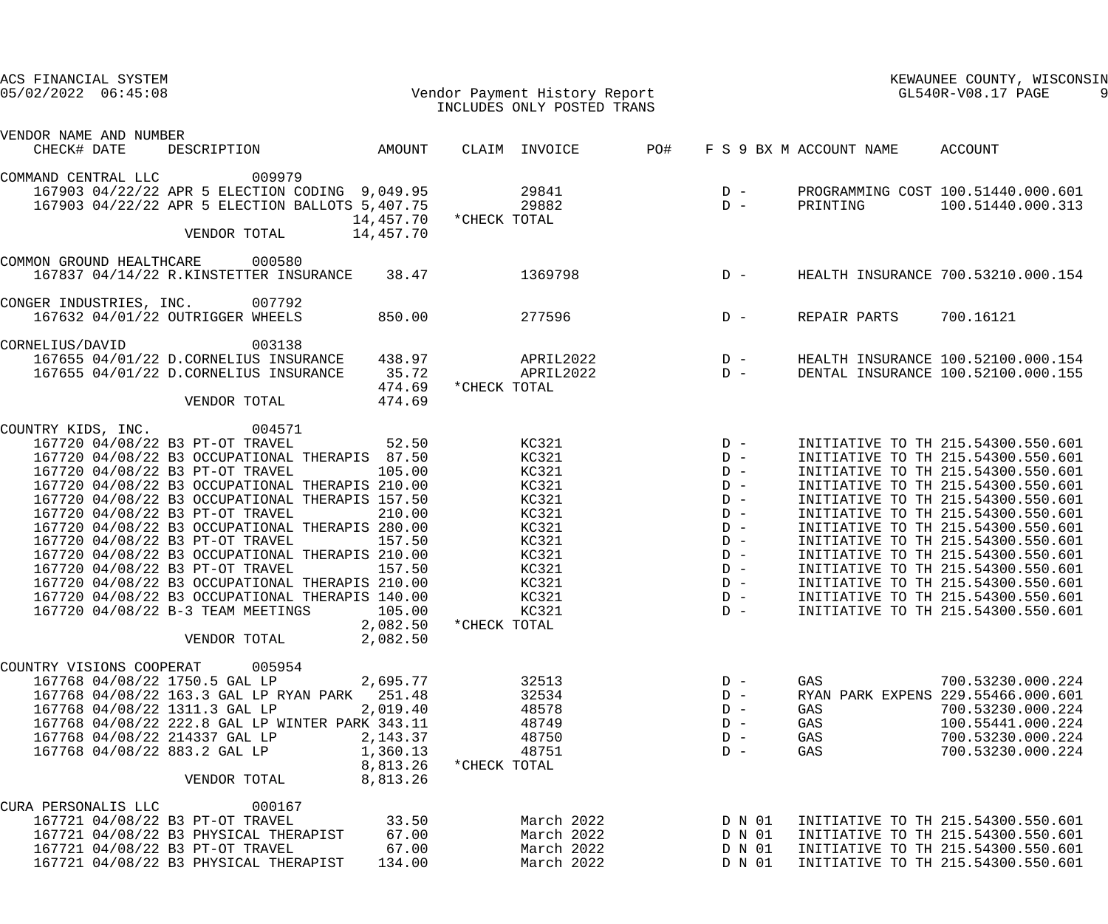| ACS FINANCIAL SYSTEM<br>$05/02/2022$ $06:45:08$                                                                                                                                                                                                                                                                                                                                                                                                                                                                                                                                                                                                                                                                         | Vendor Payment History Report<br>INCLUDES ONLY POSTED TRANS                                                                              | KEWAUNEE COUNTY, WISCONSIN<br>GL540R-V08.17 PAGE                                                                  |                                                                                                                                                                                                                                                                                                                                                                                                                                                                                                            |
|-------------------------------------------------------------------------------------------------------------------------------------------------------------------------------------------------------------------------------------------------------------------------------------------------------------------------------------------------------------------------------------------------------------------------------------------------------------------------------------------------------------------------------------------------------------------------------------------------------------------------------------------------------------------------------------------------------------------------|------------------------------------------------------------------------------------------------------------------------------------------|-------------------------------------------------------------------------------------------------------------------|------------------------------------------------------------------------------------------------------------------------------------------------------------------------------------------------------------------------------------------------------------------------------------------------------------------------------------------------------------------------------------------------------------------------------------------------------------------------------------------------------------|
| VENDOR NAME AND NUMBER<br>DESCRIPTION AMOUNT<br>CHECK# DATE                                                                                                                                                                                                                                                                                                                                                                                                                                                                                                                                                                                                                                                             | PO#<br>CLAIM INVOICE                                                                                                                     | F S 9 BX M ACCOUNT NAME                                                                                           | ACCOUNT                                                                                                                                                                                                                                                                                                                                                                                                                                                                                                    |
| 009979<br>COMMAND CENTRAL LLC<br>167903 04/22/22 APR 5 ELECTION CODING 9,049.95<br>167903 04/22/22 APR 5 ELECTION BALLOTS 5,407.75<br>14,457.70<br>14,457.70<br>VENDOR TOTAL                                                                                                                                                                                                                                                                                                                                                                                                                                                                                                                                            | 29841<br>29882<br>*CHECK TOTAL                                                                                                           | $D -$<br>$D -$<br>PRINTING                                                                                        | PROGRAMMING COST 100.51440.000.601<br>100.51440.000.313                                                                                                                                                                                                                                                                                                                                                                                                                                                    |
| COMMON GROUND HEALTHCARE<br>000580<br>167837 04/14/22 R.KINSTETTER INSURANCE<br>38.47                                                                                                                                                                                                                                                                                                                                                                                                                                                                                                                                                                                                                                   | 1369798                                                                                                                                  | $D -$                                                                                                             | HEALTH INSURANCE 700.53210.000.154                                                                                                                                                                                                                                                                                                                                                                                                                                                                         |
| CONGER INDUSTRIES, INC.<br>007792<br>167632 04/01/22 OUTRIGGER WHEELS<br>850.00                                                                                                                                                                                                                                                                                                                                                                                                                                                                                                                                                                                                                                         | 277596                                                                                                                                   | $D -$                                                                                                             | 700.16121<br>REPAIR PARTS                                                                                                                                                                                                                                                                                                                                                                                                                                                                                  |
| 003138<br>CORNELIUS/DAVID<br>167655 04/01/22 D.CORNELIUS INSURANCE<br>438.97<br>167655 04/01/22 D.CORNELIUS INSURANCE<br>35.72<br>474.69<br>474.69<br>VENDOR TOTAL                                                                                                                                                                                                                                                                                                                                                                                                                                                                                                                                                      | APRIL2022<br>APRIL2022<br>*CHECK TOTAL                                                                                                   | $\begin{array}{c}\nD \\ D\n\end{array}$                                                                           | HEALTH INSURANCE 100.52100.000.154<br>DENTAL INSURANCE 100.52100.000.155                                                                                                                                                                                                                                                                                                                                                                                                                                   |
| COUNTRY KIDS, INC.<br>004571<br>167720 04/08/22 B3 PT-OT TRAVEL<br>52.50<br>167720 04/08/22 B3 OCCUPATIONAL THERAPIS 87.50<br>167720 04/08/22 B3 PT-OT TRAVEL<br>105.00<br>167720 04/08/22 B3 OCCUPATIONAL THERAPIS 210.00<br>167720 04/08/22 B3 OCCUPATIONAL THERAPIS 157.50<br>167720 04/08/22 B3 PT-OT TRAVEL<br>210.00<br>167720 04/08/22 B3 OCCUPATIONAL THERAPIS 280.00<br>167720 04/08/22 B3 PT-OT TRAVEL<br>157.50<br>167720 04/08/22 B3 OCCUPATIONAL THERAPIS 210.00<br>167720 04/08/22 B3 PT-OT TRAVEL<br>157.50<br>167720 04/08/22 B3 OCCUPATIONAL THERAPIS 210.00<br>167720 04/08/22 B3 OCCUPATIONAL THERAPIS 140.00<br>167720 04/08/22 B-3 TEAM MEETINGS<br>105.00<br>2,082.50<br>2,082.50<br>VENDOR TOTAL | KC321<br>KC321<br>KC321<br>KC321<br>KC321<br>KC321<br>KC321<br>KC321<br>KC321<br>KC321<br>KC321<br><b>KC321</b><br>KC321<br>*CHECK TOTAL | $D -$<br>$D -$<br>$D -$<br>$D -$<br>$D -$<br>$D -$<br>$D -$<br>$D -$<br>$D -$<br>$D -$<br>$D -$<br>$D -$<br>$D -$ | INITIATIVE TO TH 215.54300.550.601<br>INITIATIVE TO TH 215.54300.550.601<br>INITIATIVE TO TH 215.54300.550.601<br>INITIATIVE TO TH 215.54300.550.601<br>INITIATIVE TO TH 215.54300.550.601<br>INITIATIVE TO TH 215.54300.550.601<br>INITIATIVE TO TH 215.54300.550.601<br>INITIATIVE TO TH 215.54300.550.601<br>INITIATIVE TO TH 215.54300.550.601<br>INITIATIVE TO TH 215.54300.550.601<br>INITIATIVE TO TH 215.54300.550.601<br>INITIATIVE TO TH 215.54300.550.601<br>INITIATIVE TO TH 215.54300.550.601 |
| 005954<br>COUNTRY VISIONS COOPERAT<br>167768 04/08/22 1750.5 GAL LP<br>2,695.77<br>167768 04/08/22 163.3 GAL LP RYAN PARK 251.48<br>167768 04/08/22 1311.3 GAL LP<br>2,019.40<br>167768 04/08/22 222.8 GAL LP WINTER PARK 343.11<br>167768 04/08/22 214337 GAL LP<br>2,143.37<br>167768 04/08/22 883.2 GAL LP<br>1,360.13<br>8,813.26<br>8,813.26<br>VENDOR TOTAL                                                                                                                                                                                                                                                                                                                                                       | 32513<br>32534<br>48578<br>48749<br>48750<br>48751<br>*CHECK TOTAL                                                                       | $D -$<br>GAS<br>$D -$<br>$D -$<br>GAS<br>$D -$<br>GAS<br>$D -$<br>GAS<br>$D -$<br>GAS                             | 700.53230.000.224<br>RYAN PARK EXPENS 229.55466.000.601<br>700.53230.000.224<br>100.55441.000.224<br>700.53230.000.224<br>700.53230.000.224                                                                                                                                                                                                                                                                                                                                                                |
| 000167<br>CURA PERSONALIS LLC<br>167721 04/08/22 B3 PT-OT TRAVEL<br>33.50<br>167721 04/08/22 B3 PHYSICAL THERAPIST<br>67.00<br>167721 04/08/22 B3 PT-OT TRAVEL<br>67.00<br>167721 04/08/22 B3 PHYSICAL THERAPIST<br>134.00                                                                                                                                                                                                                                                                                                                                                                                                                                                                                              | March 2022<br>March 2022<br>March 2022<br>March 2022                                                                                     | D N 01<br>D N 01<br>D N 01<br>D N 01                                                                              | INITIATIVE TO TH 215.54300.550.601<br>INITIATIVE TO TH 215.54300.550.601<br>INITIATIVE TO TH 215.54300.550.601<br>INITIATIVE TO TH 215.54300.550.601                                                                                                                                                                                                                                                                                                                                                       |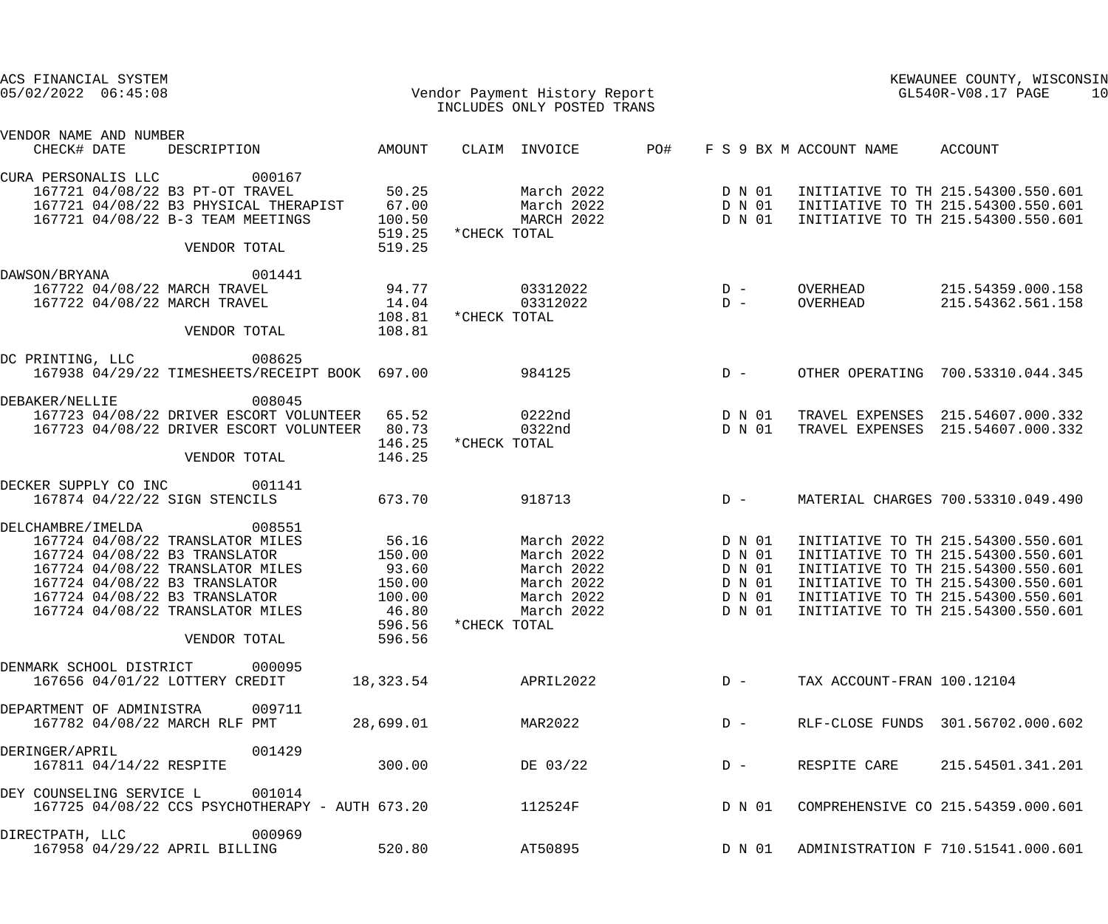| ACS FINANCIAL SYSTEM<br>$05/02/2022$ $06:45:08$ | Vendor Payment History Report                                                                                 |                                          |              | INCLUDES ONLY POSTED TRANS             |     |                            |                         |              | KEWAUNEE COUNTY, WISCONSIN<br>GL540R-V08.17 PAGE                                                               | 10 |
|-------------------------------------------------|---------------------------------------------------------------------------------------------------------------|------------------------------------------|--------------|----------------------------------------|-----|----------------------------|-------------------------|--------------|----------------------------------------------------------------------------------------------------------------|----|
| VENDOR NAME AND NUMBER<br>CHECK# DATE           | DESCRIPTION                                                                                                   | AMOUNT                                   |              | CLAIM INVOICE                          | PO# |                            | F S 9 BX M ACCOUNT NAME |              | ACCOUNT                                                                                                        |    |
| CURA PERSONALIS LLC                             | 000167                                                                                                        |                                          |              |                                        |     |                            |                         |              |                                                                                                                |    |
|                                                 | 167721 04/08/22 B3 PT-OT TRAVEL<br>167721 04/08/22 B3 PHYSICAL THERAPIST<br>167721 04/08/22 B-3 TEAM MEETINGS | 50.25<br>67.00<br>100.50                 |              | March 2022<br>March 2022<br>MARCH 2022 |     | D N 01<br>D N 01<br>D N 01 |                         |              | INITIATIVE TO TH 215.54300.550.601<br>INITIATIVE TO TH 215.54300.550.601<br>INITIATIVE TO TH 215.54300.550.601 |    |
|                                                 | VENDOR TOTAL                                                                                                  | 519.25<br>519.25                         | *CHECK TOTAL |                                        |     |                            |                         |              |                                                                                                                |    |
| DAWSON/BRYANA                                   | 001441                                                                                                        |                                          |              |                                        |     |                            |                         |              |                                                                                                                |    |
|                                                 | 167722 04/08/22 MARCH TRAVEL                                                                                  |                                          |              | 03312022                               |     | $D -$                      | OVERHEAD                |              | 215.54359.000.158                                                                                              |    |
|                                                 | 167722 04/08/22 MARCH TRAVEL                                                                                  | $94.77$<br>$14.04$<br>$108.81$<br>108.81 | *CHECK TOTAL | 03312022                               |     | $\overline{D}$ –           | OVERHEAD                |              | 215.54362.561.158                                                                                              |    |
|                                                 | VENDOR TOTAL                                                                                                  | 108.81                                   |              |                                        |     |                            |                         |              |                                                                                                                |    |
| DC PRINTING, LLC                                | 008625<br>167938 04/29/22 TIMESHEETS/RECEIPT BOOK 697.00                                                      |                                          |              | 984125                                 |     | $D -$                      |                         |              | OTHER OPERATING 700.53310.044.345                                                                              |    |
|                                                 |                                                                                                               |                                          |              |                                        |     |                            |                         |              |                                                                                                                |    |
| DEBAKER/NELLIE                                  | 008045                                                                                                        |                                          |              |                                        |     |                            |                         |              |                                                                                                                |    |
|                                                 | 167723 04/08/22 DRIVER ESCORT VOLUNTEER 65.52                                                                 |                                          |              | 0222nd                                 |     | D N 01                     |                         |              | TRAVEL EXPENSES 215.54607.000.332                                                                              |    |
|                                                 | 167723 04/08/22 DRIVER ESCORT VOLUNTEER 80.73                                                                 |                                          | *CHECK TOTAL | 0322nd                                 |     | D N 01                     |                         |              | TRAVEL EXPENSES 215.54607.000.332                                                                              |    |
|                                                 | VENDOR TOTAL                                                                                                  | 146.25<br>146.25                         |              |                                        |     |                            |                         |              |                                                                                                                |    |
| DECKER SUPPLY CO INC                            | 001141                                                                                                        |                                          |              |                                        |     |                            |                         |              |                                                                                                                |    |
|                                                 | 167874 04/22/22 SIGN STENCILS                                                                                 | 673.70                                   |              | 918713                                 |     | $D -$                      |                         |              | MATERIAL CHARGES 700.53310.049.490                                                                             |    |
| DELCHAMBRE / IMELDA                             | 008551                                                                                                        |                                          |              |                                        |     |                            |                         |              |                                                                                                                |    |
|                                                 | 167724 04/08/22 TRANSLATOR MILES                                                                              | 56.16                                    |              | March 2022                             |     | D N 01                     |                         |              | INITIATIVE TO TH 215.54300.550.601                                                                             |    |
|                                                 | 167724 04/08/22 B3 TRANSLATOR                                                                                 | 150.00                                   |              | March 2022                             |     | D N 01                     |                         |              | INITIATIVE TO TH 215.54300.550.601                                                                             |    |
|                                                 | 167724 04/08/22 TRANSLATOR MILES                                                                              | 93.60                                    |              | March 2022                             |     | D N 01                     |                         |              | INITIATIVE TO TH 215.54300.550.601                                                                             |    |
|                                                 | 167724 04/08/22 B3 TRANSLATOR                                                                                 | 150.00                                   |              | March 2022                             |     | D N 01                     |                         |              | INITIATIVE TO TH 215.54300.550.601                                                                             |    |
|                                                 | 167724 04/08/22 B3 TRANSLATOR                                                                                 | 100.00                                   |              | March 2022                             |     | D N 01                     |                         |              | INITIATIVE TO TH 215.54300.550.601                                                                             |    |
|                                                 | 167724 04/08/22 TRANSLATOR MILES                                                                              | 46.80                                    |              | March 2022                             |     | D N 01                     |                         |              | INITIATIVE TO TH 215.54300.550.601                                                                             |    |
|                                                 | VENDOR TOTAL                                                                                                  | 596.56<br>596.56                         | *CHECK TOTAL |                                        |     |                            |                         |              |                                                                                                                |    |
| DENMARK SCHOOL DISTRICT                         | 000095                                                                                                        |                                          |              |                                        |     |                            |                         |              |                                                                                                                |    |
|                                                 | 167656 04/01/22 LOTTERY CREDIT                                                                                | 18,323.54                                |              | APRIL2022                              |     | $D -$                      |                         |              | TAX ACCOUNT-FRAN 100.12104                                                                                     |    |
| DEPARTMENT OF ADMINISTRA                        | 009711                                                                                                        |                                          |              |                                        |     |                            |                         |              |                                                                                                                |    |
|                                                 | 167782 04/08/22 MARCH RLF PMT                                                                                 | 28,699.01                                |              | MAR2022                                |     | $D -$                      |                         |              | RLF-CLOSE FUNDS 301.56702.000.602                                                                              |    |
| DERINGER/APRIL                                  | 001429                                                                                                        |                                          |              |                                        |     |                            |                         |              |                                                                                                                |    |
| 167811 04/14/22 RESPITE                         |                                                                                                               | 300.00                                   |              | DE 03/22                               |     | $D -$                      |                         | RESPITE CARE | 215.54501.341.201                                                                                              |    |
| DEY COUNSELING SERVICE L                        | 001014<br>167725 04/08/22 CCS PSYCHOTHERAPY - AUTH 673.20                                                     |                                          |              | 112524F                                |     | D N 01                     |                         |              | COMPREHENSIVE CO 215.54359.000.601                                                                             |    |
| DIRECTPATH, LLC                                 | 000969                                                                                                        |                                          |              |                                        |     |                            |                         |              |                                                                                                                |    |
|                                                 | 167958 04/29/22 APRIL BILLING                                                                                 | 520.80                                   |              | AT50895                                |     | D N 01                     |                         |              | ADMINISTRATION F 710.51541.000.601                                                                             |    |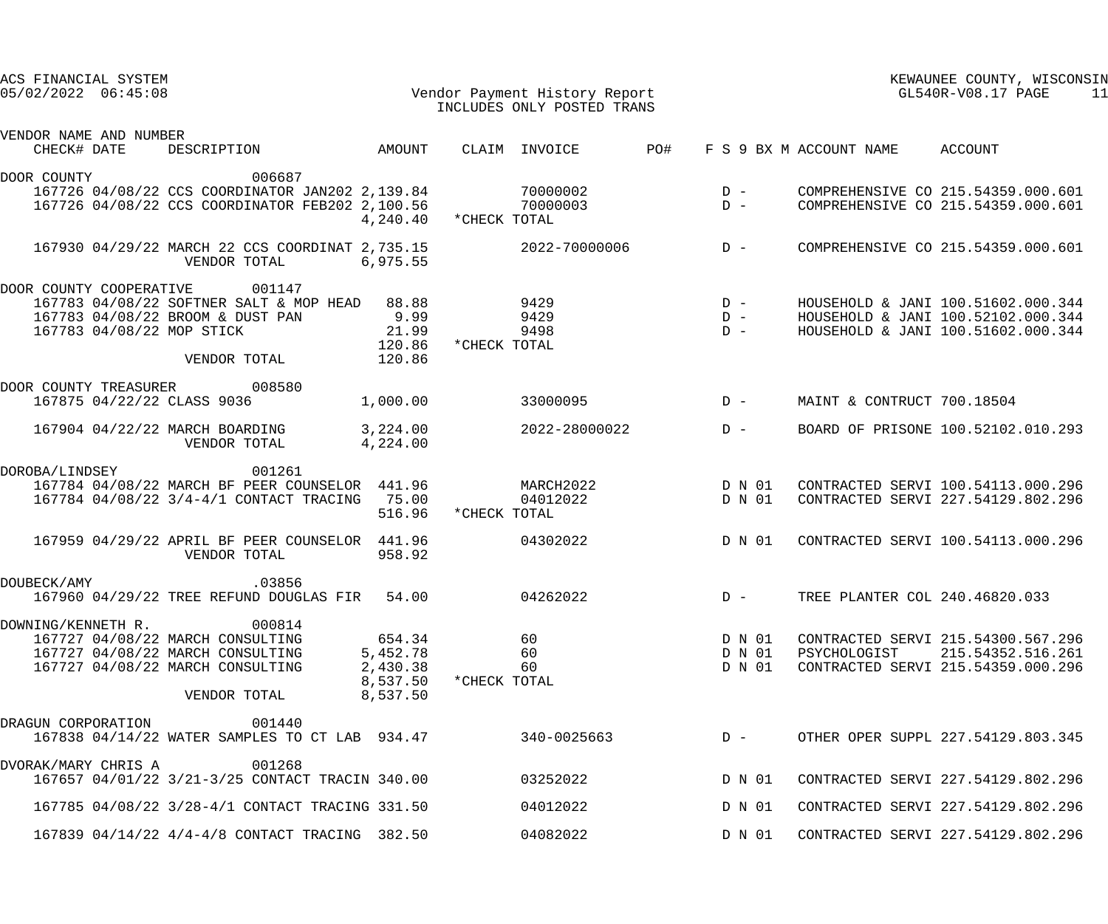| ACS FINANCIAL SYSTEM<br>$05/02/2022$ $06:45:08$                                                                                |                                                                                                                                 |                                                        |              | Vendor Payment History Report<br>INCLUDES ONLY POSTED TRANS |                                                                                       |                            |                                 | KEWAUNEE COUNTY, WISCONSIN<br>GL540R-V08.17 PAGE<br>11                                                         |
|--------------------------------------------------------------------------------------------------------------------------------|---------------------------------------------------------------------------------------------------------------------------------|--------------------------------------------------------|--------------|-------------------------------------------------------------|---------------------------------------------------------------------------------------|----------------------------|---------------------------------|----------------------------------------------------------------------------------------------------------------|
| VENDOR NAME AND NUMBER<br>CHECK# DATE                                                                                          | DESCRIPTION                                                                                                                     | AMOUNT                                                 |              | CLAIM INVOICE<br>PO#                                        |                                                                                       |                            | F S 9 BX M ACCOUNT NAME ACCOUNT |                                                                                                                |
| DOOR COUNTY                                                                                                                    | 006687<br>167726 04/08/22 CCS COORDINATOR JAN202 2,139.84 70000002<br>167726 04/08/22 CCS COORDINATOR FEB202 2,100.56 700000003 | 4,240.40 *CHECK TOTAL                                  |              |                                                             | $\begin{array}{c}\nD \\ D\n\end{array}$                                               |                            |                                 | COMPREHENSIVE CO 215.54359.000.601<br>COMPREHENSIVE CO 215.54359.000.601                                       |
|                                                                                                                                | 167930 04/29/22 MARCH 22 CCS COORDINAT 2,735.15<br>VENDOR TOTAL<br>6,975.55                                                     |                                                        |              | $2022 - 70000006$ D -                                       |                                                                                       |                            |                                 | COMPREHENSIVE CO 215.54359.000.601                                                                             |
| DOOR COUNTY COOPERATIVE<br>167783 04/08/22 BROOM & DUST PAN<br>167783 04/08/22 MOP STICK                                       | 001147<br>167783 04/08/22 SOFTNER SALT & MOP HEAD 88.88<br>VENDOR TOTAL                                                         | 9.99<br>21.99<br>120.86<br>120.86                      | *CHECK TOTAL | 9429<br>9429<br>9498                                        | $\begin{array}{ccc} &\text{D} & - \\ & \text{D} & - \\ & \text{D} & - \\ \end{array}$ |                            |                                 | HOUSEHOLD & JANI 100.51602.000.344<br>HOUSEHOLD & JANI 100.52102.000.344<br>HOUSEHOLD & JANI 100.51602.000.344 |
| DOOR COUNTY TREASURER 008580<br>167875 04/22/22 CLASS 9036                                                                     |                                                                                                                                 | 1,000.00                                               |              | 33000095                                                    | $D -$                                                                                 |                            | MAINT & CONTRUCT 700.18504      |                                                                                                                |
|                                                                                                                                | 167904 04/22/22 MARCH BOARDING 3,224.00<br>VENDOR TOTAL                                                                         | 4,224.00                                               |              | 2022-28000022                                               | $D -$                                                                                 |                            |                                 | BOARD OF PRISONE 100.52102.010.293                                                                             |
| DOROBA/LINDSEY 001261                                                                                                          | 167784 04/08/22 MARCH BF PEER COUNSELOR 441.96<br>167784 04/08/22 3/4-4/1 CONTACT TRACING 75.00                                 | 516.96                                                 | *CHECK TOTAL | MARCH2022 D N 01<br>04012022 D N 01                         |                                                                                       |                            |                                 | CONTRACTED SERVI 100.54113.000.296<br>CONTRACTED SERVI 227.54129.802.296                                       |
|                                                                                                                                | 167959 04/29/22 APRIL BF PEER COUNSELOR 441.96<br>VENDOR TOTAL                                                                  | 958.92                                                 |              | 04302022                                                    |                                                                                       | D N 01                     |                                 | CONTRACTED SERVI 100.54113.000.296                                                                             |
| DOUBECK/AMY                                                                                                                    | .03856<br>167960 04/29/22 TREE REFUND DOUGLAS FIR                                                                               | 54.00                                                  |              | 04262022                                                    |                                                                                       | $D -$                      | TREE PLANTER COL 240.46820.033  |                                                                                                                |
| DOWNING/KENNETH R.<br>167727 04/08/22 MARCH CONSULTING<br>167727 04/08/22 MARCH CONSULTING<br>167727 04/08/22 MARCH CONSULTING | 000814<br>VENDOR TOTAL                                                                                                          | 654.34<br>5,452.78<br>2,430.38<br>8,537.50<br>8,537.50 | *CHECK TOTAL | 60<br>60<br>60                                              |                                                                                       | D N 01<br>D N 01<br>D N 01 | PSYCHOLOGIST                    | CONTRACTED SERVI 215.54300.567.296<br>215.54352.516.261<br>CONTRACTED SERVI 215.54359.000.296                  |
| DRAGUN CORPORATION                                                                                                             | 001440<br>167838 04/14/22 WATER SAMPLES TO CT LAB 934.47                                                                        |                                                        |              |                                                             |                                                                                       |                            |                                 | 340-0025663  D - OTHER OPER SUPPL 227.54129.803.345                                                            |
| DVORAK/MARY CHRIS A                                                                                                            | 001268<br>167657 04/01/22 3/21-3/25 CONTACT TRACIN 340.00                                                                       |                                                        |              | 03252022                                                    |                                                                                       | D N 01                     |                                 | CONTRACTED SERVI 227.54129.802.296                                                                             |
|                                                                                                                                | 167785 04/08/22 3/28-4/1 CONTACT TRACING 331.50                                                                                 |                                                        |              | 04012022                                                    |                                                                                       | D N 01                     |                                 | CONTRACTED SERVI 227.54129.802.296                                                                             |
|                                                                                                                                | 167839 04/14/22 4/4-4/8 CONTACT TRACING 382.50                                                                                  |                                                        |              | 04082022                                                    |                                                                                       | D N 01                     |                                 | CONTRACTED SERVI 227.54129.802.296                                                                             |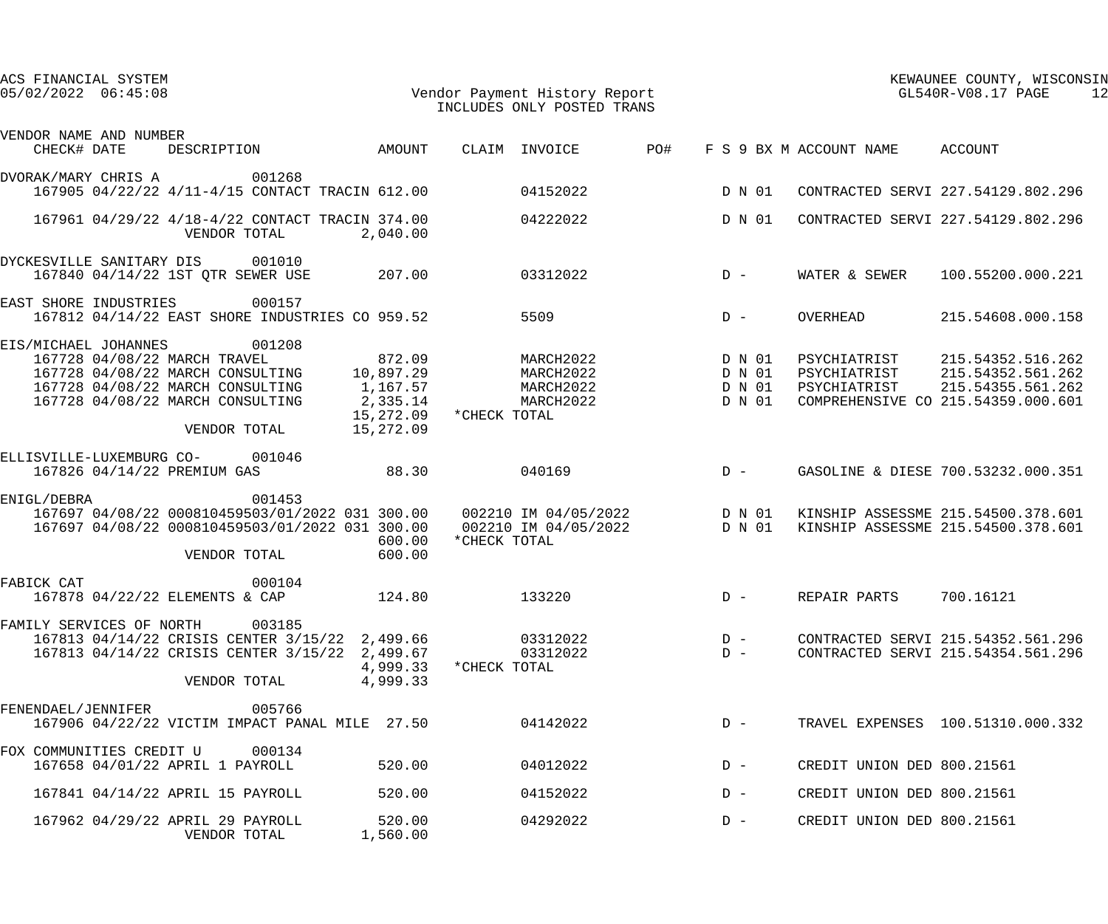| ACS FINANCIAL SYSTEM<br>$05/02/2022$ $06:45:08$ | Vendor Payment History Report                                                                                                                                      |                                                                                    |              | INCLUDES ONLY POSTED TRANS                          |     |                                      |                                              | KEWAUNEE COUNTY, WISCONSIN<br>GL540R-V08.17 PAGE<br>12                                            |
|-------------------------------------------------|--------------------------------------------------------------------------------------------------------------------------------------------------------------------|------------------------------------------------------------------------------------|--------------|-----------------------------------------------------|-----|--------------------------------------|----------------------------------------------|---------------------------------------------------------------------------------------------------|
| VENDOR NAME AND NUMBER<br>CHECK# DATE           | DESCRIPTION                                                                                                                                                        | AMOUNT                                                                             |              | CLAIM INVOICE                                       | PO# |                                      | F S 9 BX M ACCOUNT NAME ACCOUNT              |                                                                                                   |
| DVORAK/MARY CHRIS A                             | 001268<br>167905 04/22/22 4/11-4/15 CONTACT TRACIN 612.00                                                                                                          |                                                                                    |              | 04152022                                            |     | D N 01                               |                                              | CONTRACTED SERVI 227.54129.802.296                                                                |
|                                                 | 167961 04/29/22 4/18-4/22 CONTACT TRACIN 374.00<br>VENDOR TOTAL                                                                                                    | 2,040.00                                                                           |              | 04222022                                            |     | D N 01                               |                                              | CONTRACTED SERVI 227.54129.802.296                                                                |
|                                                 | DYCKESVILLE SANITARY DIS 001010<br>167840 04/14/22 1ST QTR SEWER USE                                                                                               | 207.00                                                                             |              | 03312022                                            |     | $D -$                                | WATER & SEWER                                | 100.55200.000.221                                                                                 |
| EAST SHORE INDUSTRIES                           | 000157<br>167812 04/14/22 EAST SHORE INDUSTRIES CO 959.52                                                                                                          |                                                                                    |              | 5509                                                |     | $D -$                                | OVERHEAD                                     | 215.54608.000.158                                                                                 |
| EIS/MICHAEL JOHANNES                            | 001208<br>167728 04/08/22 MARCH TRAVEL<br>167728 04/08/22 MARCH CONSULTING<br>167728 04/08/22 MARCH CONSULTING<br>167728 04/08/22 MARCH CONSULTING<br>VENDOR TOTAL | 872.09<br>10,897.29<br>1,167.57<br>2,335.14<br>15,272.09 *CHECK TOTAL<br>15,272.09 |              | MARCH2022<br>MARCH2022<br>MARCH2022<br>MARCH2022    |     | D N 01<br>D N 01<br>D N 01<br>D N 01 | PSYCHIATRIST<br>PSYCHIATRIST<br>PSYCHIATRIST | 215.54352.516.262<br>215.54352.561.262<br>215.54355.561.262<br>COMPREHENSIVE CO 215.54359.000.601 |
|                                                 | ELLISVILLE-LUXEMBURG CO- 001046<br>167826 04/14/22 PREMIUM GAS                                                                                                     | 88.30                                                                              |              | 040169                                              |     | $D -$                                |                                              | GASOLINE & DIESE 700.53232.000.351                                                                |
| ENIGL/DEBRA                                     | 001453<br>167697 04/08/22 000810459503/01/2022 031 300.00<br>167697 04/08/22 000810459503/01/2022 031 300.00<br>VENDOR TOTAL                                       | 600.00<br>600.00                                                                   | *CHECK TOTAL | 002210 IM 04/05/2022 D N 01<br>002210 IM 04/05/2022 |     | D N 01                               |                                              | KINSHIP ASSESSME 215.54500.378.601<br>KINSHIP ASSESSME 215.54500.378.601                          |
| FABICK CAT                                      | 000104<br>167878 04/22/22 ELEMENTS & CAP                                                                                                                           | 124.80                                                                             |              | 133220                                              |     | $D -$                                | REPAIR PARTS                                 | 700.16121                                                                                         |
| FAMILY SERVICES OF NORTH                        | 003185<br>167813 04/14/22 CRISIS CENTER 3/15/22 2,499.66<br>167813 04/14/22 CRISIS CENTER 3/15/22 2,499.67<br>VENDOR TOTAL                                         | 4,999.33 * CHECK TOTAL<br>4,999.33                                                 |              | 03312022<br>03312022                                |     | $D -$<br>$D -$                       |                                              | CONTRACTED SERVI 215.54352.561.296<br>CONTRACTED SERVI 215.54354.561.296                          |
| FENENDAEL/JENNIFER                              | 005766<br>167906 04/22/22 VICTIM IMPACT PANAL MILE 27.50                                                                                                           |                                                                                    |              | 04142022                                            |     | $D -$                                |                                              | TRAVEL EXPENSES 100.51310.000.332                                                                 |
| FOX COMMUNITIES CREDIT U                        | 000134<br>167658 04/01/22 APRIL 1 PAYROLL                                                                                                                          | 520.00                                                                             |              | 04012022                                            |     | $D -$                                | CREDIT UNION DED 800.21561                   |                                                                                                   |
|                                                 | 167841 04/14/22 APRIL 15 PAYROLL                                                                                                                                   | 520.00                                                                             |              | 04152022                                            |     | $D -$                                | CREDIT UNION DED 800.21561                   |                                                                                                   |
|                                                 | 167962 04/29/22 APRIL 29 PAYROLL<br>VENDOR TOTAL                                                                                                                   | 520.00<br>1,560.00                                                                 |              | 04292022                                            |     | $D -$                                | CREDIT UNION DED 800.21561                   |                                                                                                   |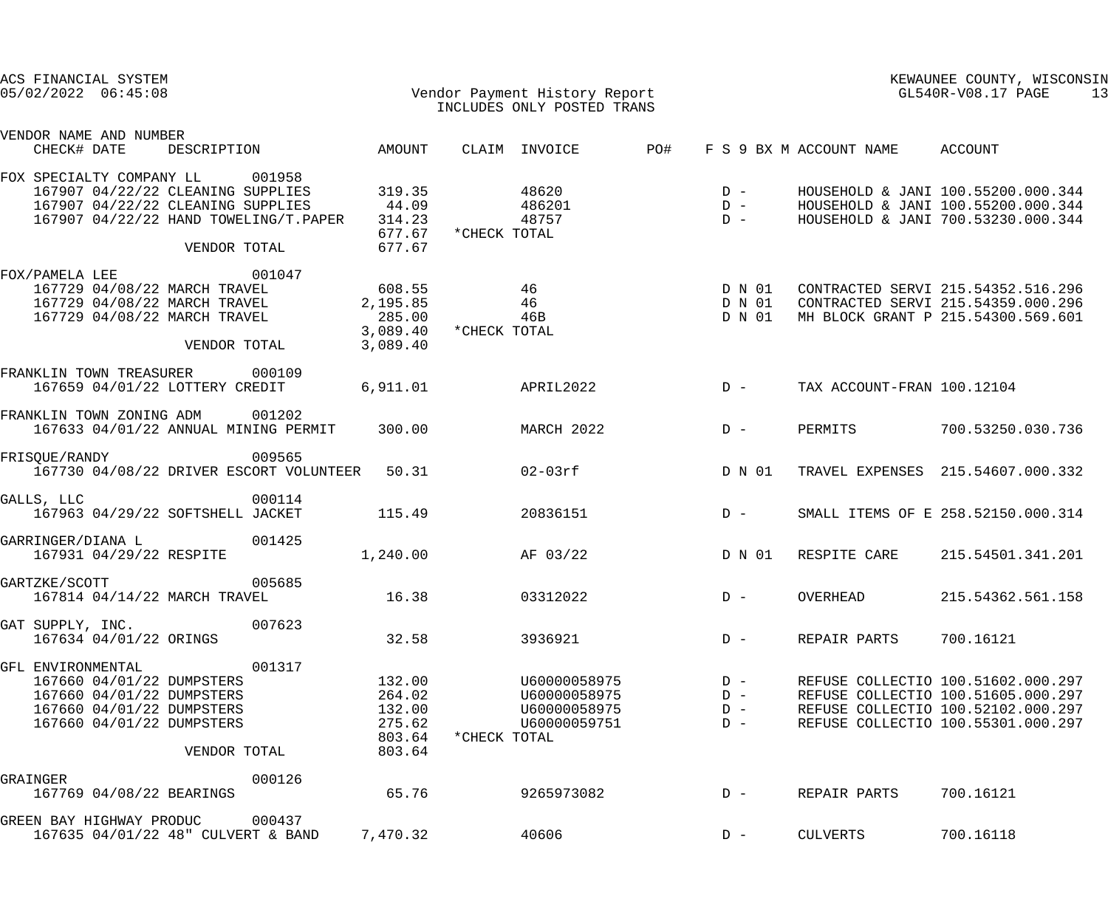| ACS FINANCIAL SYSTEM<br>$05/02/2022$ $06:45:08$                                                                                                                        |                                                          | Vendor Payment History Report<br>INCLUDES ONLY POSTED TRANS                  |                                  | KEWAUNEE COUNTY, WISCONSIN<br>GL540R-V08.17 PAGE<br>13                                                                                               |
|------------------------------------------------------------------------------------------------------------------------------------------------------------------------|----------------------------------------------------------|------------------------------------------------------------------------------|----------------------------------|------------------------------------------------------------------------------------------------------------------------------------------------------|
| VENDOR NAME AND NUMBER<br>CHECK# DATE<br>DESCRIPTION                                                                                                                   | AMOUNT                                                   | PO#<br>CLAIM INVOICE                                                         | F S 9 BX M ACCOUNT NAME          | ACCOUNT                                                                                                                                              |
| FOX SPECIALTY COMPANY LL<br>001958<br>167907 04/22/22 CLEANING SUPPLIES<br>167907 04/22/22 CLEANING SUPPLIES<br>167907 04/22/22 HAND TOWELING/T. PAPER<br>VENDOR TOTAL | 319.35<br>44.09<br>314.23<br>677.67<br>677.67            | 48620<br>486201<br>48757<br>*CHECK TOTAL                                     | $D -$<br>$D -$<br>$D -$          | HOUSEHOLD & JANI 100.55200.000.344<br>HOUSEHOLD & JANI 100.55200.000.344<br>HOUSEHOLD & JANI 700.53230.000.344                                       |
| FOX/PAMELA LEE<br>001047<br>167729 04/08/22 MARCH TRAVEL<br>167729 04/08/22 MARCH TRAVEL<br>167729 04/08/22 MARCH TRAVEL<br>VENDOR TOTAL                               | 608.55<br>2,195.85<br>285.00<br>3,089.40<br>3,089.40     | 46<br>46<br>46B<br>*CHECK TOTAL                                              | D N 01<br>D N 01<br>D N 01       | CONTRACTED SERVI 215.54352.516.296<br>CONTRACTED SERVI 215.54359.000.296<br>MH BLOCK GRANT P 215.54300.569.601                                       |
| FRANKLIN TOWN TREASURER 000109<br>167659 04/01/22 LOTTERY CREDIT                                                                                                       | 6,911.01                                                 | APRIL2022                                                                    | $D -$                            | TAX ACCOUNT-FRAN 100.12104                                                                                                                           |
| FRANKLIN TOWN ZONING ADM<br>001202<br>167633 04/01/22 ANNUAL MINING PERMIT                                                                                             | 300.00                                                   | MARCH 2022                                                                   | PERMITS<br>$D -$                 | 700.53250.030.736                                                                                                                                    |
| FRISQUE/RANDY<br>009565<br>167730 04/08/22 DRIVER ESCORT VOLUNTEER 50.31                                                                                               |                                                          | $02-03$ rf                                                                   | D N 01                           | TRAVEL EXPENSES 215.54607.000.332                                                                                                                    |
| GALLS, LLC<br>000114<br>167963 04/29/22 SOFTSHELL JACKET                                                                                                               | 115.49                                                   | 20836151                                                                     | $D -$                            | SMALL ITEMS OF E 258.52150.000.314                                                                                                                   |
| 001425<br>GARRINGER/DIANA L<br>167931 04/29/22 RESPITE                                                                                                                 | 1,240.00                                                 | AF 03/22                                                                     | D N 01<br>RESPITE CARE           | 215.54501.341.201                                                                                                                                    |
| 005685<br>GARTZKE/SCOTT<br>167814 04/14/22 MARCH TRAVEL                                                                                                                | 16.38                                                    | 03312022                                                                     | $D -$<br>OVERHEAD                | 215.54362.561.158                                                                                                                                    |
| 007623<br>GAT SUPPLY, INC.<br>167634 04/01/22 ORINGS                                                                                                                   | 32.58                                                    | 3936921                                                                      | REPAIR PARTS<br>$D -$            | 700.16121                                                                                                                                            |
| 001317<br>GFL ENVIRONMENTAL<br>167660 04/01/22 DUMPSTERS<br>167660 04/01/22 DUMPSTERS<br>167660 04/01/22 DUMPSTERS<br>167660 04/01/22 DUMPSTERS<br>VENDOR TOTAL        | 132.00<br>264.02<br>132.00<br>275.62<br>803.64<br>803.64 | U60000058975<br>U60000058975<br>U60000058975<br>U60000059751<br>*CHECK TOTAL | $D -$<br>$D -$<br>$D -$<br>$D -$ | REFUSE COLLECTIO 100.51602.000.297<br>REFUSE COLLECTIO 100.51605.000.297<br>REFUSE COLLECTIO 100.52102.000.297<br>REFUSE COLLECTIO 100.55301.000.297 |
| GRAINGER<br>000126<br>167769 04/08/22 BEARINGS                                                                                                                         | 65.76                                                    | 9265973082                                                                   | REPAIR PARTS<br>$D -$            | 700.16121                                                                                                                                            |
| 000437<br>GREEN BAY HIGHWAY PRODUC<br>167635 04/01/22 48" CULVERT & BAND                                                                                               | 7,470.32                                                 | 40606                                                                        | <b>CULVERTS</b><br>$D -$         | 700.16118                                                                                                                                            |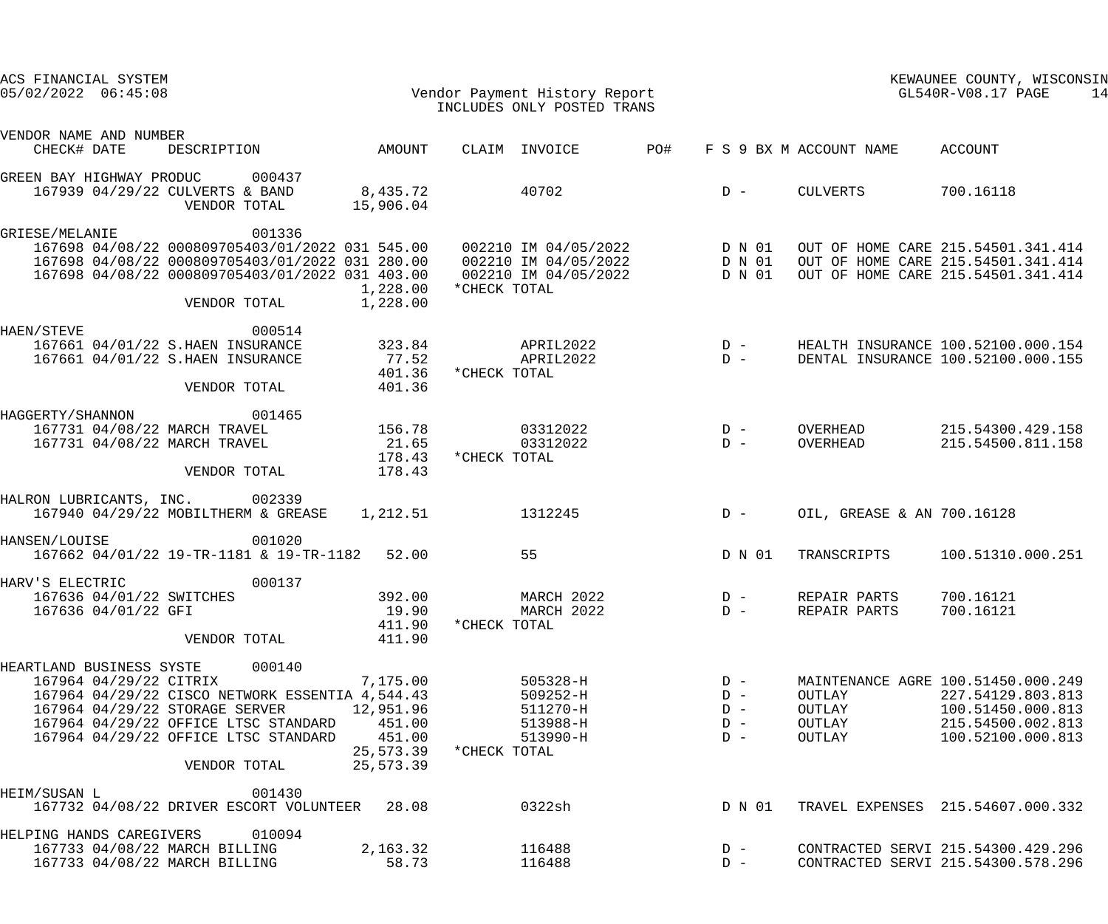| ACS FINANCIAL SYSTEM<br>$05/02/2022$ $06:45:08$ |                        |                                                                                                                                                                                             |                                                                     | Vendor Payment History Report<br>INCLUDES ONLY POSTED TRANS                                                                                                                                                                                               |     | KEWAUNEE COUNTY, WISCONSIN<br>$GL540R-V08.17$ PAGE<br>14 |                                      |                                                                                                                        |  |
|-------------------------------------------------|------------------------|---------------------------------------------------------------------------------------------------------------------------------------------------------------------------------------------|---------------------------------------------------------------------|-----------------------------------------------------------------------------------------------------------------------------------------------------------------------------------------------------------------------------------------------------------|-----|----------------------------------------------------------|--------------------------------------|------------------------------------------------------------------------------------------------------------------------|--|
| VENDOR NAME AND NUMBER<br>CHECK# DATE           |                        | DESCRIPTION AMOUNT                                                                                                                                                                          |                                                                     | CLAIM INVOICE                                                                                                                                                                                                                                             | PO# |                                                          | F S 9 BX M ACCOUNT NAME ACCOUNT      |                                                                                                                        |  |
|                                                 |                        | GREEN BAY HIGHWAY PRODUC 000437<br>167939 04/29/22 CULVERTS & BAND<br>VENDOR TOTAL                                                                                                          | 8,435.72<br>15,906.04                                               | 40702                                                                                                                                                                                                                                                     |     | $D -$                                                    | CULVERTS                             | 700.16118                                                                                                              |  |
| GRIESE/MELANIE                                  |                        | 001336<br>VENDOR TOTAL                                                                                                                                                                      | 1,228.00<br>1,228.00                                                | 167698 04/08/22 000809705403/01/2022 031 545.00 002210 IM 04/05/2022 D N 01<br>167698 04/08/22 000809705403/01/2022 031 280.00 002210 IM 04/05/2022 D N 01<br>167698 04/08/22 000809705403/01/2022 031 403.00 002210 IM 04/05/2022 D N 01<br>*CHECK TOTAL |     |                                                          |                                      | OUT OF HOME CARE 215.54501.341.414<br>OUT OF HOME CARE 215.54501.341.414<br>OUT OF HOME CARE 215.54501.341.414         |  |
| HAEN/STEVE                                      |                        | 000514<br>167661 04/01/22 S.HAEN INSURANCE<br>167661 04/01/22 S.HAEN INSURANCE<br>VENDOR TOTAL                                                                                              | 323.84<br>77.52<br>401.36<br>401.36                                 | *CHECK TOTAL                                                                                                                                                                                                                                              |     |                                                          |                                      | HEALTH INSURANCE 100.52100.000.154<br>DENTAL INSURANCE 100.52100.000.155                                               |  |
| HAGGERTY/SHANNON                                |                        | 001465<br>167731 04/08/22 MARCH TRAVEL<br>167731 04/08/22 MARCH TRAVEL<br>VENDOR TOTAL                                                                                                      | 156.78<br>21.65<br>178.43<br>178.43                                 | 03312022<br>03312022<br>*CHECK TOTAL                                                                                                                                                                                                                      |     | $D -$<br>$D -$                                           | OVERHEAD<br>OVERHEAD                 | 215.54300.429.158<br>215.54500.811.158                                                                                 |  |
|                                                 |                        | HALRON LUBRICANTS, INC. 002339<br>167940 04/29/22 MOBILTHERM & GREASE                                                                                                                       | 1,212.51                                                            | 1312245                                                                                                                                                                                                                                                   |     | $D -$                                                    | OIL, GREASE & AN 700.16128           |                                                                                                                        |  |
| HANSEN/LOUISE                                   |                        | 001020<br>167662 04/01/22 19-TR-1181 & 19-TR-1182 52.00                                                                                                                                     |                                                                     | 55                                                                                                                                                                                                                                                        |     | D N 01                                                   | TRANSCRIPTS                          | 100.51310.000.251                                                                                                      |  |
| HARV'S ELECTRIC                                 | 167636 04/01/22 GFI    | 000137<br>167636 04/01/22 SWITCHES<br>VENDOR TOTAL                                                                                                                                          | 392.00<br>19.90<br>411.90<br>411.90                                 | MARCH 2022<br>MARCH 2022<br>*CHECK TOTAL                                                                                                                                                                                                                  |     | $D -$<br>$D -$                                           | REPAIR PARTS<br>REPAIR PARTS         | 700.16121<br>700.16121                                                                                                 |  |
| HEARTLAND BUSINESS SYSTE                        | 167964 04/29/22 CITRIX | 000140<br>167964 04/29/22 CISCO NETWORK ESSENTIA 4,544.43<br>167964 04/29/22 STORAGE SERVER<br>167964 04/29/22 OFFICE LTSC STANDARD<br>167964 04/29/22 OFFICE LTSC STANDARD<br>VENDOR TOTAL | 7,175.00<br>12,951.96<br>451.00<br>451.00<br>25,573.39<br>25,573.39 | 505328-H<br>509252-H<br>511270-H<br>513988-H<br>513990-H<br>*CHECK TOTAL                                                                                                                                                                                  |     | $D -$<br>$D -$<br>$D -$<br>$D -$<br>$D -$                | OUTLAY<br>OUTLAY<br>OUTLAY<br>OUTLAY | MAINTENANCE AGRE 100.51450.000.249<br>227.54129.803.813<br>100.51450.000.813<br>215.54500.002.813<br>100.52100.000.813 |  |
| HEIM/SUSAN L                                    |                        | 001430<br>167732 04/08/22 DRIVER ESCORT VOLUNTEER 28.08                                                                                                                                     |                                                                     | 0322sh                                                                                                                                                                                                                                                    |     | D N 01                                                   |                                      | TRAVEL EXPENSES 215.54607.000.332                                                                                      |  |
| HELPING HANDS CAREGIVERS                        |                        | 010094<br>167733 04/08/22 MARCH BILLING<br>167733 04/08/22 MARCH BILLING                                                                                                                    | 2,163.32<br>58.73                                                   | 116488<br>116488                                                                                                                                                                                                                                          |     | $D -$<br>$D -$                                           |                                      | CONTRACTED SERVI 215.54300.429.296<br>CONTRACTED SERVI 215.54300.578.296                                               |  |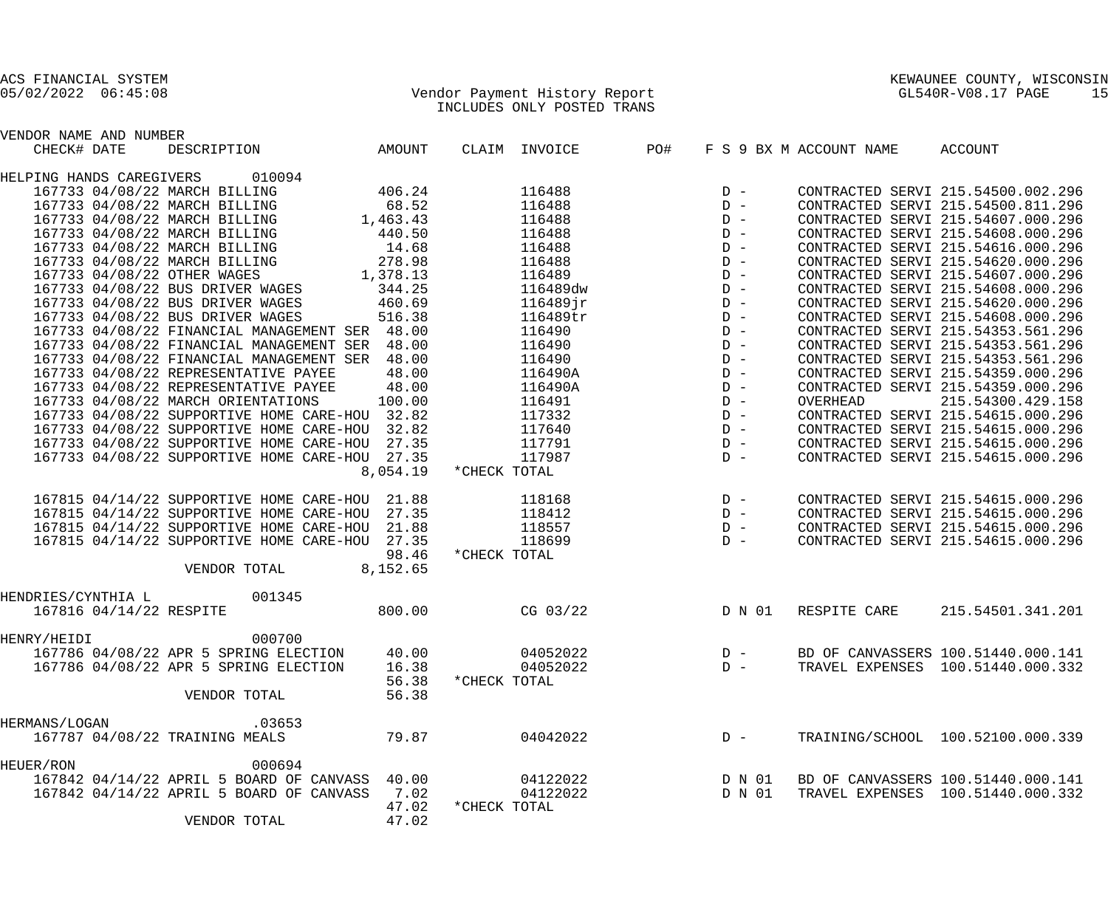## 05/02/2022 06:45:08 Vendor Payment History Report GL540R-V08.17 PAGE 15 INCLUDES ONLY POSTED TRANS

| VENDOR NAME AND NUMBER |                                                |          |              |                                                           |                                                                                                                         |        |                         |                                    |
|------------------------|------------------------------------------------|----------|--------------|-----------------------------------------------------------|-------------------------------------------------------------------------------------------------------------------------|--------|-------------------------|------------------------------------|
| CHECK# DATE            | DESCRIPTION AMOUNT                             |          |              | CLAIM INVOICE                                             | PO#                                                                                                                     |        | F S 9 BX M ACCOUNT NAME | ACCOUNT                            |
|                        | HELPING HANDS CAREGIVERS 010094                |          |              |                                                           |                                                                                                                         |        |                         |                                    |
|                        | 167733 04/08/22 MARCH BILLING                  | 406.24   |              | 116488                                                    |                                                                                                                         |        |                         | CONTRACTED SERVI 215.54500.002.296 |
|                        | 167733 04/08/22 MARCH BILLING                  | 68.52    |              | 116488                                                    |                                                                                                                         |        |                         | CONTRACTED SERVI 215.54500.811.296 |
|                        | 1,463.43<br>167733 04/08/22 MARCH BILLING      |          |              | 116488                                                    |                                                                                                                         |        |                         | CONTRACTED SERVI 215.54607.000.296 |
|                        | 167733 04/08/22 MARCH BILLING<br>440.50        |          |              | 116488                                                    |                                                                                                                         |        |                         | CONTRACTED SERVI 215.54608.000.296 |
|                        | 167733 04/08/22 MARCH BILLING                  | 14.68    |              | 116488                                                    |                                                                                                                         |        |                         | CONTRACTED SERVI 215.54616.000.296 |
|                        | 278.98<br>167733 04/08/22 MARCH BILLING        |          |              | 116488                                                    |                                                                                                                         |        |                         | CONTRACTED SERVI 215.54620.000.296 |
|                        | 1,378.13<br>167733 04/08/22 OTHER WAGES        |          |              | 116489                                                    |                                                                                                                         |        |                         | CONTRACTED SERVI 215.54607.000.296 |
|                        | 167733 04/08/22 BUS DRIVER WAGES 344.25        |          |              | 116489dw                                                  |                                                                                                                         |        |                         | CONTRACTED SERVI 215.54608.000.296 |
|                        | 167733 04/08/22 BUS DRIVER WAGES<br>460.69     |          |              | $116489$ jr                                               |                                                                                                                         |        |                         | CONTRACTED SERVI 215.54620.000.296 |
|                        | 167733 04/08/22 BUS DRIVER WAGES               | 516.38   |              | 116489tr                                                  |                                                                                                                         |        |                         | CONTRACTED SERVI 215.54608.000.296 |
|                        | 167733 04/08/22 FINANCIAL MANAGEMENT SER 48.00 |          |              | 116490                                                    |                                                                                                                         |        |                         | CONTRACTED SERVI 215.54353.561.296 |
|                        | 167733 04/08/22 FINANCIAL MANAGEMENT SER 48.00 |          |              | 116490                                                    |                                                                                                                         |        |                         | CONTRACTED SERVI 215.54353.561.296 |
|                        | 167733 04/08/22 FINANCIAL MANAGEMENT SER 48.00 |          |              | 116490                                                    |                                                                                                                         |        |                         | CONTRACTED SERVI 215.54353.561.296 |
|                        | 167733 04/08/22 REPRESENTATIVE PAYEE           | 48.00    |              | 116490A                                                   |                                                                                                                         |        |                         | CONTRACTED SERVI 215.54359.000.296 |
|                        | 167733 04/08/22 REPRESENTATIVE PAYEE           | 48.00    |              | 116490A                                                   |                                                                                                                         |        |                         | CONTRACTED SERVI 215.54359.000.296 |
|                        | 167733 04/08/22 MARCH ORIENTATIONS             | 100.00   |              | 116491                                                    |                                                                                                                         |        | OVERHEAD                | 215.54300.429.158                  |
|                        | 167733 04/08/22 SUPPORTIVE HOME CARE-HOU 32.82 |          |              | 117332                                                    |                                                                                                                         |        |                         | CONTRACTED SERVI 215.54615.000.296 |
|                        | 167733 04/08/22 SUPPORTIVE HOME CARE-HOU 32.82 |          |              | 117640                                                    | $\begin{array}{ccc} & \text{D} & - \\ & \text{D} & - \\ & \text{D} & - \\ & \text{D} & - \\ & \text{D} & - \end{array}$ |        |                         | CONTRACTED SERVI 215.54615.000.296 |
|                        | 167733 04/08/22 SUPPORTIVE HOME CARE-HOU 27.35 |          |              | 117791                                                    |                                                                                                                         | $D -$  |                         | CONTRACTED SERVI 215.54615.000.296 |
|                        | 167733 04/08/22 SUPPORTIVE HOME CARE-HOU 27.35 |          |              | 117987                                                    |                                                                                                                         | $D -$  |                         | CONTRACTED SERVI 215.54615.000.296 |
|                        |                                                | 8,054.19 | *CHECK TOTAL |                                                           |                                                                                                                         |        |                         |                                    |
|                        | 167815 04/14/22 SUPPORTIVE HOME CARE-HOU 21.88 |          |              | $\begin{array}{c}\nD & - \\ D & -\n\end{array}$<br>118168 |                                                                                                                         |        |                         | CONTRACTED SERVI 215.54615.000.296 |
|                        | 167815 04/14/22 SUPPORTIVE HOME CARE-HOU 27.35 |          |              | 118412                                                    |                                                                                                                         |        |                         | CONTRACTED SERVI 215.54615.000.296 |
|                        | 167815 04/14/22 SUPPORTIVE HOME CARE-HOU 21.88 |          |              | 118557                                                    | $\begin{array}{c} \mathbf{D} & - \\ \mathbf{D} & - \end{array}$                                                         |        |                         | CONTRACTED SERVI 215.54615.000.296 |
|                        | 167815 04/14/22 SUPPORTIVE HOME CARE-HOU 27.35 |          |              | 118699                                                    |                                                                                                                         |        |                         | CONTRACTED SERVI 215.54615.000.296 |
|                        |                                                | 98.46    | *CHECK TOTAL |                                                           |                                                                                                                         |        |                         |                                    |
|                        | VENDOR TOTAL 8,152.65                          |          |              |                                                           |                                                                                                                         |        |                         |                                    |
| HENDRIES/CYNTHIA L     | 001345                                         |          |              |                                                           |                                                                                                                         |        |                         |                                    |
|                        | 167816 04/14/22 RESPITE                        | 800.00   | CG $03/22$   |                                                           |                                                                                                                         | D N 01 | RESPITE CARE            | 215.54501.341.201                  |
| HENRY/HEIDI            | 000700                                         |          |              |                                                           |                                                                                                                         |        |                         |                                    |
|                        | 167786 04/08/22 APR 5 SPRING ELECTION 40.00    |          |              | 04052022                                                  |                                                                                                                         | $D -$  |                         | BD OF CANVASSERS 100.51440.000.141 |
|                        | 167786 04/08/22 APR 5 SPRING ELECTION          | 16.38    |              | 04052022                                                  |                                                                                                                         | $D -$  |                         | TRAVEL EXPENSES 100.51440.000.332  |
|                        |                                                | 56.38    | *CHECK TOTAL |                                                           |                                                                                                                         |        |                         |                                    |
|                        | VENDOR TOTAL                                   | 56.38    |              |                                                           |                                                                                                                         |        |                         |                                    |
| HERMANS/LOGAN          | .03653                                         |          |              |                                                           |                                                                                                                         |        |                         |                                    |
|                        | 167787 04/08/22 TRAINING MEALS                 | 79.87    |              | 04042022                                                  |                                                                                                                         | $D -$  |                         | TRAINING/SCHOOL 100.52100.000.339  |
| HEUER/RON              | 000694                                         |          |              |                                                           |                                                                                                                         |        |                         |                                    |
|                        | 167842 04/14/22 APRIL 5 BOARD OF CANVASS 40.00 |          |              | 04122022                                                  |                                                                                                                         | D N 01 |                         | BD OF CANVASSERS 100.51440.000.141 |
|                        | 167842 04/14/22 APRIL 5 BOARD OF CANVASS       | 7.02     |              | 04122022                                                  |                                                                                                                         | D N 01 |                         | TRAVEL EXPENSES 100.51440.000.332  |
|                        |                                                | 47.02    | *CHECK TOTAL |                                                           |                                                                                                                         |        |                         |                                    |
|                        | VENDOR TOTAL                                   | 47.02    |              |                                                           |                                                                                                                         |        |                         |                                    |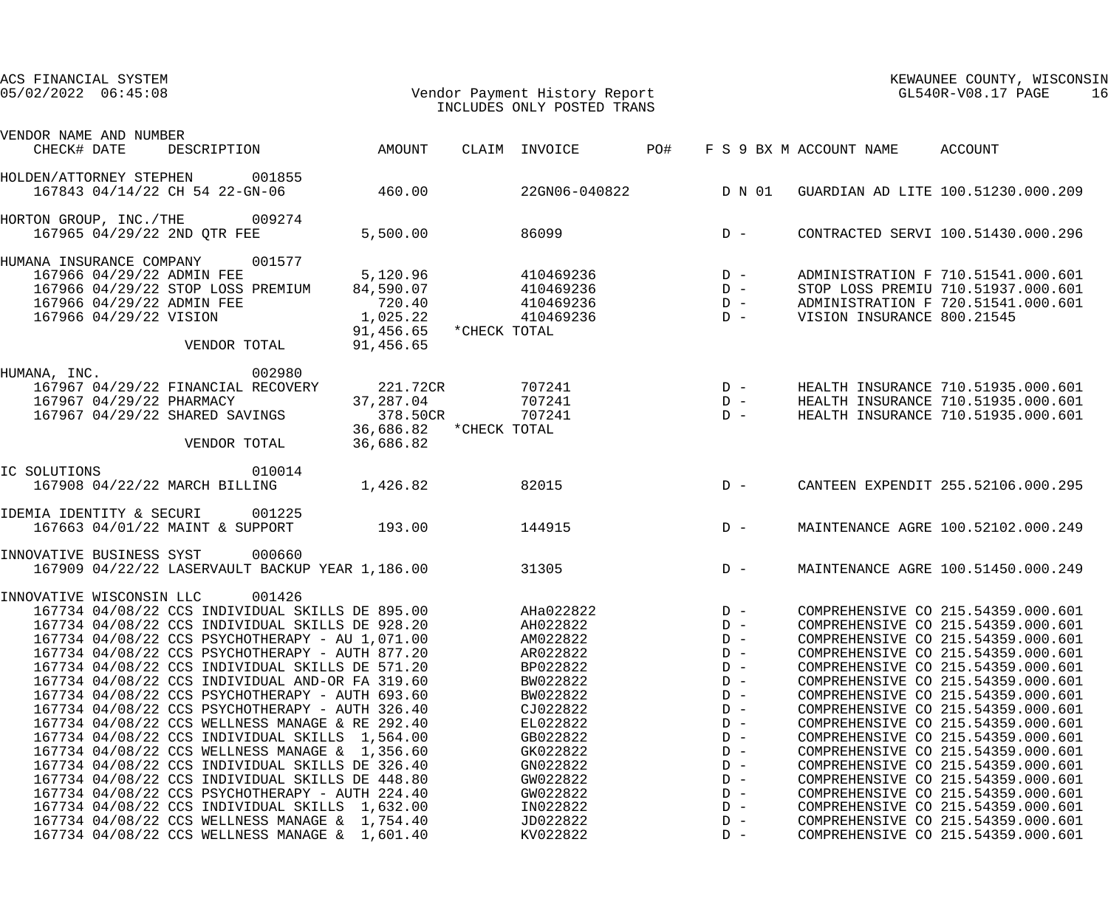| ACS FINANCIAL SYSTEM<br>$05/02/2022$ $06:45:08$                  | Vendor Payment History Report                   |                         |        | INCLUDES ONLY POSTED TRANS                                                 |       |                                                                                    | GL540R-V08.17 PAGE              | KEWAUNEE COUNTY, WISCONSIN         | 16 |
|------------------------------------------------------------------|-------------------------------------------------|-------------------------|--------|----------------------------------------------------------------------------|-------|------------------------------------------------------------------------------------|---------------------------------|------------------------------------|----|
| VENDOR NAME AND NUMBER                                           |                                                 |                         |        |                                                                            |       |                                                                                    |                                 |                                    |    |
| CHECK# DATE                                                      | DESCRIPTION                                     | AMOUNT                  |        | CLAIM INVOICE                                                              | PO#   |                                                                                    | F S 9 BX M ACCOUNT NAME ACCOUNT |                                    |    |
| HOLDEN/ATTORNEY STEPHEN 001855<br>167843 04/14/22 CH 54 22-GN-06 |                                                 | 460.00                  |        | 22GN06-040822                                                              |       | D N 01                                                                             |                                 | GUARDIAN AD LITE 100.51230.000.209 |    |
|                                                                  |                                                 |                         |        |                                                                            |       |                                                                                    |                                 |                                    |    |
| HORTON GROUP, INC./THE 009274<br>167965 04/29/22 2ND QTR FEE     |                                                 | 5,500.00                |        | 86099                                                                      |       | $D -$                                                                              |                                 | CONTRACTED SERVI 100.51430.000.296 |    |
| HUMANA INSURANCE COMPANY 001577                                  |                                                 |                         |        |                                                                            |       |                                                                                    |                                 |                                    |    |
| 167966 04/29/22 ADMIN FEE                                        |                                                 | 5,120.96                |        |                                                                            |       |                                                                                    |                                 | ADMINISTRATION F 710.51541.000.601 |    |
| 167966 04/29/22 STOP LOSS PREMIUM                                |                                                 | 84,590.07               |        |                                                                            |       |                                                                                    |                                 | STOP LOSS PREMIU 710.51937.000.601 |    |
| 167966 04/29/22 ADMIN FEE                                        |                                                 | 720.40                  |        |                                                                            |       |                                                                                    |                                 | ADMINISTRATION F 720.51541.000.601 |    |
| 167966 04/29/22 VISION                                           |                                                 | 1,025.22                |        | $210469236$<br>$410469236$<br>$410469236$<br>$410469236$<br>$D -$<br>$D -$ |       |                                                                                    | VISION INSURANCE 800.21545      |                                    |    |
|                                                                  |                                                 | 91,456.65 *CHECK TOTAL  |        |                                                                            |       |                                                                                    |                                 |                                    |    |
|                                                                  | VENDOR TOTAL                                    | 91,456.65               |        |                                                                            |       |                                                                                    |                                 |                                    |    |
| HUMANA, INC.                                                     | 002980                                          |                         |        |                                                                            |       |                                                                                    |                                 |                                    |    |
| 167967 04/29/22 FINANCIAL RECOVERY                               |                                                 | 221.72CR                |        | 707241                                                                     |       |                                                                                    |                                 | HEALTH INSURANCE 710.51935.000.601 |    |
| 167967 04/29/22 PHARMACY                                         |                                                 | 37,287.04               |        | 707241                                                                     |       |                                                                                    |                                 | HEALTH INSURANCE 710.51935.000.601 |    |
| 167967 04/29/22 SHARED SAVINGS                                   |                                                 | 378.50CR                |        | 707241                                                                     |       | $\begin{array}{ccc} &\text{D} & - \\ & \text{D} & - \\ & \text{D} & - \end{array}$ |                                 | HEALTH INSURANCE 710.51935.000.601 |    |
|                                                                  |                                                 | 36,686.82 * CHECK TOTAL |        |                                                                            |       |                                                                                    |                                 |                                    |    |
|                                                                  | VENDOR TOTAL                                    | 36,686.82               |        |                                                                            |       |                                                                                    |                                 |                                    |    |
| IC SOLUTIONS                                                     | 010014                                          |                         |        |                                                                            |       |                                                                                    |                                 |                                    |    |
| 167908 04/22/22 MARCH BILLING                                    |                                                 | 1,426.82                |        | 82015                                                                      |       | $D -$                                                                              |                                 | CANTEEN EXPENDIT 255.52106.000.295 |    |
| IDEMIA IDENTITY & SECURI                                         | 001225                                          |                         |        |                                                                            |       |                                                                                    |                                 |                                    |    |
| 167663 04/01/22 MAINT & SUPPORT                                  |                                                 | 193.00                  | 144915 |                                                                            | $D -$ |                                                                                    |                                 | MAINTENANCE AGRE 100.52102.000.249 |    |
|                                                                  |                                                 |                         |        |                                                                            |       |                                                                                    |                                 |                                    |    |
| INNOVATIVE BUSINESS SYST                                         | 000660                                          |                         |        |                                                                            |       |                                                                                    |                                 |                                    |    |
|                                                                  | 167909 04/22/22 LASERVAULT BACKUP YEAR 1,186.00 |                         |        | 31305                                                                      |       | $D -$                                                                              |                                 | MAINTENANCE AGRE 100.51450.000.249 |    |
| INNOVATIVE WISCONSIN LLC                                         | 001426                                          |                         |        |                                                                            |       |                                                                                    |                                 |                                    |    |
|                                                                  | 167734 04/08/22 CCS INDIVIDUAL SKILLS DE 895.00 |                         |        | AHa022822                                                                  |       | $D -$                                                                              |                                 | COMPREHENSIVE CO 215.54359.000.601 |    |
|                                                                  | 167734 04/08/22 CCS INDIVIDUAL SKILLS DE 928.20 |                         |        | AH022822                                                                   |       | $D -$                                                                              |                                 | COMPREHENSIVE CO 215.54359.000.601 |    |
|                                                                  | 167734 04/08/22 CCS PSYCHOTHERAPY - AU 1,071.00 |                         |        | AM022822                                                                   |       | $D -$                                                                              |                                 | COMPREHENSIVE CO 215.54359.000.601 |    |
|                                                                  | 167734 04/08/22 CCS PSYCHOTHERAPY - AUTH 877.20 |                         |        | AR022822                                                                   |       | $D -$                                                                              |                                 | COMPREHENSIVE CO 215.54359.000.601 |    |
|                                                                  | 167734 04/08/22 CCS INDIVIDUAL SKILLS DE 571.20 |                         |        | BP022822                                                                   |       | $D -$                                                                              |                                 | COMPREHENSIVE CO 215.54359.000.601 |    |
|                                                                  | 167734 04/08/22 CCS INDIVIDUAL AND-OR FA 319.60 |                         |        | BW022822                                                                   |       | $D -$                                                                              |                                 | COMPREHENSIVE CO 215.54359.000.601 |    |
|                                                                  | 167734 04/08/22 CCS PSYCHOTHERAPY - AUTH 693.60 |                         |        | BW022822                                                                   |       | $D -$                                                                              |                                 | COMPREHENSIVE CO 215.54359.000.601 |    |
|                                                                  | 167734 04/08/22 CCS PSYCHOTHERAPY - AUTH 326.40 |                         |        | CJ022822                                                                   |       | $D -$                                                                              |                                 | COMPREHENSIVE CO 215.54359.000.601 |    |
|                                                                  | 167734 04/08/22 CCS WELLNESS MANAGE & RE 292.40 |                         |        | EL022822                                                                   |       | $D -$                                                                              |                                 | COMPREHENSIVE CO 215.54359.000.601 |    |
|                                                                  | 167734 04/08/22 CCS INDIVIDUAL SKILLS 1,564.00  |                         |        | GB022822                                                                   |       | $D -$                                                                              |                                 | COMPREHENSIVE CO 215.54359.000.601 |    |
|                                                                  | 167734 04/08/22 CCS WELLNESS MANAGE & 1,356.60  |                         |        | GK022822                                                                   |       | $D -$                                                                              |                                 | COMPREHENSIVE CO 215.54359.000.601 |    |
|                                                                  | 167734 04/08/22 CCS INDIVIDUAL SKILLS DE 326.40 |                         |        | GN022822                                                                   |       | $D -$                                                                              |                                 | COMPREHENSIVE CO 215.54359.000.601 |    |
|                                                                  | 167734 04/08/22 CCS INDIVIDUAL SKILLS DE 448.80 |                         |        | GW022822                                                                   |       | $D -$                                                                              |                                 | COMPREHENSIVE CO 215.54359.000.601 |    |
|                                                                  | 167734 04/08/22 CCS PSYCHOTHERAPY - AUTH 224.40 |                         |        | GW022822                                                                   |       | $D -$                                                                              |                                 | COMPREHENSIVE CO 215.54359.000.601 |    |
|                                                                  | 167734 04/08/22 CCS INDIVIDUAL SKILLS 1,632.00  |                         |        | IN022822                                                                   |       | $D -$                                                                              |                                 | COMPREHENSIVE CO 215.54359.000.601 |    |
|                                                                  | 167734 04/08/22 CCS WELLNESS MANAGE & 1,754.40  |                         |        | JD022822                                                                   |       | $D -$                                                                              |                                 | COMPREHENSIVE CO 215.54359.000.601 |    |
|                                                                  | 167734 04/08/22 CCS WELLNESS MANAGE & 1,601.40  |                         |        | KV022822                                                                   |       | $D -$                                                                              |                                 | COMPREHENSIVE CO 215.54359.000.601 |    |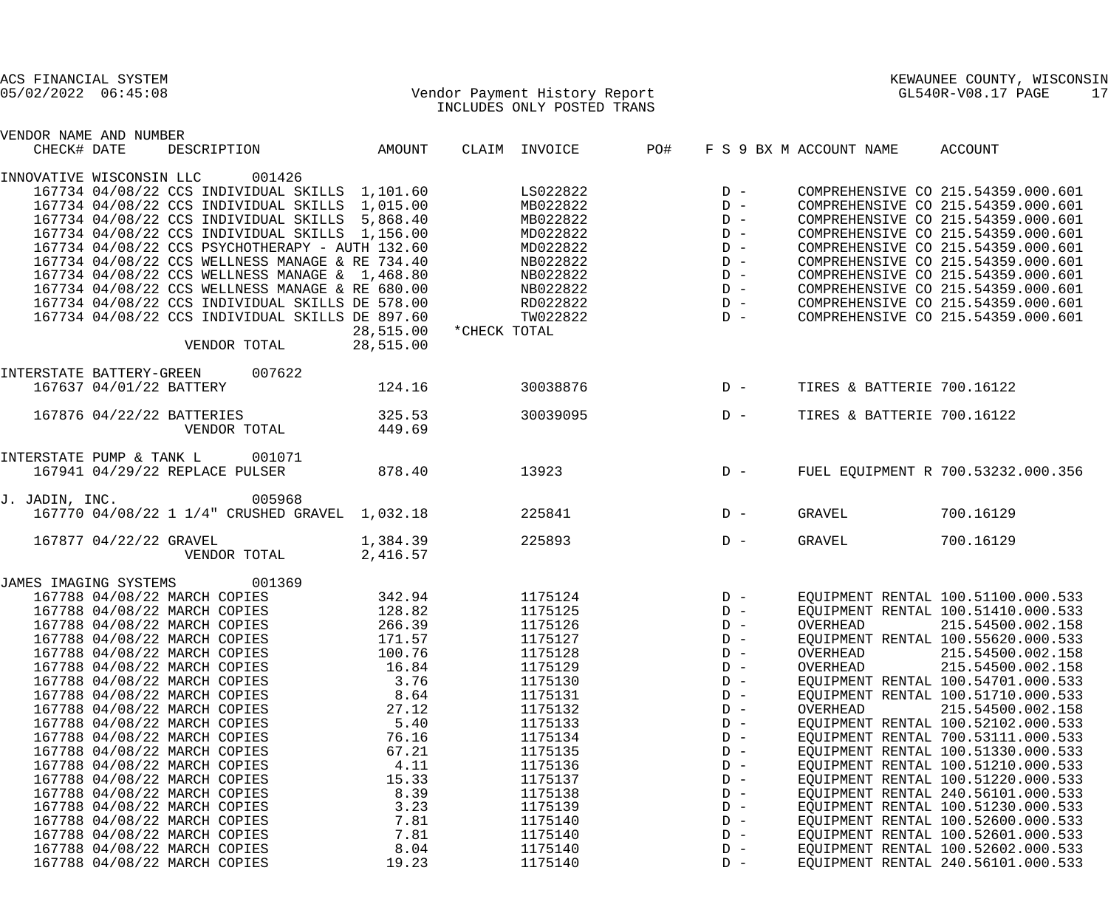| ACS FINANCIAL SYSTEM     |                         |                                                 |           |              |                               |     |       |                         | KEWAUNEE COUNTY, WISCONSIN         |
|--------------------------|-------------------------|-------------------------------------------------|-----------|--------------|-------------------------------|-----|-------|-------------------------|------------------------------------|
| $05/02/2022$ $06:45:08$  |                         |                                                 |           |              | Vendor Payment History Report |     |       |                         | $GL540R-V08.17$ PAGE<br>17         |
|                          |                         |                                                 |           |              | INCLUDES ONLY POSTED TRANS    |     |       |                         |                                    |
| VENDOR NAME AND NUMBER   |                         |                                                 |           |              |                               |     |       |                         |                                    |
| CHECK# DATE              |                         | DESCRIPTION                                     | AMOUNT    |              | CLAIM INVOICE                 | PO# |       | F S 9 BX M ACCOUNT NAME | ACCOUNT                            |
| INNOVATIVE WISCONSIN LLC |                         | 001426                                          |           |              |                               |     |       |                         |                                    |
|                          |                         | 167734 04/08/22 CCS INDIVIDUAL SKILLS 1,101.60  |           |              | LS022822                      |     | $D -$ |                         | COMPREHENSIVE CO 215.54359.000.601 |
|                          |                         | 167734 04/08/22 CCS INDIVIDUAL SKILLS 1,015.00  |           |              | MB022822                      |     | $D -$ |                         | COMPREHENSIVE CO 215.54359.000.601 |
|                          |                         | 167734 04/08/22 CCS INDIVIDUAL SKILLS 5,868.40  |           |              | MB022822                      |     | $D -$ |                         | COMPREHENSIVE CO 215.54359.000.601 |
|                          |                         | 167734 04/08/22 CCS INDIVIDUAL SKILLS 1,156.00  |           |              | MD022822                      |     | $D -$ |                         | COMPREHENSIVE CO 215.54359.000.601 |
|                          |                         | 167734 04/08/22 CCS PSYCHOTHERAPY - AUTH 132.60 |           |              | MD022822                      |     | $D -$ |                         | COMPREHENSIVE CO 215.54359.000.601 |
|                          |                         | 167734 04/08/22 CCS WELLNESS MANAGE & RE 734.40 |           |              | NB022822                      |     | $D -$ |                         | COMPREHENSIVE CO 215.54359.000.601 |
|                          |                         | 167734 04/08/22 CCS WELLNESS MANAGE & 1,468.80  |           |              | NB022822                      |     | $D -$ |                         | COMPREHENSIVE CO 215.54359.000.601 |
|                          |                         | 167734 04/08/22 CCS WELLNESS MANAGE & RE 680.00 |           |              | NB022822                      |     | $D -$ |                         | COMPREHENSIVE CO 215.54359.000.601 |
|                          |                         | 167734 04/08/22 CCS INDIVIDUAL SKILLS DE 578.00 |           |              | RD022822                      |     | $D -$ |                         | COMPREHENSIVE CO 215.54359.000.601 |
|                          |                         | 167734 04/08/22 CCS INDIVIDUAL SKILLS DE 897.60 |           |              | TW022822                      |     | $D -$ |                         | COMPREHENSIVE CO 215.54359.000.601 |
|                          |                         |                                                 | 28,515.00 | *CHECK TOTAL |                               |     |       |                         |                                    |
|                          |                         | VENDOR TOTAL                                    | 28,515.00 |              |                               |     |       |                         |                                    |
|                          |                         |                                                 |           |              |                               |     |       |                         |                                    |
| INTERSTATE BATTERY-GREEN |                         | 007622                                          |           |              |                               |     |       |                         |                                    |
|                          | 167637 04/01/22 BATTERY |                                                 | 124.16    |              | 30038876                      |     | $D -$ |                         | TIRES & BATTERIE 700.16122         |
|                          |                         | 167876 04/22/22 BATTERIES                       | 325.53    |              | 30039095                      |     | $D -$ |                         | TIRES & BATTERIE 700.16122         |
|                          |                         | VENDOR TOTAL                                    | 449.69    |              |                               |     |       |                         |                                    |
|                          |                         |                                                 |           |              |                               |     |       |                         |                                    |
| INTERSTATE PUMP & TANK L |                         | 001071<br>167941 04/29/22 REPLACE PULSER        | 878.40    |              | 13923                         |     | $D -$ |                         | FUEL EQUIPMENT R 700.53232.000.356 |
|                          |                         |                                                 |           |              |                               |     |       |                         |                                    |
| J. JADIN, INC.           |                         | 005968                                          |           |              |                               |     |       |                         |                                    |
|                          |                         | 167770 04/08/22 1 1/4" CRUSHED GRAVEL 1,032.18  |           |              | 225841                        |     | $D -$ | GRAVEL                  | 700.16129                          |
|                          | 167877 04/22/22 GRAVEL  |                                                 | 1,384.39  |              | 225893                        |     | $D -$ | GRAVEL                  | 700.16129                          |
|                          |                         | VENDOR TOTAL                                    | 2,416.57  |              |                               |     |       |                         |                                    |
| JAMES IMAGING SYSTEMS    |                         | 001369                                          |           |              |                               |     |       |                         |                                    |
|                          |                         | 167788 04/08/22 MARCH COPIES                    | 342.94    |              | 1175124                       |     | $D -$ |                         | EQUIPMENT RENTAL 100.51100.000.533 |
|                          |                         | 167788 04/08/22 MARCH COPIES                    | 128.82    |              | 1175125                       |     | $D -$ |                         | EQUIPMENT RENTAL 100.51410.000.533 |
|                          |                         | 167788 04/08/22 MARCH COPIES                    | 266.39    |              | 1175126                       |     | $D -$ | OVERHEAD                | 215.54500.002.158                  |
|                          |                         | 167788 04/08/22 MARCH COPIES                    | 171.57    |              | 1175127                       |     | $D -$ |                         | EQUIPMENT RENTAL 100.55620.000.533 |
|                          |                         | 167788 04/08/22 MARCH COPIES                    | 100.76    |              | 1175128                       |     | $D -$ | OVERHEAD                | 215.54500.002.158                  |
|                          |                         | 167788 04/08/22 MARCH COPIES                    | 16.84     |              | 1175129                       |     | $D -$ | OVERHEAD                | 215.54500.002.158                  |
|                          |                         | 167788 04/08/22 MARCH COPIES                    | 3.76      |              | 1175130                       |     | $D -$ |                         | EQUIPMENT RENTAL 100.54701.000.533 |
|                          |                         | 167788 04/08/22 MARCH COPIES                    | 8.64      |              | 1175131                       |     | $D -$ |                         | EQUIPMENT RENTAL 100.51710.000.533 |
|                          |                         | 167788 04/08/22 MARCH COPIES                    | 27.12     |              | 1175132                       |     | $D -$ | OVERHEAD                | 215.54500.002.158                  |
|                          |                         | 167788 04/08/22 MARCH COPIES                    | 5.40      |              | 1175133                       |     | $D -$ |                         | EQUIPMENT RENTAL 100.52102.000.533 |
|                          |                         | 167788 04/08/22 MARCH COPIES                    | 76.16     |              | 1175134                       |     | $D -$ |                         | EQUIPMENT RENTAL 700.53111.000.533 |
|                          |                         | 167788 04/08/22 MARCH COPIES                    | 67.21     |              | 1175135                       |     | $D -$ |                         | EQUIPMENT RENTAL 100.51330.000.533 |
|                          |                         | 167788 04/08/22 MARCH COPIES                    | 4.11      |              | 1175136                       |     | $D -$ |                         | EQUIPMENT RENTAL 100.51210.000.533 |
|                          |                         | 167788 04/08/22 MARCH COPIES                    | 15.33     |              | 1175137                       |     | $D -$ |                         | EQUIPMENT RENTAL 100.51220.000.533 |
|                          |                         | 167788 04/08/22 MARCH COPIES                    | 8.39      |              | 1175138                       |     | $D -$ |                         | EQUIPMENT RENTAL 240.56101.000.533 |
|                          |                         | 167788 04/08/22 MARCH COPIES                    | 3.23      |              | 1175139                       |     | $D -$ |                         | EQUIPMENT RENTAL 100.51230.000.533 |
|                          |                         | 167788 04/08/22 MARCH COPIES                    | 7.81      |              | 1175140                       |     | $D -$ |                         | EQUIPMENT RENTAL 100.52600.000.533 |
|                          |                         | 167788 04/08/22 MARCH COPIES                    | 7.81      |              | 1175140                       |     | $D -$ |                         | EQUIPMENT RENTAL 100.52601.000.533 |
|                          |                         | 167788 04/08/22 MARCH COPIES                    | 8.04      |              | 1175140                       |     | $D -$ |                         | EQUIPMENT RENTAL 100.52602.000.533 |

167788 04/08/22 MARCH COPIES 19.23 1175140 D - EQUIPMENT RENTAL 240.56101.000.533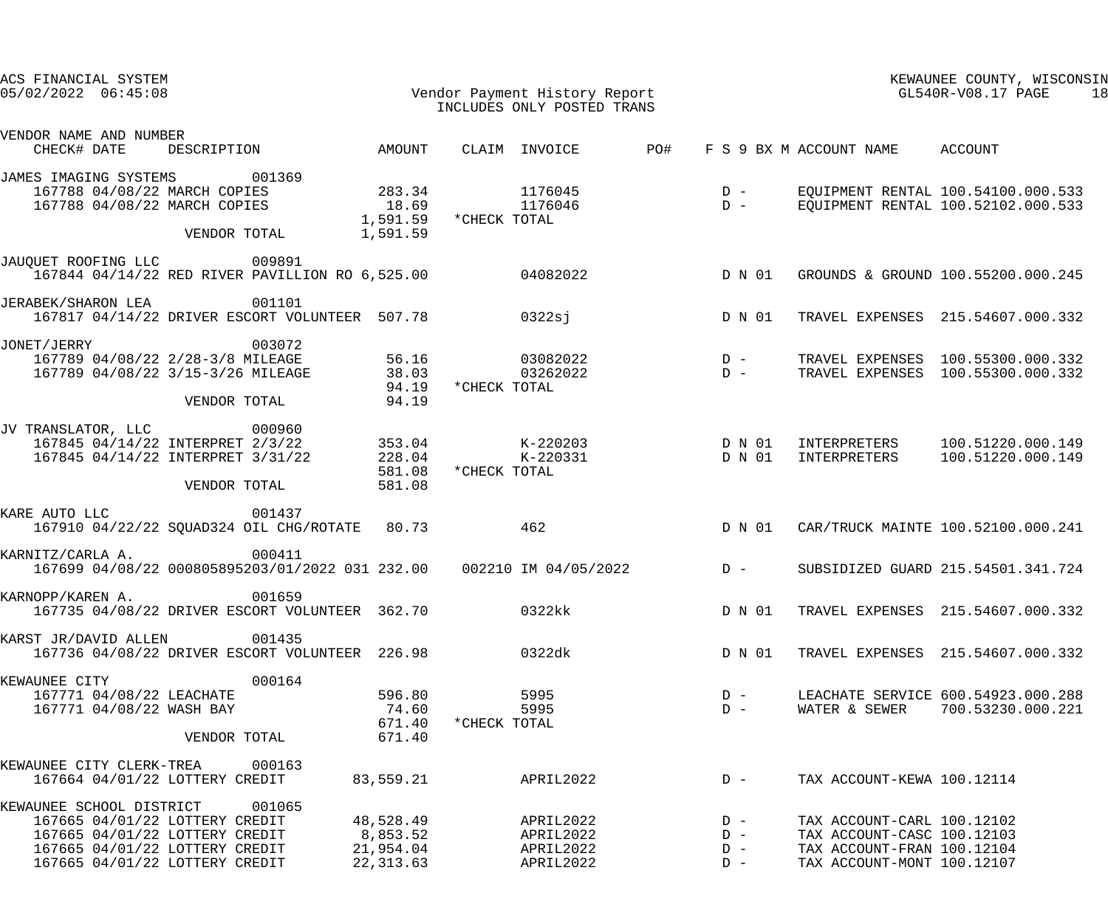| ACS FINANCIAL SYSTEM<br>Vendor Payment History Report<br>INCLUDES ONLY POSTED TRANS<br>$05/02/2022$ $06:45:08$                                                                         |                                     |                                                    |                                                                 | KEWAUNEE COUNTY, WISCONSIN<br>GL540R-V08.17 PAGE<br>18                                                               |                                                                          |
|----------------------------------------------------------------------------------------------------------------------------------------------------------------------------------------|-------------------------------------|----------------------------------------------------|-----------------------------------------------------------------|----------------------------------------------------------------------------------------------------------------------|--------------------------------------------------------------------------|
| VENDOR NAME AND NUMBER<br>DESCRIPTION AMOUNT<br>CHECK# DATE                                                                                                                            |                                     | CLAIM INVOICE PO#                                  |                                                                 | F S 9 BX M ACCOUNT NAME ACCOUNT                                                                                      |                                                                          |
| JAMES IMAGING SYSTEMS 001369<br>283.34<br>167788 04/08/22 MARCH COPIES<br>167788 04/08/22 MARCH COPIES                                                                                 |                                     | 1176045<br>18.69 1176046                           | $\begin{array}{c} \mathbf{D} & - \\ \mathbf{D} & - \end{array}$ |                                                                                                                      | EQUIPMENT RENTAL 100.54100.000.533<br>EQUIPMENT RENTAL 100.52102.000.533 |
| VENDOR TOTAL                                                                                                                                                                           | 1,591.59                            | 1,591.59 *CHECK TOTAL                              |                                                                 |                                                                                                                      |                                                                          |
| JAUQUET ROOFING LLC<br>009891<br>167844 04/14/22 RED RIVER PAVILLION RO 6,525.00 04082022                                                                                              |                                     |                                                    | D N 01                                                          |                                                                                                                      | GROUNDS & GROUND 100.55200.000.245                                       |
| JERABEK/SHARON LEA<br>001101<br>167817 04/14/22 DRIVER ESCORT VOLUNTEER 507.78 0322sj                                                                                                  |                                     |                                                    | D N 01                                                          |                                                                                                                      | TRAVEL EXPENSES 215.54607.000.332                                        |
| JONET/JERRY<br>003072<br>56.16<br>167789 04/08/22 2/28-3/8 MILEAGE<br>38.03<br>167789 04/08/22 3/15-3/26 MILEAGE<br>VENDOR TOTAL                                                       | 94.19<br>94.19                      | *CHECK TOTAL                                       |                                                                 |                                                                                                                      | TRAVEL EXPENSES 100.55300.000.332<br>TRAVEL EXPENSES 100.55300.000.332   |
| JV TRANSLATOR, LLC<br>000960<br>167845 04/14/22 INTERPRET 2/3/22 353.04<br>228.04<br>167845 04/14/22 INTERPRET 3/31/22<br>VENDOR TOTAL                                                 | 581.08<br>581.08                    | K-220203 D N 01<br>K-220331 D N 01<br>*CHECK TOTAL |                                                                 |                                                                                                                      | INTERPRETERS 100.51220.000.149<br>INTERPRETERS 100.51220.000.149         |
| KARE AUTO LLC<br>001437<br>167910 04/22/22 SQUAD324 OIL CHG/ROTATE 80.73                                                                                                               |                                     | 462                                                | D N 01                                                          |                                                                                                                      | CAR/TRUCK MAINTE 100.52100.000.241                                       |
| KARNITZ/CARLA A.<br>000411<br>167699 04/08/22 000805895203/01/2022 031 232.00  002210 IM 04/05/2022  D -                                                                               |                                     |                                                    |                                                                 |                                                                                                                      | SUBSIDIZED GUARD 215.54501.341.724                                       |
| 001659<br>KARNOPP/KAREN A.<br>167735 04/08/22 DRIVER ESCORT VOLUNTEER 362.70                                                                                                           |                                     | 0322kk                                             | D N 01                                                          |                                                                                                                      | TRAVEL EXPENSES 215.54607.000.332                                        |
| 001435<br>KARST JR/DAVID ALLEN<br>167736 04/08/22 DRIVER ESCORT VOLUNTEER 226.98                                                                                                       |                                     | 0322dk                                             | D N 01                                                          |                                                                                                                      | TRAVEL EXPENSES 215.54607.000.332                                        |
| 000164<br>KEWAUNEE CITY<br>167771 04/08/22 LEACHATE<br>167771 04/08/22 WASH BAY<br>VENDOR TOTAL                                                                                        | 596.80<br>74.60<br>671.40<br>671.40 | 5995<br>5995<br>*CHECK TOTAL                       | $D -$<br>$D -$                                                  |                                                                                                                      | LEACHATE SERVICE 600.54923.000.288<br>WATER & SEWER 700.53230.000.221    |
| KEWAUNEE CITY CLERK-TREA 000163<br>167664 04/01/22 LOTTERY CREDIT                                                                                                                      | 83,559.21                           | APRIL2022                                          | $D -$                                                           | TAX ACCOUNT-KEWA 100.12114                                                                                           |                                                                          |
| KEWAUNEE SCHOOL DISTRICT<br>001065<br>167665 04/01/22 LOTTERY CREDIT<br>8,853.52<br>167665 04/01/22 LOTTERY CREDIT<br>167665 04/01/22 LOTTERY CREDIT<br>167665 04/01/22 LOTTERY CREDIT | 48,528.49<br>21,954.04<br>22,313.63 | APRIL2022<br>APRIL2022<br>APRIL2022<br>APRIL2022   | $D -$<br>$D -$<br>$D -$<br>$D -$                                | TAX ACCOUNT-CARL 100.12102<br>TAX ACCOUNT-CASC 100.12103<br>TAX ACCOUNT-FRAN 100.12104<br>TAX ACCOUNT-MONT 100.12107 |                                                                          |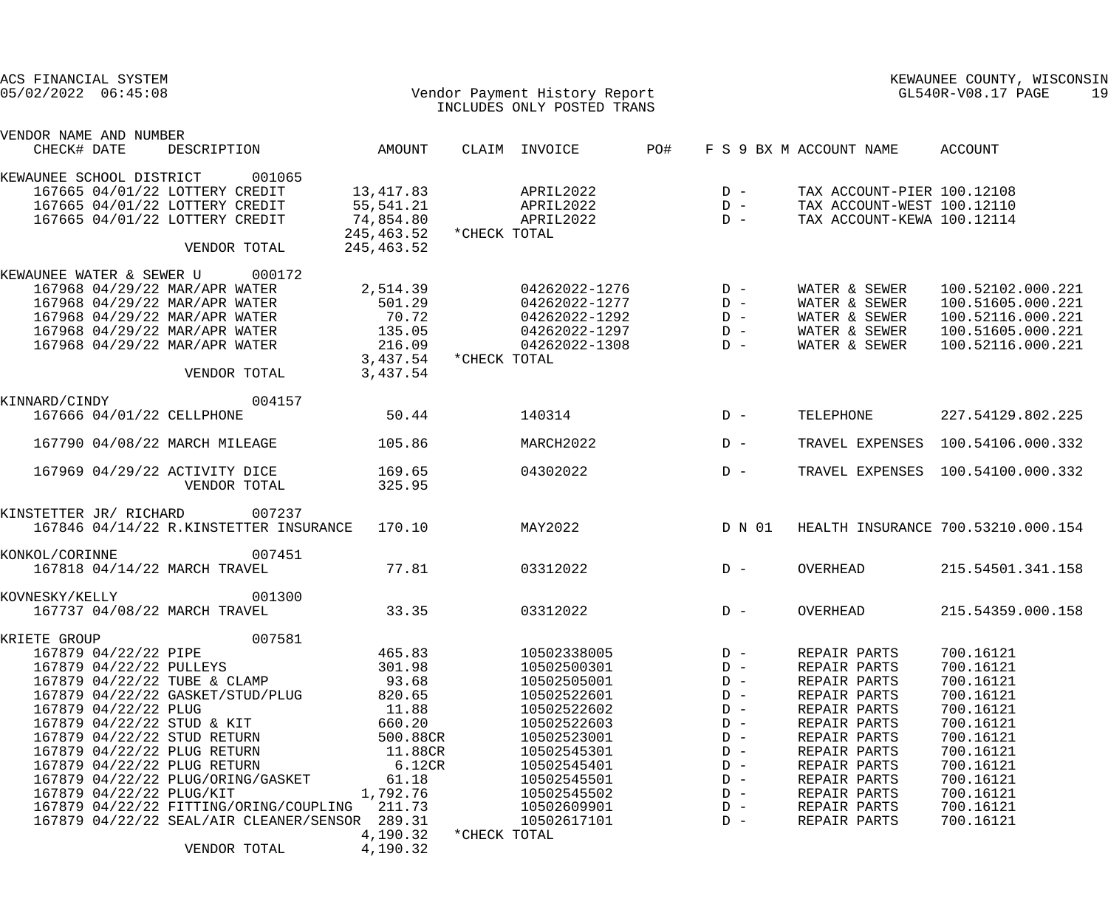| ACS FINANCIAL SYSTEM<br>$05/02/2022$ $06:45:08$ |                         |                                                | Vendor Payment History Report<br>INCLUDES ONLY POSTED TRANS |              |               |     |        | KEWAUNEE COUNTY, WISCONSIN<br>GL540R-V08.17 PAGE |                                    |  |
|-------------------------------------------------|-------------------------|------------------------------------------------|-------------------------------------------------------------|--------------|---------------|-----|--------|--------------------------------------------------|------------------------------------|--|
| VENDOR NAME AND NUMBER<br>CHECK# DATE           |                         | DESCRIPTION                                    | AMOUNT                                                      |              | CLAIM INVOICE | PO# |        | F S 9 BX M ACCOUNT NAME                          | ACCOUNT                            |  |
| KEWAUNEE SCHOOL DISTRICT                        |                         | 001065                                         |                                                             |              |               |     |        |                                                  |                                    |  |
|                                                 |                         | 167665 04/01/22 LOTTERY CREDIT                 | 13,417.83                                                   |              | APRIL2022     |     | $D -$  | TAX ACCOUNT-PIER 100.12108                       |                                    |  |
|                                                 |                         | 167665 04/01/22 LOTTERY CREDIT                 | 55,541.21                                                   |              | APRIL2022     |     | $D -$  | TAX ACCOUNT-WEST 100.12110                       |                                    |  |
|                                                 |                         | 167665 04/01/22 LOTTERY CREDIT                 | 74,854.80                                                   |              | APRIL2022     |     | $D -$  | TAX ACCOUNT-KEWA 100.12114                       |                                    |  |
|                                                 |                         |                                                | 245,463.52                                                  | *CHECK TOTAL |               |     |        |                                                  |                                    |  |
|                                                 |                         | VENDOR TOTAL                                   | 245,463.52                                                  |              |               |     |        |                                                  |                                    |  |
| KEWAUNEE WATER & SEWER U                        |                         | 000172                                         |                                                             |              |               |     |        |                                                  |                                    |  |
|                                                 |                         | 167968 04/29/22 MAR/APR WATER                  | 2,514.39                                                    |              | 04262022-1276 |     | $D -$  | WATER & SEWER                                    | 100.52102.000.221                  |  |
|                                                 |                         | 167968 04/29/22 MAR/APR WATER                  | 501.29                                                      |              | 04262022-1277 |     | $D -$  | WATER & SEWER                                    | 100.51605.000.221                  |  |
|                                                 |                         | 167968 04/29/22 MAR/APR WATER                  | 70.72                                                       |              | 04262022-1292 |     | $D -$  | WATER & SEWER                                    | 100.52116.000.221                  |  |
|                                                 |                         | 167968 04/29/22 MAR/APR WATER                  | 135.05                                                      |              | 04262022-1297 |     | $D -$  | WATER & SEWER                                    | 100.51605.000.221                  |  |
|                                                 |                         | 167968 04/29/22 MAR/APR WATER                  | 216.09                                                      |              | 04262022-1308 |     | $D -$  | WATER & SEWER                                    | 100.52116.000.221                  |  |
|                                                 |                         | VENDOR TOTAL                                   | 3,437.54<br>3,437.54                                        | *CHECK TOTAL |               |     |        |                                                  |                                    |  |
|                                                 |                         |                                                |                                                             |              |               |     |        |                                                  |                                    |  |
| KINNARD/CINDY                                   |                         | 004157                                         |                                                             |              |               |     |        |                                                  |                                    |  |
|                                                 |                         | 167666 04/01/22 CELLPHONE                      | 50.44                                                       |              | 140314        |     | $D -$  | TELEPHONE                                        | 227.54129.802.225                  |  |
|                                                 |                         | 167790 04/08/22 MARCH MILEAGE                  | 105.86                                                      |              | MARCH2022     |     | $D -$  |                                                  | TRAVEL EXPENSES 100.54106.000.332  |  |
|                                                 |                         | 167969 04/29/22 ACTIVITY DICE<br>VENDOR TOTAL  | 169.65<br>325.95                                            |              | 04302022      |     | $D -$  |                                                  | TRAVEL EXPENSES 100.54100.000.332  |  |
| KINSTETTER JR/ RICHARD                          |                         | 007237                                         |                                                             |              |               |     |        |                                                  |                                    |  |
|                                                 |                         | 167846 04/14/22 R.KINSTETTER INSURANCE         | 170.10                                                      |              | MAY2022       |     | D N 01 |                                                  | HEALTH INSURANCE 700.53210.000.154 |  |
| KONKOL/CORINNE                                  |                         | 007451                                         |                                                             |              |               |     |        |                                                  |                                    |  |
|                                                 |                         | 167818 04/14/22 MARCH TRAVEL                   | 77.81                                                       |              | 03312022      |     | $D -$  | OVERHEAD                                         | 215.54501.341.158                  |  |
| KOVNESKY/KELLY                                  |                         | 001300                                         |                                                             |              |               |     |        |                                                  |                                    |  |
|                                                 |                         | 167737 04/08/22 MARCH TRAVEL                   | 33.35                                                       |              | 03312022      |     | $D -$  | OVERHEAD                                         | 215.54359.000.158                  |  |
| KRIETE GROUP                                    |                         | 007581                                         |                                                             |              |               |     |        |                                                  |                                    |  |
|                                                 | 167879 04/22/22 PIPE    |                                                | 465.83                                                      |              | 10502338005   |     | $D -$  | REPAIR PARTS                                     | 700.16121                          |  |
|                                                 | 167879 04/22/22 PULLEYS |                                                | 301.98                                                      |              | 10502500301   |     | $D -$  | REPAIR PARTS                                     | 700.16121                          |  |
|                                                 |                         | 167879 04/22/22 TUBE & CLAMP                   | 93.68                                                       |              | 10502505001   |     | $D -$  | REPAIR PARTS                                     | 700.16121                          |  |
|                                                 |                         | 167879 04/22/22 GASKET/STUD/PLUG               | 820.65                                                      |              | 10502522601   |     | $D -$  | REPAIR PARTS                                     | 700.16121                          |  |
|                                                 | 167879 04/22/22 PLUG    |                                                | 11.88                                                       |              | 10502522602   |     | $D -$  | REPAIR PARTS                                     | 700.16121                          |  |
|                                                 |                         | 167879 04/22/22 STUD & KIT                     | 660.20                                                      |              | 10502522603   |     | $D -$  | REPAIR PARTS                                     | 700.16121                          |  |
|                                                 |                         | 167879 04/22/22 STUD RETURN                    | 500.88CR                                                    |              | 10502523001   |     | $D -$  | REPAIR PARTS                                     | 700.16121                          |  |
|                                                 |                         | 167879 04/22/22 PLUG RETURN                    | 11.88CR                                                     |              | 10502545301   |     | $D -$  | REPAIR PARTS                                     | 700.16121                          |  |
|                                                 |                         | 167879 04/22/22 PLUG RETURN                    | 6.12CR                                                      |              | 10502545401   |     | $D -$  | REPAIR PARTS                                     | 700.16121                          |  |
|                                                 |                         | 167879 04/22/22 PLUG/ORING/GASKET              | 61.18                                                       |              | 10502545501   |     | $D -$  | REPAIR PARTS                                     | 700.16121                          |  |
|                                                 |                         | 167879 04/22/22 PLUG/KIT                       | 1,792.76                                                    |              | 10502545502   |     | $D -$  | REPAIR PARTS                                     | 700.16121                          |  |
|                                                 |                         | 167879 04/22/22 FITTING/ORING/COUPLING 211.73  |                                                             |              | 10502609901   |     | $D -$  | REPAIR PARTS                                     | 700.16121                          |  |
|                                                 |                         | 167879 04/22/22 SEAL/AIR CLEANER/SENSOR 289.31 |                                                             |              | 10502617101   |     | $D -$  | REPAIR PARTS                                     | 700.16121                          |  |
|                                                 |                         |                                                | 4,190.32                                                    | *CHECK TOTAL |               |     |        |                                                  |                                    |  |
|                                                 |                         | VENDOR TOTAL                                   | 4,190.32                                                    |              |               |     |        |                                                  |                                    |  |
|                                                 |                         |                                                |                                                             |              |               |     |        |                                                  |                                    |  |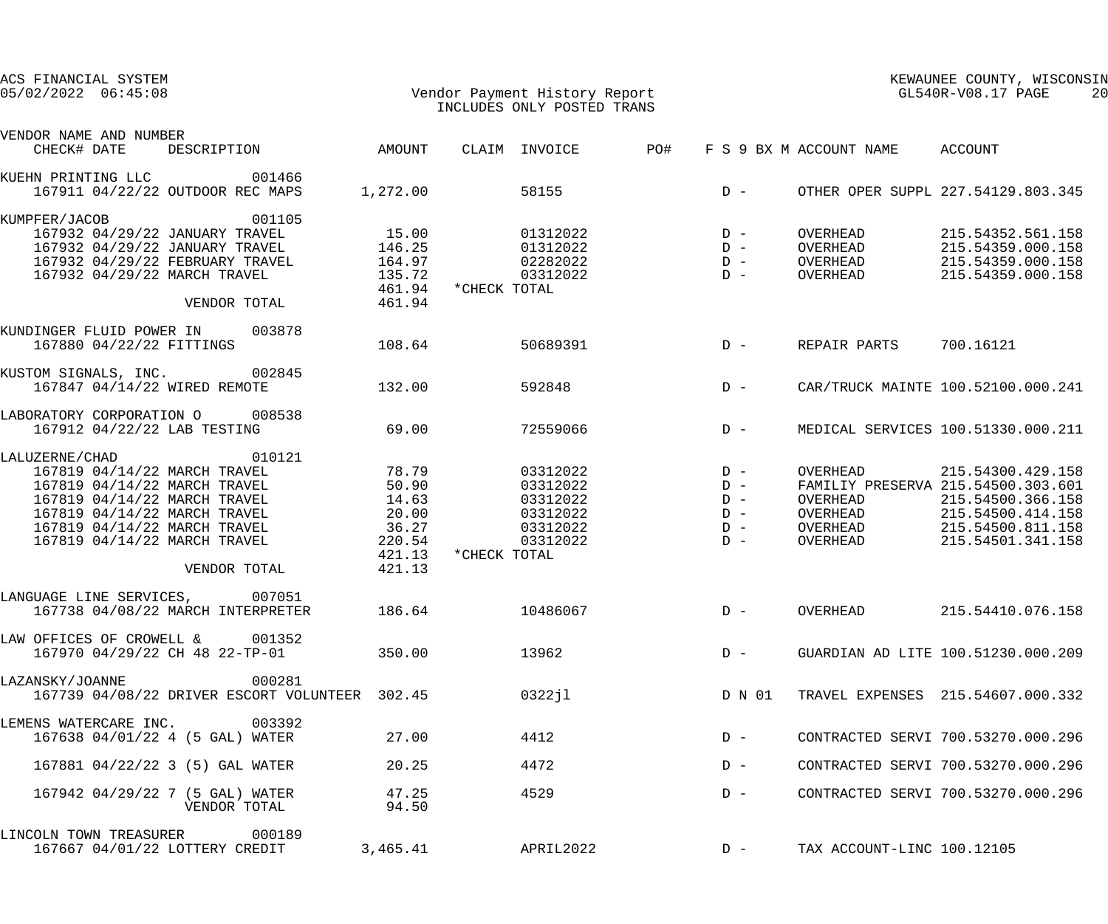| ACS FINANCIAL SYSTEM<br>$05/02/2022$ $06:45:08$                                                                                                                                                                                                                      |                                              | INCLUDES ONLY POSTED TRANS                                                                     |                                  | KEWAUNEE COUNTY, WISCONSIN<br>KEWAUNEE COUNTY, WISCON<br>Vendor Payment History Report<br>The State of Text of Text of Text of Text of Text of Text of Text of Text of Text of Text of Text of Text of T<br>20 |                                              |                                                                                                                                                      |
|----------------------------------------------------------------------------------------------------------------------------------------------------------------------------------------------------------------------------------------------------------------------|----------------------------------------------|------------------------------------------------------------------------------------------------|----------------------------------|----------------------------------------------------------------------------------------------------------------------------------------------------------------------------------------------------------------|----------------------------------------------|------------------------------------------------------------------------------------------------------------------------------------------------------|
| VENDOR NAME AND NUMBER                                                                                                                                                                                                                                               |                                              |                                                                                                |                                  |                                                                                                                                                                                                                |                                              |                                                                                                                                                      |
| DESCRIPTION AMOUNT<br>CHECK# DATE                                                                                                                                                                                                                                    |                                              | CLAIM INVOICE PO#                                                                              |                                  |                                                                                                                                                                                                                | F S 9 BX M ACCOUNT NAME ACCOUNT              |                                                                                                                                                      |
| KUEHN PRINTING LLC 001466<br>167911 04/22/22 OUTDOOR REC MAPS                                                                                                                                                                                                        |                                              |                                                                                                |                                  |                                                                                                                                                                                                                |                                              |                                                                                                                                                      |
| KUMPFER/JACOB<br>001105<br>167932 04/29/22 JANUARY TRAVEL 15.00<br>167932 04/29/22 JANUARY TRAVEL 146.25<br>167932 04/29/22 FEBRUARY TRAVEL 164.97<br>167932 04/29/22 MARCH TRAVEL 135.72<br>VENDOR TOTAL 461.94                                                     |                                              | $01312022$<br>$D -$<br>$D -$<br>02282022<br>03312022<br>461.94 *CHECK TOTAL                    |                                  |                                                                                                                                                                                                                | OVERHEAD<br>D – OVERHEAD<br>D – OVERHEAD     | OVERHEAD 215.54352.561.158<br>215.54359.000.158<br>215.54359.000.158<br>215.54359.000.158                                                            |
| KUNDINGER FLUID POWER IN 003878<br>167880 04/22/22 FITTINGS                                                                                                                                                                                                          | 108.64                                       | 50689391                                                                                       |                                  |                                                                                                                                                                                                                | D - REPAIR PARTS 700.16121                   |                                                                                                                                                      |
| KUSTOM SIGNALS, INC. 002845<br>167847 04/14/22 WIRED REMOTE 132.00                                                                                                                                                                                                   |                                              | 592848                                                                                         | $D -$                            |                                                                                                                                                                                                                |                                              | CAR/TRUCK MAINTE 100.52100.000.241                                                                                                                   |
| LABORATORY CORPORATION O 008538<br>167912 04/22/22 LAB TESTING                                                                                                                                                                                                       | 69.00                                        | 72559066                                                                                       | $D -$                            |                                                                                                                                                                                                                |                                              | MEDICAL SERVICES 100.51330.000.211                                                                                                                   |
| 010121<br>LALUZERNE/CHAD<br>010121<br>167819 04/14/22 MARCH TRAVEL 78.79<br>167819 04/14/22 MARCH TRAVEL 50.90<br>167819 04/14/22 MARCH TRAVEL 14.63<br>167819 04/14/22 MARCH TRAVEL<br>167819 04/14/22 MARCH TRAVEL<br>167819 04/14/22 MARCH TRAVEL<br>VENDOR TOTAL | 20.00<br>36.27<br>220.54<br>421.13<br>421.13 | $03312022$ D -<br>03312022 D -<br>03312022<br>03312022<br>03312022<br>03312022<br>*CHECK TOTAL | $D -$<br>$D -$<br>$D -$<br>$D -$ |                                                                                                                                                                                                                | OVERHEAD<br>OVERHEAD<br>OVERHEAD<br>OVERHEAD | 215.54300.429.158<br>FAMILIY PRESERVA 215.54500.303.601<br>215.54500.366.158<br>215.54500.414.158<br>OVERHEAD 215.54500.811.158<br>215.54501.341.158 |
| LANGUAGE LINE SERVICES,<br>007051<br>167738 04/08/22 MARCH INTERPRETER                                                                                                                                                                                               | 186.64                                       | 10486067                                                                                       |                                  | $D -$                                                                                                                                                                                                          | OVERHEAD                                     | 215.54410.076.158                                                                                                                                    |
| LAW OFFICES OF CROWELL & 001352<br>167970 04/29/22 CH 48 22-TP-01                                                                                                                                                                                                    | 350.00                                       | 13962                                                                                          |                                  | $D -$                                                                                                                                                                                                          |                                              | GUARDIAN AD LITE 100.51230.000.209                                                                                                                   |
| LAZANSKY/JOANNE<br>000281<br>167739 04/08/22 DRIVER ESCORT VOLUNTEER 302.45                                                                                                                                                                                          |                                              | 0322j1                                                                                         |                                  | D N 01                                                                                                                                                                                                         |                                              | TRAVEL EXPENSES 215.54607.000.332                                                                                                                    |
| LEMENS WATERCARE INC.<br>003392<br>167638 04/01/22 4 (5 GAL) WATER                                                                                                                                                                                                   | 27.00                                        | 4412                                                                                           |                                  | $D -$                                                                                                                                                                                                          |                                              | CONTRACTED SERVI 700.53270.000.296                                                                                                                   |
| 167881 04/22/22 3 (5) GAL WATER                                                                                                                                                                                                                                      | 20.25                                        | 4472                                                                                           |                                  | $D -$                                                                                                                                                                                                          |                                              | CONTRACTED SERVI 700.53270.000.296                                                                                                                   |
| 167942 04/29/22 7 (5 GAL) WATER<br>VENDOR TOTAL                                                                                                                                                                                                                      | 47.25<br>94.50                               | 4529                                                                                           |                                  | $D -$                                                                                                                                                                                                          |                                              | CONTRACTED SERVI 700.53270.000.296                                                                                                                   |
| LINCOLN TOWN TREASURER<br>000189<br>167667 04/01/22 LOTTERY CREDIT                                                                                                                                                                                                   | 3,465.41                                     | APRIL2022                                                                                      |                                  | $D -$                                                                                                                                                                                                          | TAX ACCOUNT-LINC 100.12105                   |                                                                                                                                                      |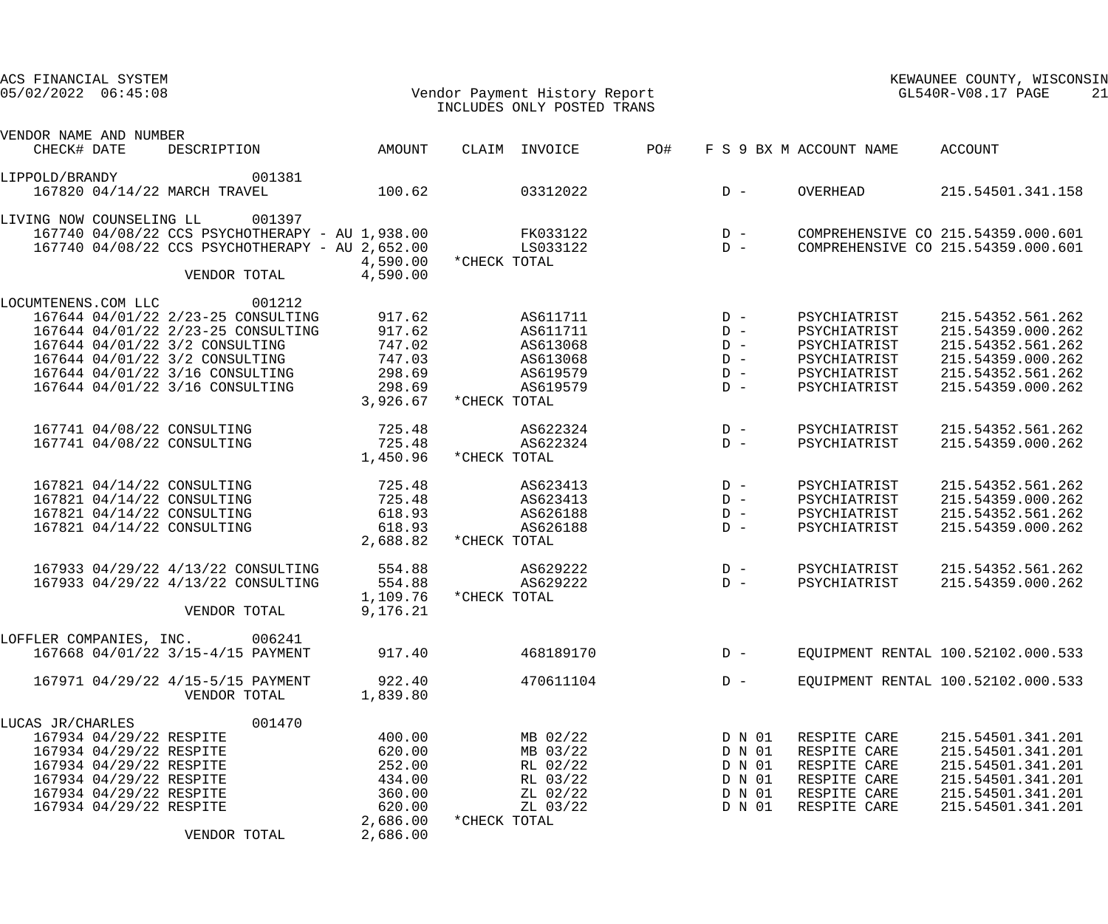| ACS FINANCIAL SYSTEM<br>$05/02/2022$ $06:45:08$                                                                                                                                    |                                                                                                                              |                                                                                  | Vendor Payment History Report<br>INCLUDES ONLY POSTED TRANS                          |                                                 |                                                          | GL540R-V08.17 PAGE                                                                           | KEWAUNEE COUNTY, WISCONSIN                                                                                                 | 21 |
|------------------------------------------------------------------------------------------------------------------------------------------------------------------------------------|------------------------------------------------------------------------------------------------------------------------------|----------------------------------------------------------------------------------|--------------------------------------------------------------------------------------|-------------------------------------------------|----------------------------------------------------------|----------------------------------------------------------------------------------------------|----------------------------------------------------------------------------------------------------------------------------|----|
| VENDOR NAME AND NUMBER<br>CHECK# DATE                                                                                                                                              | DESCRIPTION                                                                                                                  | AMOUNT                                                                           | CLAIM INVOICE                                                                        | PO#                                             |                                                          | F S 9 BX M ACCOUNT NAME                                                                      | ACCOUNT                                                                                                                    |    |
| LIPPOLD/BRANDY<br>167820 04/14/22 MARCH TRAVEL                                                                                                                                     | 001381                                                                                                                       | 100.62                                                                           | 03312022                                                                             | $D -$                                           |                                                          | OVERHEAD                                                                                     | 215.54501.341.158                                                                                                          |    |
| LIVING NOW COUNSELING LL                                                                                                                                                           | 001397<br>167740 04/08/22 CCS PSYCHOTHERAPY - AU 1,938.00<br>167740 04/08/22 CCS PSYCHOTHERAPY - AU 2,652.00<br>VENDOR TOTAL | 4,590.00<br>4,590.00                                                             | FK033122<br>LS033122<br>*CHECK TOTAL                                                 | $\begin{array}{c}\nD & - \\ D & -\n\end{array}$ |                                                          |                                                                                              | COMPREHENSIVE CO 215.54359.000.601<br>COMPREHENSIVE CO 215.54359.000.601                                                   |    |
| LOCUMTENENS.COM LLC<br>167644 04/01/22 3/2 CONSULTING<br>167644 04/01/22 3/2 CONSULTING<br>167644 04/01/22 3/16 CONSULTING<br>167644 04/01/22 3/16 CONSULTING                      | 001212<br>167644 04/01/22 2/23-25 CONSULTING<br>167644 04/01/22 2/23-25 CONSULTING                                           | 917.62<br>917.62<br>747.02<br>747.03<br>298.69<br>298.69<br>3,926.67             | AS611711<br>AS611711<br>AS613068<br>AS613068<br>AS619579<br>AS619579<br>*CHECK TOTAL | $D -$<br>$D -$<br>$D -$<br>$D -$                | $D -$<br>$D -$                                           | PSYCHIATRIST<br>PSYCHIATRIST<br>PSYCHIATRIST<br>PSYCHIATRIST<br>PSYCHIATRIST<br>PSYCHIATRIST | 215.54352.561.262<br>215.54359.000.262<br>215.54352.561.262<br>215.54359.000.262<br>215.54352.561.262<br>215.54359.000.262 |    |
| 167741 04/08/22 CONSULTING<br>167741 04/08/22 CONSULTING                                                                                                                           |                                                                                                                              | 725.48<br>725.48<br>1,450.96                                                     | AS622324<br>AS622324<br>*CHECK TOTAL                                                 | $D -$<br>$D -$                                  |                                                          | PSYCHIATRIST<br>PSYCHIATRIST                                                                 | 215.54352.561.262<br>215.54359.000.262                                                                                     |    |
| 167821 04/14/22 CONSULTING<br>167821 04/14/22 CONSULTING<br>167821 04/14/22 CONSULTING<br>167821 04/14/22 CONSULTING                                                               |                                                                                                                              | 725.48<br>725.48<br>618.93<br>618.93<br>2,688.82                                 | AS623413<br>AS623413<br>AS626188<br>AS626188<br>*CHECK TOTAL                         | $D -$<br>$D -$<br>$D -$<br>$D -$                |                                                          | PSYCHIATRIST<br>PSYCHIATRIST<br>PSYCHIATRIST<br>PSYCHIATRIST                                 | 215.54352.561.262<br>215.54359.000.262<br>215.54352.561.262<br>215.54359.000.262                                           |    |
|                                                                                                                                                                                    | 167933 04/29/22 4/13/22 CONSULTING<br>167933 04/29/22 4/13/22 CONSULTING<br>VENDOR TOTAL                                     | 554.88<br>554.88<br>1,109.76<br>9,176.21                                         | AS629222<br>AS629222<br>*CHECK TOTAL                                                 | $D -$                                           | $D -$                                                    | PSYCHIATRIST<br>PSYCHIATRIST                                                                 | 215.54352.561.262<br>215.54359.000.262                                                                                     |    |
| LOFFLER COMPANIES, INC. 006241                                                                                                                                                     | 167668 04/01/22 3/15-4/15 PAYMENT                                                                                            | 917.40                                                                           | 468189170                                                                            |                                                 | $D -$                                                    |                                                                                              | EQUIPMENT RENTAL 100.52102.000.533                                                                                         |    |
|                                                                                                                                                                                    | 167971 04/29/22 4/15-5/15 PAYMENT<br>VENDOR TOTAL                                                                            | 922.40<br>1,839.80                                                               | 470611104                                                                            |                                                 | $D -$                                                    |                                                                                              | EQUIPMENT RENTAL 100.52102.000.533                                                                                         |    |
| LUCAS JR/CHARLES<br>167934 04/29/22 RESPITE<br>167934 04/29/22 RESPITE<br>167934 04/29/22 RESPITE<br>167934 04/29/22 RESPITE<br>167934 04/29/22 RESPITE<br>167934 04/29/22 RESPITE | 001470<br>VENDOR TOTAL                                                                                                       | 400.00<br>620.00<br>252.00<br>434.00<br>360.00<br>620.00<br>2,686.00<br>2,686.00 | MB 02/22<br>MB 03/22<br>RL 02/22<br>RL 03/22<br>ZL 02/22<br>ZL 03/22<br>*CHECK TOTAL |                                                 | D N 01<br>D N 01<br>D N 01<br>D N 01<br>D N 01<br>D N 01 | RESPITE CARE<br>RESPITE CARE<br>RESPITE CARE<br>RESPITE CARE<br>RESPITE CARE<br>RESPITE CARE | 215.54501.341.201<br>215.54501.341.201<br>215.54501.341.201<br>215.54501.341.201<br>215.54501.341.201<br>215.54501.341.201 |    |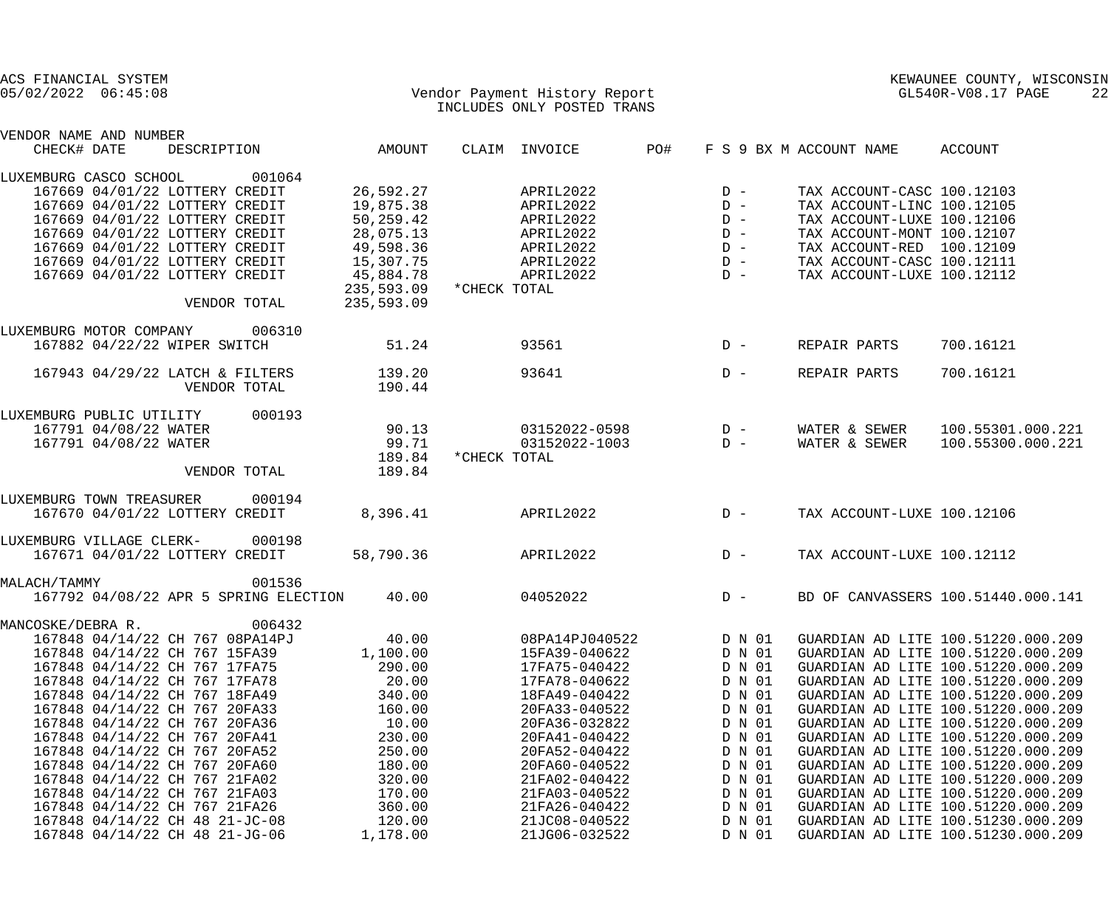| ACS FINANCIAL SYSTEM<br>$05/02/2022$ $06:45:08$                |                  | Vendor Payment History Report<br>INCLUDES ONLY POSTED TRANS |                  | KEWAUNEE COUNTY, WISCONSIN<br>GL540R-V08.17 PAGE<br>22 |                                                                          |  |
|----------------------------------------------------------------|------------------|-------------------------------------------------------------|------------------|--------------------------------------------------------|--------------------------------------------------------------------------|--|
| VENDOR NAME AND NUMBER                                         |                  |                                                             |                  |                                                        |                                                                          |  |
| CHECK# DATE<br>DESCRIPTION                                     | AMOUNT           | CLAIM INVOICE                                               | PO#              | F S 9 BX M ACCOUNT NAME                                | ACCOUNT                                                                  |  |
| 001064<br>LUXEMBURG CASCO SCHOOL                               |                  |                                                             |                  |                                                        |                                                                          |  |
| 167669 04/01/22 LOTTERY CREDIT                                 | 26,592.27        | APRIL2022                                                   | $D -$            | TAX ACCOUNT-CASC 100.12103                             |                                                                          |  |
| 167669 04/01/22 LOTTERY CREDIT                                 | 19,875.38        | APRIL2022                                                   | $D -$            | TAX ACCOUNT-LINC 100.12105                             |                                                                          |  |
| 167669 04/01/22 LOTTERY CREDIT                                 | 50,259.42        | APRIL2022                                                   | $D -$            | TAX ACCOUNT-LUXE 100.12106                             |                                                                          |  |
| 167669 04/01/22 LOTTERY CREDIT                                 | 28,075.13        | APRIL2022                                                   | $D -$            | TAX ACCOUNT-MONT 100.12107                             |                                                                          |  |
| 167669 04/01/22 LOTTERY CREDIT                                 | 49,598.36        | APRIL2022                                                   | $D -$            | TAX ACCOUNT-RED 100.12109                              |                                                                          |  |
| 167669 04/01/22 LOTTERY CREDIT                                 | 15,307.75        | APRIL2022                                                   | $D -$            | TAX ACCOUNT-CASC 100.12111                             |                                                                          |  |
| 167669 04/01/22 LOTTERY CREDIT                                 | 45,884.78        | APRIL2022                                                   | $D -$            | TAX ACCOUNT-LUXE 100.12112                             |                                                                          |  |
| VENDOR TOTAL                                                   | 235,593.09       | 235,593.09 * CHECK TOTAL                                    |                  |                                                        |                                                                          |  |
|                                                                |                  |                                                             |                  |                                                        |                                                                          |  |
| 006310<br>LUXEMBURG MOTOR COMPANY                              |                  |                                                             |                  |                                                        |                                                                          |  |
| 167882 04/22/22 WIPER SWITCH                                   | 51.24            | 93561                                                       | $D -$            | REPAIR PARTS                                           | 700.16121                                                                |  |
| 167943 04/29/22 LATCH & FILTERS                                | 139.20           | 93641                                                       | $D -$            | REPAIR PARTS                                           | 700.16121                                                                |  |
| VENDOR TOTAL                                                   | 190.44           |                                                             |                  |                                                        |                                                                          |  |
| 000193<br>LUXEMBURG PUBLIC UTILITY                             |                  |                                                             |                  |                                                        |                                                                          |  |
| 167791 04/08/22 WATER                                          | 90.13            | 03152022-0598                                               | $D -$            | WATER & SEWER                                          | 100.55301.000.221                                                        |  |
| 167791 04/08/22 WATER                                          | 99.71            | 03152022-1003                                               | $D -$            | WATER & SEWER                                          | 100.55300.000.221                                                        |  |
|                                                                | 189.84           | *CHECK TOTAL                                                |                  |                                                        |                                                                          |  |
| VENDOR TOTAL                                                   | 189.84           |                                                             |                  |                                                        |                                                                          |  |
| LUXEMBURG TOWN TREASURER<br>000194                             |                  |                                                             |                  |                                                        |                                                                          |  |
| 167670 04/01/22 LOTTERY CREDIT                                 | 8,396.41         | APRIL2022                                                   | $D -$            | TAX ACCOUNT-LUXE 100.12106                             |                                                                          |  |
| 000198<br>LUXEMBURG VILLAGE CLERK-                             |                  |                                                             |                  |                                                        |                                                                          |  |
| 167671 04/01/22 LOTTERY CREDIT                                 | 58,790.36        | APRIL2022                                                   | $D -$            | TAX ACCOUNT-LUXE 100.12112                             |                                                                          |  |
| 001536<br>MALACH/TAMMY                                         |                  |                                                             |                  |                                                        |                                                                          |  |
| 167792 04/08/22 APR 5 SPRING ELECTION                          | 40.00            | 04052022                                                    | $D -$            |                                                        | BD OF CANVASSERS 100.51440.000.141                                       |  |
| 006432<br>MANCOSKE/DEBRA R.                                    |                  |                                                             |                  |                                                        |                                                                          |  |
| 167848 04/14/22 CH 767 08PA14PJ                                | 40.00            | 08PA14PJ040522                                              | D N 01           |                                                        | GUARDIAN AD LITE 100.51220.000.209                                       |  |
| 167848 04/14/22 CH 767 15FA39                                  | 1,100.00         | 15FA39-040622                                               | D N 01           |                                                        | GUARDIAN AD LITE 100.51220.000.209                                       |  |
| 167848 04/14/22 CH 767 17FA75                                  | 290.00           | 17FA75-040422                                               | D N 01           |                                                        | GUARDIAN AD LITE 100.51220.000.209                                       |  |
| 167848 04/14/22 CH 767 17FA78                                  | 20.00            | 17FA78-040622                                               | D N 01           |                                                        | GUARDIAN AD LITE 100.51220.000.209                                       |  |
| 167848 04/14/22 CH 767 18FA49                                  | 340.00           | 18FA49-040422                                               | D N 01           |                                                        | GUARDIAN AD LITE 100.51220.000.209                                       |  |
| 167848 04/14/22 CH 767 20FA33                                  | 160.00           | 20FA33-040522                                               | D N 01           |                                                        | GUARDIAN AD LITE 100.51220.000.209                                       |  |
| 167848 04/14/22 CH 767 20FA36                                  | 10.00            | 20FA36-032822                                               | D N 01           |                                                        | GUARDIAN AD LITE 100.51220.000.209                                       |  |
| 167848 04/14/22 CH 767 20FA41                                  | 230.00           | 20FA41-040422                                               | D N 01           |                                                        | GUARDIAN AD LITE 100.51220.000.209                                       |  |
| 167848 04/14/22 CH 767 20FA52                                  | 250.00           | 20FA52-040422                                               | D N 01           |                                                        | GUARDIAN AD LITE 100.51220.000.209                                       |  |
| 167848 04/14/22 CH 767 20FA60<br>167848 04/14/22 CH 767 21FA02 | 180.00<br>320.00 | 20FA60-040522<br>21FA02-040422                              | D N 01<br>D N 01 |                                                        | GUARDIAN AD LITE 100.51220.000.209<br>GUARDIAN AD LITE 100.51220.000.209 |  |
| 167848 04/14/22 CH 767 21FA03                                  | 170.00           | 21FA03-040522                                               | D N 01           |                                                        | GUARDIAN AD LITE 100.51220.000.209                                       |  |
| 167848 04/14/22 CH 767 21FA26                                  | 360.00           | 21FA26-040422                                               | D N 01           |                                                        | GUARDIAN AD LITE 100.51220.000.209                                       |  |
| 167848 04/14/22 CH 48 21-JC-08                                 | 120.00           | 21JC08-040522                                               | D N 01           |                                                        | GUARDIAN AD LITE 100.51230.000.209                                       |  |
| 167848 04/14/22 CH 48 21-JG-06                                 | 1,178.00         | 21JG06-032522                                               | D N 01           |                                                        | GUARDIAN AD LITE 100.51230.000.209                                       |  |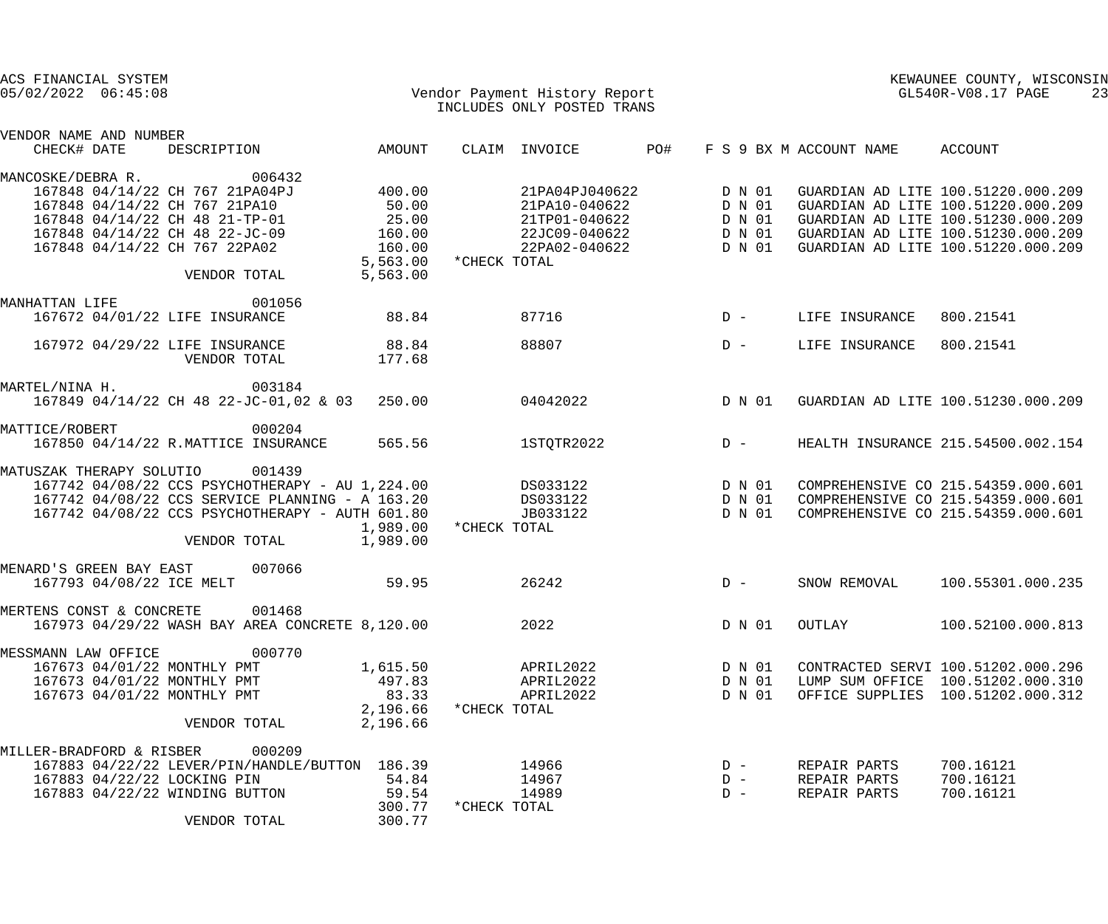| ACS FINANCIAL SYSTEM<br>$05/02/2022$ $06:45:08$                                                                                    |                                                                                                                                                                                 |                                                                                    |              |                                                                                                          |        | Vendor Payment History Report<br>GL540R-V08.17 PAGE<br>INCLUDES ONLY POSTED TRANS |                              |                                                                                                                                                                                            |  |  |
|------------------------------------------------------------------------------------------------------------------------------------|---------------------------------------------------------------------------------------------------------------------------------------------------------------------------------|------------------------------------------------------------------------------------|--------------|----------------------------------------------------------------------------------------------------------|--------|-----------------------------------------------------------------------------------|------------------------------|--------------------------------------------------------------------------------------------------------------------------------------------------------------------------------------------|--|--|
| VENDOR NAME AND NUMBER<br>CHECK# DATE                                                                                              | DESCRIPTION                                                                                                                                                                     | AMOUNT                                                                             |              | CLAIM INVOICE                                                                                            | PO#    |                                                                                   | F S 9 BX M ACCOUNT NAME      | ACCOUNT                                                                                                                                                                                    |  |  |
| MANCOSKE/DEBRA R.                                                                                                                  | 006432                                                                                                                                                                          |                                                                                    |              |                                                                                                          |        |                                                                                   |                              |                                                                                                                                                                                            |  |  |
| 167848 04/14/22 CH 767 21PA10<br>167848 04/14/22 CH 48 21-TP-01<br>167848 04/14/22 CH 48 22-JC-09<br>167848 04/14/22 CH 767 22PA02 | 167848 04/14/22 CH 767 21PA04PJ<br>VENDOR TOTAL                                                                                                                                 | 400.00<br>50.00<br>25.00<br>160.00<br>160.00<br>5,563.00 * CHECK TOTAL<br>5,563.00 |              | 21PA04PJ040622<br>21PA10-040622 D N 01<br>21TP01-040622 DN01<br>22JC09-040622 DN01<br>22PA02-040622 DN01 | D N 01 |                                                                                   |                              | GUARDIAN AD LITE 100.51220.000.209<br>GUARDIAN AD LITE 100.51220.000.209<br>GUARDIAN AD LITE 100.51230.000.209<br>GUARDIAN AD LITE 100.51230.000.209<br>GUARDIAN AD LITE 100.51220.000.209 |  |  |
| MANHATTAN LIFE                                                                                                                     | 001056                                                                                                                                                                          |                                                                                    |              |                                                                                                          |        |                                                                                   |                              |                                                                                                                                                                                            |  |  |
| 167672 04/01/22 LIFE INSURANCE                                                                                                     |                                                                                                                                                                                 | 88.84                                                                              |              | 87716                                                                                                    |        | $D -$                                                                             | LIFE INSURANCE               | 800.21541                                                                                                                                                                                  |  |  |
| 167972 04/29/22 LIFE INSURANCE                                                                                                     | VENDOR TOTAL                                                                                                                                                                    | 88.84<br>177.68                                                                    |              | 88807                                                                                                    |        | $D -$                                                                             | LIFE INSURANCE               | 800.21541                                                                                                                                                                                  |  |  |
| MARTEL/NINA H.                                                                                                                     | 003184                                                                                                                                                                          |                                                                                    |              |                                                                                                          |        |                                                                                   |                              |                                                                                                                                                                                            |  |  |
|                                                                                                                                    | 167849 04/14/22 CH 48 22-JC-01,02 & 03 250.00                                                                                                                                   |                                                                                    |              | 04042022                                                                                                 | D N 01 |                                                                                   |                              | GUARDIAN AD LITE 100.51230.000.209                                                                                                                                                         |  |  |
| MATTICE/ROBERT                                                                                                                     | 000204<br>167850 04/14/22 R.MATTICE INSURANCE                                                                                                                                   | 565.56                                                                             |              | 1STQTR2022                                                                                               |        | $D -$                                                                             |                              | HEALTH INSURANCE 215.54500.002.154                                                                                                                                                         |  |  |
| MATUSZAK THERAPY SOLUTIO                                                                                                           | 001439<br>167742 04/08/22 CCS PSYCHOTHERAPY - AU 1,224.00<br>167742 04/08/22 CCS SERVICE PLANNING - A 163.20<br>167742 04/08/22 CCS PSYCHOTHERAPY - AUTH 601.80<br>VENDOR TOTAL | 1,989.00<br>1,989.00                                                               | *CHECK TOTAL | DS033122 DN01<br>DS033122 DN01<br>JB033122                                                               |        | D N 01                                                                            |                              | COMPREHENSIVE CO 215.54359.000.601<br>COMPREHENSIVE CO 215.54359.000.601<br>COMPREHENSIVE CO 215.54359.000.601                                                                             |  |  |
| MENARD'S GREEN BAY EAST                                                                                                            | 007066                                                                                                                                                                          |                                                                                    |              |                                                                                                          |        |                                                                                   |                              |                                                                                                                                                                                            |  |  |
| 167793 04/08/22 ICE MELT                                                                                                           |                                                                                                                                                                                 | 59.95                                                                              |              | 26242                                                                                                    |        | $D -$                                                                             | SNOW REMOVAL                 | 100.55301.000.235                                                                                                                                                                          |  |  |
| MERTENS CONST & CONCRETE                                                                                                           | 001468<br>167973 04/29/22 WASH BAY AREA CONCRETE 8,120.00                                                                                                                       |                                                                                    |              | 2022                                                                                                     |        | D N 01                                                                            | OUTLAY                       | 100.52100.000.813                                                                                                                                                                          |  |  |
| MESSMANN LAW OFFICE                                                                                                                | 000770                                                                                                                                                                          |                                                                                    |              |                                                                                                          |        |                                                                                   |                              |                                                                                                                                                                                            |  |  |
| 167673 04/01/22 MONTHLY PMT                                                                                                        |                                                                                                                                                                                 | 1,615.50<br>497.83                                                                 |              | APRIL2022                                                                                                |        | D N 01                                                                            |                              | CONTRACTED SERVI 100.51202.000.296                                                                                                                                                         |  |  |
| 167673 04/01/22 MONTHLY PMT<br>167673 04/01/22 MONTHLY PMT                                                                         |                                                                                                                                                                                 | 83.33                                                                              |              | APRIL2022<br>APRIL2022                                                                                   |        | D N 01<br>D N 01                                                                  |                              | LUMP SUM OFFICE 100.51202.000.310<br>OFFICE SUPPLIES 100.51202.000.312                                                                                                                     |  |  |
|                                                                                                                                    | VENDOR TOTAL                                                                                                                                                                    | 2,196.66<br>2,196.66                                                               | *CHECK TOTAL |                                                                                                          |        |                                                                                   |                              |                                                                                                                                                                                            |  |  |
|                                                                                                                                    |                                                                                                                                                                                 |                                                                                    |              |                                                                                                          |        |                                                                                   |                              |                                                                                                                                                                                            |  |  |
| MILLER-BRADFORD & RISBER                                                                                                           | 000209                                                                                                                                                                          |                                                                                    |              |                                                                                                          |        |                                                                                   |                              |                                                                                                                                                                                            |  |  |
|                                                                                                                                    | 167883 04/22/22 LEVER/PIN/HANDLE/BUTTON 186.39                                                                                                                                  |                                                                                    |              | 14966                                                                                                    |        | $D -$                                                                             | REPAIR PARTS                 | 700.16121                                                                                                                                                                                  |  |  |
| 167883 04/22/22 LOCKING PIN<br>167883 04/22/22 WINDING BUTTON                                                                      |                                                                                                                                                                                 | 54.84                                                                              |              | 14967<br>14989                                                                                           |        | $D -$<br>$D -$                                                                    | REPAIR PARTS<br>REPAIR PARTS | 700.16121<br>700.16121                                                                                                                                                                     |  |  |
|                                                                                                                                    |                                                                                                                                                                                 | 59.54<br>300.77                                                                    | *CHECK TOTAL |                                                                                                          |        |                                                                                   |                              |                                                                                                                                                                                            |  |  |
|                                                                                                                                    | VENDOR TOTAL                                                                                                                                                                    | 300.77                                                                             |              |                                                                                                          |        |                                                                                   |                              |                                                                                                                                                                                            |  |  |
|                                                                                                                                    |                                                                                                                                                                                 |                                                                                    |              |                                                                                                          |        |                                                                                   |                              |                                                                                                                                                                                            |  |  |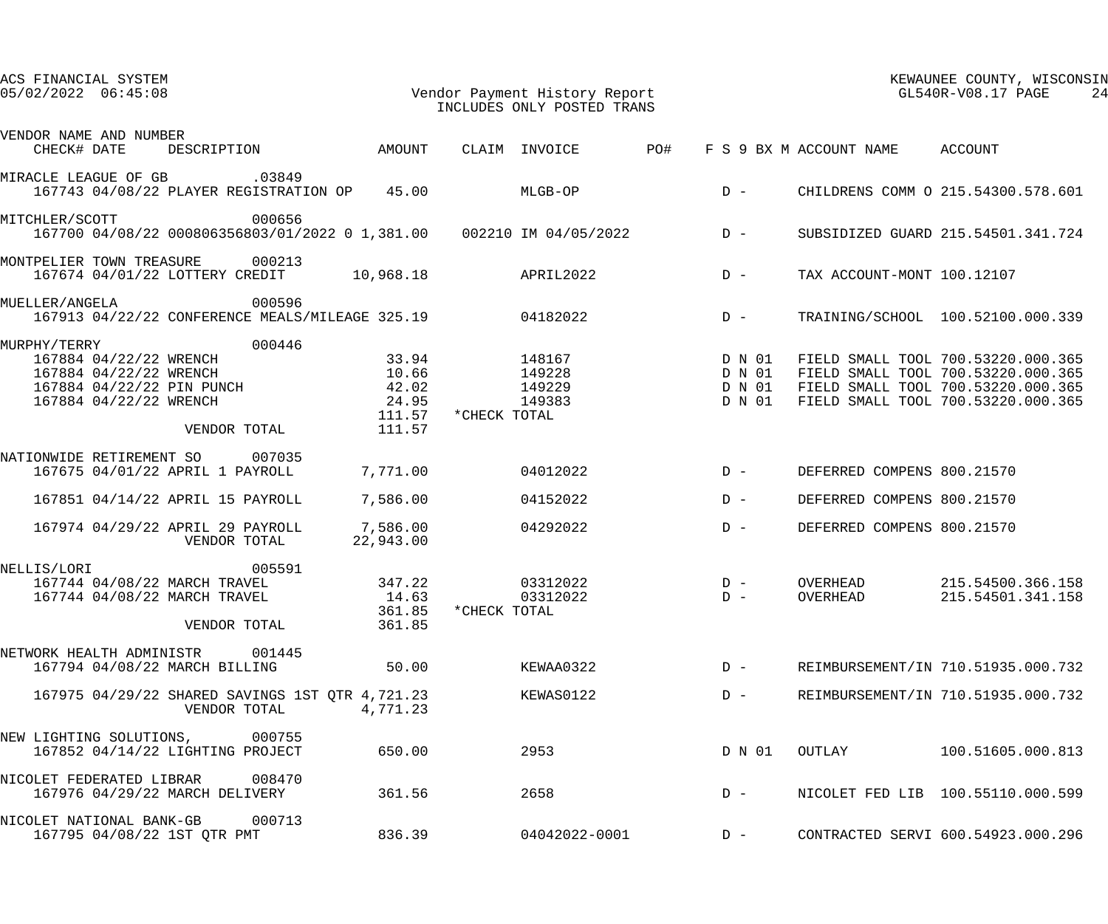| ACS FINANCIAL SYSTEM<br>$05/02/2022$ $06:45:08$                                                                                                                                                           | Vendor Payment History Report<br>INCLUDES ONLY POSTED TRANS<br>INCLUDES ONLY POSTED TRANS    | KEWAUNEE COUNTY, WISCONSIN<br>GL540R-V08.17 PAGE<br>24                                                                                               |
|-----------------------------------------------------------------------------------------------------------------------------------------------------------------------------------------------------------|----------------------------------------------------------------------------------------------|------------------------------------------------------------------------------------------------------------------------------------------------------|
| VENDOR NAME AND NUMBER<br>DESCRIPTION AMOUNT<br>CHECK# DATE                                                                                                                                               | <b>PO#</b><br>CLAIM INVOICE<br>F S 9 BX M ACCOUNT NAME ACCOUNT                               |                                                                                                                                                      |
| .03849<br>MIRACLE LEAGUE OF GB<br>167743 04/08/22 PLAYER REGISTRATION OP 45.00                                                                                                                            | $D -$<br>MLGB-OP                                                                             | CHILDRENS COMM O 215.54300.578.601                                                                                                                   |
| MITCHLER/SCOTT<br>000656<br>167700 04/08/22 000806356803/01/2022 0 1,381.00  002210 IM 04/05/2022  D -                                                                                                    |                                                                                              | SUBSIDIZED GUARD 215.54501.341.724                                                                                                                   |
| MONTPELIER TOWN TREASURE 000213<br>167674 04/01/22 LOTTERY CREDIT 10,968.18                                                                                                                               | $D -$<br>APRIL2022                                                                           | TAX ACCOUNT-MONT 100.12107                                                                                                                           |
| 000596<br>MUELLER/ANGELA<br>167913 04/22/22 CONFERENCE MEALS/MILEAGE 325.19 04182022                                                                                                                      | $D -$                                                                                        | TRAINING/SCHOOL 100.52100.000.339                                                                                                                    |
| 000446<br>MURPHY/TERRY<br>33.94<br>167884 04/22/22 WRENCH<br>167884 04/22/22 WRENCH<br>10.66<br>167884 04/22/22 PIN PUNCH<br>42.02<br>24.95<br>167884 04/22/22 WRENCH<br>111.57<br>111.57<br>VENDOR TOTAL | 148167<br>D N 01<br>149228<br>D N 01<br>149229<br>D N 01<br>149383<br>D N 01<br>*CHECK TOTAL | FIELD SMALL TOOL 700.53220.000.365<br>FIELD SMALL TOOL 700.53220.000.365<br>FIELD SMALL TOOL 700.53220.000.365<br>FIELD SMALL TOOL 700.53220.000.365 |
| NATIONWIDE RETIREMENT SO 007035<br>7,771.00<br>167675 04/01/22 APRIL 1 PAYROLL                                                                                                                            | 04012022<br>$D -$                                                                            | DEFERRED COMPENS 800.21570                                                                                                                           |
| 167851 04/14/22 APRIL 15 PAYROLL<br>7,586.00                                                                                                                                                              | $D -$<br>04152022                                                                            | DEFERRED COMPENS 800.21570                                                                                                                           |
| 167974 04/29/22 APRIL 29 PAYROLL<br>7,586.00<br>VENDOR TOTAL<br>22,943.00                                                                                                                                 | $D -$<br>04292022                                                                            | DEFERRED COMPENS 800.21570                                                                                                                           |
| 005591<br>NELLIS/LORI<br>167744 04/08/22 MARCH TRAVEL<br>347.22<br>167744 04/08/22 MARCH TRAVEL<br>14.63<br>361.85<br>361.85<br>VENDOR TOTAL                                                              | 03312022<br>$D -$<br>OVERHEAD<br>03312022<br>OVERHEAD<br>$D -$<br>*CHECK TOTAL               | 215.54500.366.158<br>215.54501.341.158                                                                                                               |
| 001445<br>NETWORK HEALTH ADMINISTR<br>167794 04/08/22 MARCH BILLING<br>50.00                                                                                                                              | KEWAA0322<br>$D -$                                                                           | REIMBURSEMENT/IN 710.51935.000.732                                                                                                                   |
| 167975 04/29/22 SHARED SAVINGS 1ST QTR 4,721.23<br>4,771.23<br>VENDOR TOTAL                                                                                                                               | KEWAS0122<br>$D -$                                                                           | REIMBURSEMENT/IN 710.51935.000.732                                                                                                                   |
| 000755<br>NEW LIGHTING SOLUTIONS,<br>167852 04/14/22 LIGHTING PROJECT<br>650.00                                                                                                                           | 2953<br>D N 01<br>OUTLAY                                                                     | 100.51605.000.813                                                                                                                                    |
| NICOLET FEDERATED LIBRAR<br>008470<br>167976 04/29/22 MARCH DELIVERY<br>361.56                                                                                                                            | 2658<br>$D -$                                                                                | NICOLET FED LIB 100.55110.000.599                                                                                                                    |
| 000713<br>NICOLET NATIONAL BANK-GB<br>167795 04/08/22 1ST QTR PMT<br>836.39                                                                                                                               | 04042022-0001<br>$D -$                                                                       | CONTRACTED SERVI 600.54923.000.296                                                                                                                   |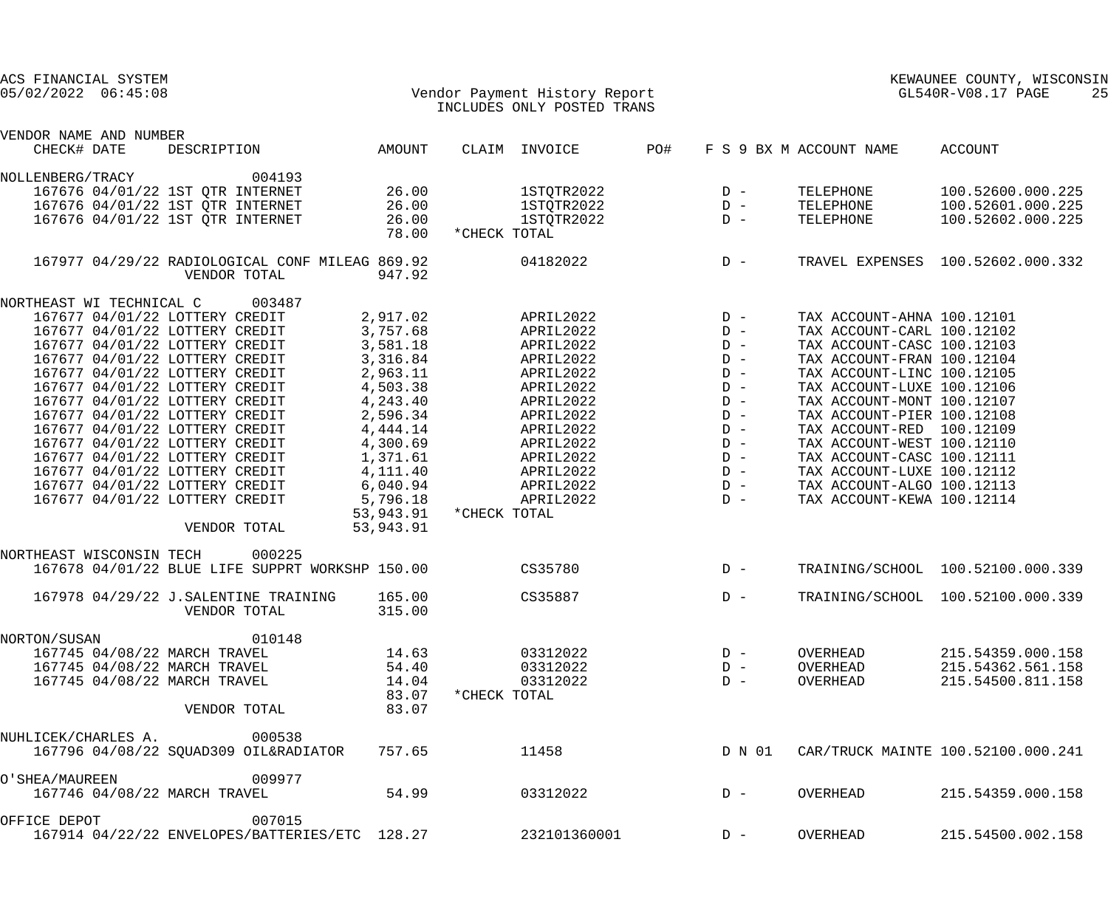| ACS FINANCIAL SYSTEM<br>$05/02/2022$ $06:45:08$ |                                                                 |                  | Vendor Payment History Report<br>INCLUDES ONLY POSTED TRANS | KEWAUNEE COUNTY, WISCONSIN<br>GL540R-V08.17 PAGE |        |                            |                                    |
|-------------------------------------------------|-----------------------------------------------------------------|------------------|-------------------------------------------------------------|--------------------------------------------------|--------|----------------------------|------------------------------------|
| VENDOR NAME AND NUMBER                          |                                                                 |                  |                                                             |                                                  |        |                            |                                    |
| CHECK# DATE                                     | DESCRIPTION                                                     | AMOUNT           | CLAIM INVOICE                                               | PO#                                              |        | F S 9 BX M ACCOUNT NAME    | ACCOUNT                            |
| NOLLENBERG/TRACY                                | 004193                                                          |                  |                                                             |                                                  |        |                            |                                    |
|                                                 | 167676 04/01/22 1ST OTR INTERNET                                | 26.00            | 1STQTR2022                                                  |                                                  | $D -$  | TELEPHONE                  | 100.52600.000.225                  |
|                                                 | 167676 04/01/22 1ST QTR INTERNET                                | 26.00            | 1STQTR2022                                                  |                                                  | $D -$  | TELEPHONE                  | 100.52601.000.225                  |
|                                                 | 167676 04/01/22 1ST QTR INTERNET                                | 26.00            | 1STQTR2022                                                  |                                                  | $D -$  | TELEPHONE                  | 100.52602.000.225                  |
|                                                 |                                                                 | 78.00            | *CHECK TOTAL                                                |                                                  |        |                            |                                    |
|                                                 | 167977 04/29/22 RADIOLOGICAL CONF MILEAG 869.92<br>VENDOR TOTAL | 947.92           | 04182022                                                    |                                                  | $D -$  |                            | TRAVEL EXPENSES 100.52602.000.332  |
| NORTHEAST WI TECHNICAL C 003487                 |                                                                 |                  |                                                             |                                                  |        |                            |                                    |
| 167677 04/01/22 LOTTERY CREDIT                  |                                                                 | 2,917.02         | APRIL2022                                                   |                                                  | $D -$  | TAX ACCOUNT-AHNA 100.12101 |                                    |
| 167677 04/01/22 LOTTERY CREDIT                  |                                                                 | 3,757.68         | APRIL2022                                                   |                                                  | $D -$  | TAX ACCOUNT-CARL 100.12102 |                                    |
| 167677 04/01/22 LOTTERY CREDIT                  |                                                                 | 3,581.18         | APRIL2022                                                   |                                                  | $D -$  | TAX ACCOUNT-CASC 100.12103 |                                    |
| 167677 04/01/22 LOTTERY CREDIT                  |                                                                 | 3,316.84         | APRIL2022                                                   |                                                  | $D -$  | TAX ACCOUNT-FRAN 100.12104 |                                    |
| 167677 04/01/22 LOTTERY CREDIT                  |                                                                 | 2,963.11         | APRIL2022                                                   |                                                  | $D -$  | TAX ACCOUNT-LINC 100.12105 |                                    |
| 167677 04/01/22 LOTTERY CREDIT                  |                                                                 | 4,503.38         | APRIL2022                                                   |                                                  | $D -$  | TAX ACCOUNT-LUXE 100.12106 |                                    |
| 167677 04/01/22 LOTTERY CREDIT                  |                                                                 | 4,243.40         | APRIL2022                                                   |                                                  | $D -$  | TAX ACCOUNT-MONT 100.12107 |                                    |
| 167677 04/01/22 LOTTERY CREDIT                  |                                                                 | 2,596.34         | APRIL2022                                                   |                                                  | $D -$  | TAX ACCOUNT-PIER 100.12108 |                                    |
| 167677 04/01/22 LOTTERY CREDIT                  |                                                                 | 4,444.14         | APRIL2022                                                   |                                                  | $D -$  | TAX ACCOUNT-RED 100.12109  |                                    |
| 167677 04/01/22 LOTTERY CREDIT                  |                                                                 | 4,300.69         | APRIL2022                                                   |                                                  | $D -$  | TAX ACCOUNT-WEST 100.12110 |                                    |
| 167677 04/01/22 LOTTERY CREDIT                  |                                                                 | 1,371.61         | APRIL2022                                                   |                                                  | $D -$  | TAX ACCOUNT-CASC 100.12111 |                                    |
| 167677 04/01/22 LOTTERY CREDIT                  |                                                                 | 4,111.40         | APRIL2022                                                   |                                                  | $D -$  | TAX ACCOUNT-LUXE 100.12112 |                                    |
| 167677 04/01/22 LOTTERY CREDIT                  |                                                                 | 6,040.94         | APRIL2022                                                   |                                                  | $D -$  | TAX ACCOUNT-ALGO 100.12113 |                                    |
| 167677 04/01/22 LOTTERY CREDIT                  |                                                                 | 5,796.18         | APRIL2022                                                   |                                                  | $D -$  | TAX ACCOUNT-KEWA 100.12114 |                                    |
|                                                 |                                                                 | 53,943.91        | *CHECK TOTAL                                                |                                                  |        |                            |                                    |
|                                                 | VENDOR TOTAL                                                    | 53,943.91        |                                                             |                                                  |        |                            |                                    |
| NORTHEAST WISCONSIN TECH                        | 000225                                                          |                  |                                                             |                                                  |        |                            |                                    |
|                                                 | 167678 04/01/22 BLUE LIFE SUPPRT WORKSHP 150.00                 |                  | CS35780                                                     |                                                  | $D -$  |                            | TRAINING/SCHOOL 100.52100.000.339  |
|                                                 | 167978 04/29/22 J.SALENTINE TRAINING<br>VENDOR TOTAL            | 165.00<br>315.00 | CS35887                                                     |                                                  | $D -$  |                            | TRAINING/SCHOOL 100.52100.000.339  |
| NORTON/SUSAN                                    | 010148                                                          |                  |                                                             |                                                  |        |                            |                                    |
| 167745 04/08/22 MARCH TRAVEL                    |                                                                 | 14.63            | 03312022                                                    |                                                  | $D -$  | OVERHEAD                   | 215.54359.000.158                  |
| 167745 04/08/22 MARCH TRAVEL                    |                                                                 | 54.40            | 03312022                                                    |                                                  | $D -$  | OVERHEAD                   | 215.54362.561.158                  |
| 167745 04/08/22 MARCH TRAVEL                    |                                                                 | 14.04            | 03312022                                                    |                                                  | $D -$  | OVERHEAD                   | 215.54500.811.158                  |
|                                                 |                                                                 | 83.07            | *CHECK TOTAL                                                |                                                  |        |                            |                                    |
|                                                 | VENDOR TOTAL                                                    | 83.07            |                                                             |                                                  |        |                            |                                    |
| NUHLICEK/CHARLES A.                             | 000538                                                          |                  |                                                             |                                                  |        |                            |                                    |
|                                                 | 167796 04/08/22 SQUAD309 OIL&RADIATOR                           | 757.65           | 11458                                                       |                                                  | D N 01 |                            | CAR/TRUCK MAINTE 100.52100.000.241 |
| O'SHEA/MAUREEN                                  | 009977                                                          |                  |                                                             |                                                  |        |                            |                                    |
| 167746 04/08/22 MARCH TRAVEL                    |                                                                 | 54.99            | 03312022                                                    |                                                  | $D -$  | OVERHEAD                   | 215.54359.000.158                  |
| OFFICE DEPOT                                    | 007015                                                          |                  |                                                             |                                                  |        |                            |                                    |
|                                                 | 167914 04/22/22 ENVELOPES/BATTERIES/ETC 128.27                  |                  | 232101360001                                                |                                                  | $D -$  | OVERHEAD                   | 215.54500.002.158                  |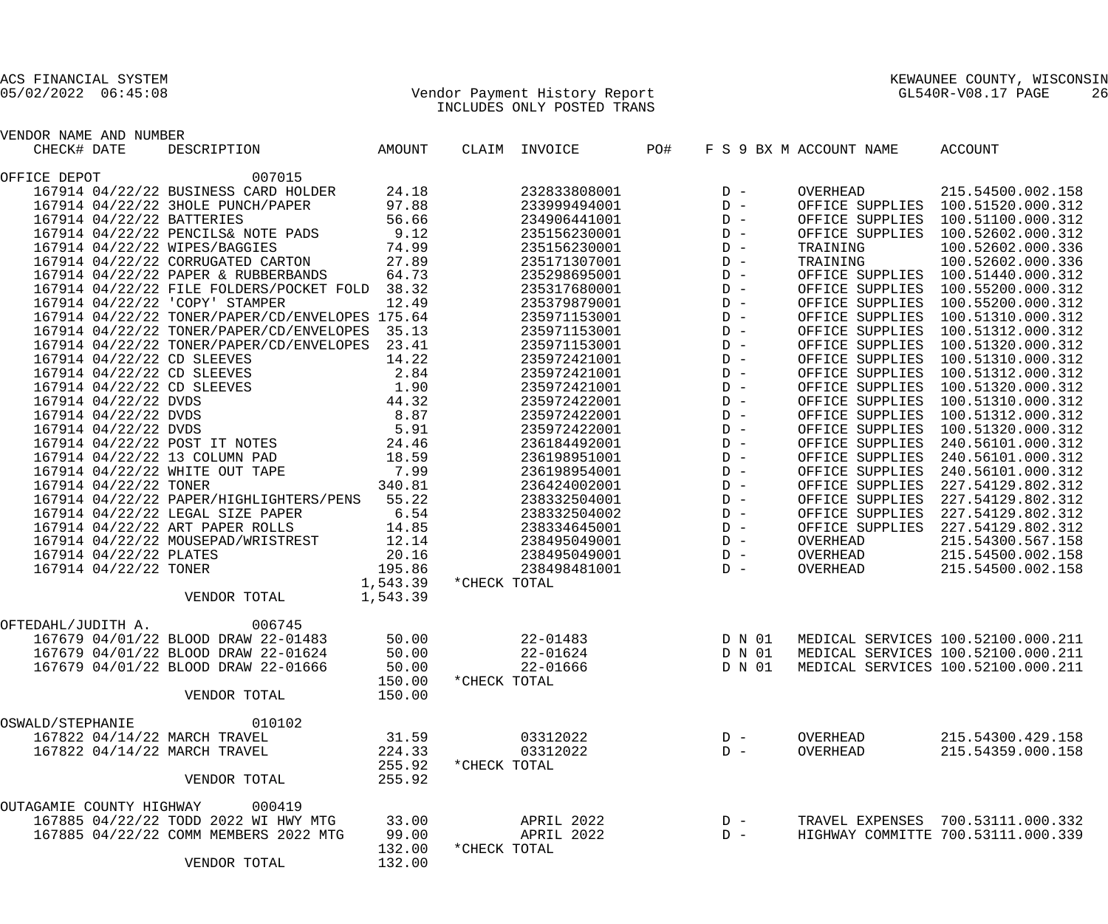| VENDOR NAME AND NUMBER         |                                                                                                                                                                                                                                                |        |                |                   |        |        |                         |                                                                                                                                                                                                                                            |
|--------------------------------|------------------------------------------------------------------------------------------------------------------------------------------------------------------------------------------------------------------------------------------------|--------|----------------|-------------------|--------|--------|-------------------------|--------------------------------------------------------------------------------------------------------------------------------------------------------------------------------------------------------------------------------------------|
| CHECK# DATE                    | NOMBER<br>DESCRIPTION AMOUNT                                                                                                                                                                                                                   |        |                | CLAIM INVOICE PO# |        |        | F S 9 BX M ACCOUNT NAME | ACCOUNT                                                                                                                                                                                                                                    |
| OFFICE DEPOT                   | 007015                                                                                                                                                                                                                                         |        |                |                   |        |        |                         | 0 - OVERHEAD 215.54500.002.158<br>0 - OFFICE SUPPLIES 100.51520.000.312<br>D - OFFICE SUPPLIES 100.51100.000.312<br>D - OFFICE SUPPLIES 100.52602.000.312<br>D - TRAINING 100.52602.000.336<br>D - TRAINING 100.52602.000.336<br>D - OFFIC |
|                                | 167914 04/22/22 BUSINESS CARD HOLDER 24.18 232833808001                                                                                                                                                                                        |        |                |                   |        |        |                         |                                                                                                                                                                                                                                            |
|                                | 167914 04/22/22 3HOLE PUNCH/PAPER 97.88 233999494001                                                                                                                                                                                           |        |                |                   |        |        |                         |                                                                                                                                                                                                                                            |
|                                | 167914 04/22/22 BATTERIES 56.66<br>167914 04/22/22 PENCILS& NOTE PADS 9.12<br>167914 04/22/22 WIPES/BAGGIES 74.99<br>167914 04/22/22 CORRUGATED CARTON 27.89                                                                                   |        |                | 234906441001      |        |        |                         |                                                                                                                                                                                                                                            |
|                                |                                                                                                                                                                                                                                                |        |                | 235156230001      |        |        |                         |                                                                                                                                                                                                                                            |
|                                |                                                                                                                                                                                                                                                |        |                | 235156230001      |        |        |                         |                                                                                                                                                                                                                                            |
|                                |                                                                                                                                                                                                                                                |        |                | 235171307001      |        |        |                         |                                                                                                                                                                                                                                            |
|                                | 167914 04/22/22 PAPER & RUBBERBANDS 64.73                                                                                                                                                                                                      |        |                | 235298695001      |        |        |                         |                                                                                                                                                                                                                                            |
|                                | 167914 04/22/22 FILE FOLDERS/POCKET FOLD 38.32                                                                                                                                                                                                 |        |                | 235317680001      |        |        |                         |                                                                                                                                                                                                                                            |
| 167914 04/22/22 'COPY' STAMPER | 12.49                                                                                                                                                                                                                                          |        |                | 235379879001      |        |        |                         |                                                                                                                                                                                                                                            |
|                                | 167914 04/22/22 TONER/PAPER/CD/ENVELOPES 175.64                                                                                                                                                                                                |        |                | 235971153001      |        |        |                         |                                                                                                                                                                                                                                            |
|                                | 167914 04/22/22 TONER/PAPER/CD/ENVELOPES 35.13                                                                                                                                                                                                 |        |                | 235971153001      |        |        |                         |                                                                                                                                                                                                                                            |
|                                | 167914 04/22/22 TONER/PAPER/CD/ENVELOPES 23.41                                                                                                                                                                                                 |        |                | 235971153001      |        |        |                         |                                                                                                                                                                                                                                            |
|                                |                                                                                                                                                                                                                                                |        |                | 235972421001      |        |        |                         |                                                                                                                                                                                                                                            |
|                                |                                                                                                                                                                                                                                                |        |                | 235972421001      |        |        |                         |                                                                                                                                                                                                                                            |
|                                |                                                                                                                                                                                                                                                |        |                | 235972421001      |        |        |                         |                                                                                                                                                                                                                                            |
|                                |                                                                                                                                                                                                                                                |        |                | 235972422001      |        |        |                         |                                                                                                                                                                                                                                            |
|                                |                                                                                                                                                                                                                                                |        |                | 235972422001      |        |        |                         |                                                                                                                                                                                                                                            |
|                                |                                                                                                                                                                                                                                                |        |                | 235972422001      |        |        |                         |                                                                                                                                                                                                                                            |
|                                |                                                                                                                                                                                                                                                |        |                | 236184492001      |        |        |                         |                                                                                                                                                                                                                                            |
|                                | 167914 04/22/22 CD SLEEVES<br>167914 04/22/22 CD SLEEVES<br>167914 04/22/22 CD SLEEVES<br>167914 04/22/22 CD SLEEVES<br>1.90<br>167914 04/22/22 DVDS<br>167914 04/22/22 DVDS<br>167914 04/22/22 POST IT NOTES<br>167914 04/22/22 POST IT NOTES |        |                | 236198951001      |        |        |                         |                                                                                                                                                                                                                                            |
|                                |                                                                                                                                                                                                                                                |        |                | 236198954001      |        |        |                         |                                                                                                                                                                                                                                            |
|                                |                                                                                                                                                                                                                                                |        |                | 236424002001      |        |        |                         |                                                                                                                                                                                                                                            |
|                                | 167914 04/22/22 PAPER/HIGHLIGHTERS/PENS 55.22                                                                                                                                                                                                  |        |                | 238332504001      |        |        |                         |                                                                                                                                                                                                                                            |
|                                |                                                                                                                                                                                                                                                |        |                | 238332504002      |        |        |                         |                                                                                                                                                                                                                                            |
|                                | 167914 04/22/22 LEGAL SIZE PAPER 6.54<br>167914 04/22/22 ART PAPER ROLLS 14.85                                                                                                                                                                 |        |                | 238334645001      |        |        |                         |                                                                                                                                                                                                                                            |
|                                |                                                                                                                                                                                                                                                |        |                | 238495049001      |        |        |                         |                                                                                                                                                                                                                                            |
|                                |                                                                                                                                                                                                                                                |        |                | 238495049001      |        |        |                         |                                                                                                                                                                                                                                            |
|                                | 167914 04/22/22 MOUSEPAD/WRISTREST 12.14<br>167914 04/22/22 PLATES 20.16<br>167914 04/22/22 TONER 195.86<br>1,543.39                                                                                                                           |        |                |                   |        |        |                         |                                                                                                                                                                                                                                            |
|                                |                                                                                                                                                                                                                                                |        |                | 238498481001      |        |        |                         |                                                                                                                                                                                                                                            |
|                                |                                                                                                                                                                                                                                                |        | *CHECK TOTAL   |                   |        |        |                         |                                                                                                                                                                                                                                            |
|                                | VENDOR TOTAL 1,543.39                                                                                                                                                                                                                          |        |                |                   |        |        |                         |                                                                                                                                                                                                                                            |
| OFTEDAHL/JUDITH A. 006745      |                                                                                                                                                                                                                                                |        |                |                   |        |        |                         |                                                                                                                                                                                                                                            |
|                                | 167679 04/01/22 BLOOD DRAW 22-01483                                                                                                                                                                                                            |        | 50.00 22-01483 |                   | D N 01 |        |                         | MEDICAL SERVICES 100.52100.000.211                                                                                                                                                                                                         |
|                                | 167679 04/01/22 BLOOD DRAW 22-01624 50.00                                                                                                                                                                                                      |        |                |                   |        |        |                         | 22-01624 D N 01 MEDICAL SERVICES 100.52100.000.211                                                                                                                                                                                         |
|                                | 167679 04/01/22 BLOOD DRAW 22-01666                                                                                                                                                                                                            | 50.00  |                | 22-01666          |        | D N 01 |                         | MEDICAL SERVICES 100.52100.000.211                                                                                                                                                                                                         |
|                                |                                                                                                                                                                                                                                                | 150.00 | *CHECK TOTAL   |                   |        |        |                         |                                                                                                                                                                                                                                            |
|                                | VENDOR TOTAL                                                                                                                                                                                                                                   | 150.00 |                |                   |        |        |                         |                                                                                                                                                                                                                                            |
| OSWALD/STEPHANIE               | 010102                                                                                                                                                                                                                                         |        |                |                   |        |        |                         |                                                                                                                                                                                                                                            |
| 167822 04/14/22 MARCH TRAVEL   |                                                                                                                                                                                                                                                | 31.59  |                | 03312022          |        | $D -$  | OVERHEAD                | 215.54300.429.158                                                                                                                                                                                                                          |
| 167822 04/14/22 MARCH TRAVEL   |                                                                                                                                                                                                                                                | 224.33 |                | 03312022          |        | $D -$  | OVERHEAD                | 215.54359.000.158                                                                                                                                                                                                                          |
|                                |                                                                                                                                                                                                                                                | 255.92 | *CHECK TOTAL   |                   |        |        |                         |                                                                                                                                                                                                                                            |
|                                | VENDOR TOTAL                                                                                                                                                                                                                                   | 255.92 |                |                   |        |        |                         |                                                                                                                                                                                                                                            |
| OUTAGAMIE COUNTY HIGHWAY       | 000419                                                                                                                                                                                                                                         |        |                |                   |        |        |                         |                                                                                                                                                                                                                                            |
|                                | 167885 04/22/22 TODD 2022 WI HWY MTG                                                                                                                                                                                                           | 33.00  |                | APRIL 2022        |        | $D -$  |                         | TRAVEL EXPENSES 700.53111.000.332                                                                                                                                                                                                          |
|                                | 167885 04/22/22 COMM MEMBERS 2022 MTG                                                                                                                                                                                                          | 99.00  |                | APRIL 2022        |        | $D -$  |                         | HIGHWAY COMMITTE 700.53111.000.339                                                                                                                                                                                                         |
|                                |                                                                                                                                                                                                                                                | 132.00 | *CHECK TOTAL   |                   |        |        |                         |                                                                                                                                                                                                                                            |
|                                | VENDOR TOTAL                                                                                                                                                                                                                                   | 132.00 |                |                   |        |        |                         |                                                                                                                                                                                                                                            |
|                                |                                                                                                                                                                                                                                                |        |                |                   |        |        |                         |                                                                                                                                                                                                                                            |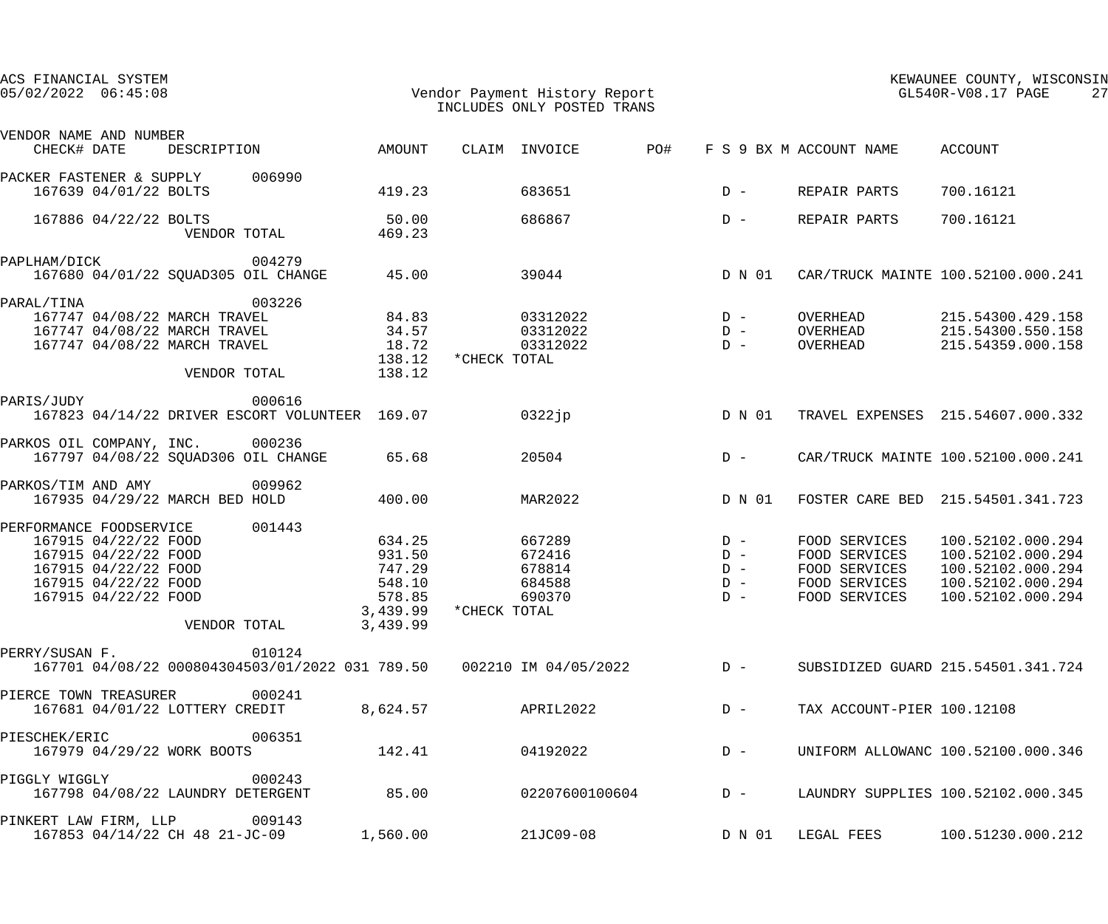| ACS FINANCIAL SYSTEM<br>$05/02/2022$ $06:45:08$ |                                                                                                                      |                                                                              |                                                           |                                                                        |              | Vendor Payment History Report<br>INCLUDES ONLY POSTED TRANS |       |                                  | GL540R-V08.17 PAGE                                                                | KEWAUNEE COUNTY, WISCONSIN                                                                            | 27 |
|-------------------------------------------------|----------------------------------------------------------------------------------------------------------------------|------------------------------------------------------------------------------|-----------------------------------------------------------|------------------------------------------------------------------------|--------------|-------------------------------------------------------------|-------|----------------------------------|-----------------------------------------------------------------------------------|-------------------------------------------------------------------------------------------------------|----|
| VENDOR NAME AND NUMBER<br>CHECK# DATE           |                                                                                                                      |                                                                              | DESCRIPTION AMOUNT                                        |                                                                        |              | CLAIM INVOICE                                               | PO#   |                                  | F S 9 BX M ACCOUNT NAME ACCOUNT                                                   |                                                                                                       |    |
| PACKER FASTENER & SUPPLY 006990                 | 167639 04/01/22 BOLTS                                                                                                |                                                                              |                                                           | 419.23                                                                 |              | 683651                                                      |       | $D -$                            | REPAIR PARTS                                                                      | 700.16121                                                                                             |    |
|                                                 | 167886 04/22/22 BOLTS                                                                                                | VENDOR TOTAL                                                                 |                                                           | 50.00<br>469.23                                                        |              | 686867                                                      |       | $D -$                            | REPAIR PARTS                                                                      | 700.16121                                                                                             |    |
| PAPLHAM/DICK                                    |                                                                                                                      |                                                                              | 004279<br>167680 04/01/22 SQUAD305 OIL CHANGE             | 45.00                                                                  |              | 39044                                                       |       | D N 01                           |                                                                                   | CAR/TRUCK MAINTE 100.52100.000.241                                                                    |    |
| PARAL/TINA                                      |                                                                                                                      | 167747 04/08/22 MARCH TRAVEL<br>167747 04/08/22 MARCH TRAVEL<br>VENDOR TOTAL | 003226<br>167747 04/08/22 MARCH TRAVEL 34.57              | 84.83<br>18.72<br>138.12<br>138.12                                     | *CHECK TOTAL | $03312022$ D -<br>$03312022$ D -<br>03312022                |       | $D -$                            | OVERHEAD<br>OVERHEAD<br>OVERHEAD                                                  | 215.54300.429.158<br>215.54300.550.158<br>215.54359.000.158                                           |    |
| PARIS/JUDY                                      |                                                                                                                      |                                                                              | 000616<br>167823 04/14/22 DRIVER ESCORT VOLUNTEER 169.07  |                                                                        | 0322jp       |                                                             |       | D N 01                           |                                                                                   | TRAVEL EXPENSES 215.54607.000.332                                                                     |    |
| PARKOS OIL COMPANY, INC. 000236                 |                                                                                                                      |                                                                              | 167797 04/08/22 SQUAD306 OIL CHANGE                       | 65.68                                                                  |              | 20504                                                       |       | $D -$                            |                                                                                   | CAR/TRUCK MAINTE 100.52100.000.241                                                                    |    |
| PARKOS/TIM AND AMY                              |                                                                                                                      | 167935 04/29/22 MARCH BED HOLD                                               | 009962                                                    | 400.00                                                                 |              | MAR2022                                                     |       | D N 01                           |                                                                                   | FOSTER CARE BED 215.54501.341.723                                                                     |    |
| PERFORMANCE FOODSERVICE                         | 167915 04/22/22 FOOD<br>167915 04/22/22 FOOD<br>167915 04/22/22 FOOD<br>167915 04/22/22 FOOD<br>167915 04/22/22 FOOD | VENDOR TOTAL                                                                 | 001443                                                    | 634.25<br>931.50<br>747.29<br>548.10<br>578.85<br>3,439.99<br>3,439.99 | *CHECK TOTAL | 667289<br>672416<br>678814<br>684588<br>690370              | $D -$ | $D -$<br>$D -$<br>$D -$<br>$D -$ | FOOD SERVICES<br>FOOD SERVICES<br>FOOD SERVICES<br>FOOD SERVICES<br>FOOD SERVICES | 100.52102.000.294<br>100.52102.000.294<br>100.52102.000.294<br>100.52102.000.294<br>100.52102.000.294 |    |
| PERRY/SUSAN F.                                  |                                                                                                                      |                                                                              | 010124<br>167701 04/08/22 000804304503/01/2022 031 789.50 |                                                                        |              | 002210 IM 04/05/2022                                        |       | $D -$                            |                                                                                   | SUBSIDIZED GUARD 215.54501.341.724                                                                    |    |
| PIERCE TOWN TREASURER                           |                                                                                                                      | 167681 04/01/22 LOTTERY CREDIT                                               | 000241                                                    | 8,624.57                                                               |              | APRIL2022                                                   |       | $D -$                            | TAX ACCOUNT-PIER 100.12108                                                        |                                                                                                       |    |
| PIESCHEK/ERIC                                   |                                                                                                                      | 167979 04/29/22 WORK BOOTS                                                   | 006351                                                    | 142.41                                                                 |              | 04192022                                                    |       | $D -$                            |                                                                                   | UNIFORM ALLOWANC 100.52100.000.346                                                                    |    |
| <b>PIGGLY WIGGLY</b>                            |                                                                                                                      | 167798 04/08/22 LAUNDRY DETERGENT                                            | 000243                                                    | 85.00                                                                  |              | 02207600100604                                              |       | $D -$                            |                                                                                   | LAUNDRY SUPPLIES 100.52102.000.345                                                                    |    |
| PINKERT LAW FIRM, LLP                           |                                                                                                                      | 167853 04/14/22 CH 48 21-JC-09                                               | 009143                                                    | 1,560.00                                                               |              | 21JC09-08                                                   |       | D N 01                           | LEGAL FEES                                                                        | 100.51230.000.212                                                                                     |    |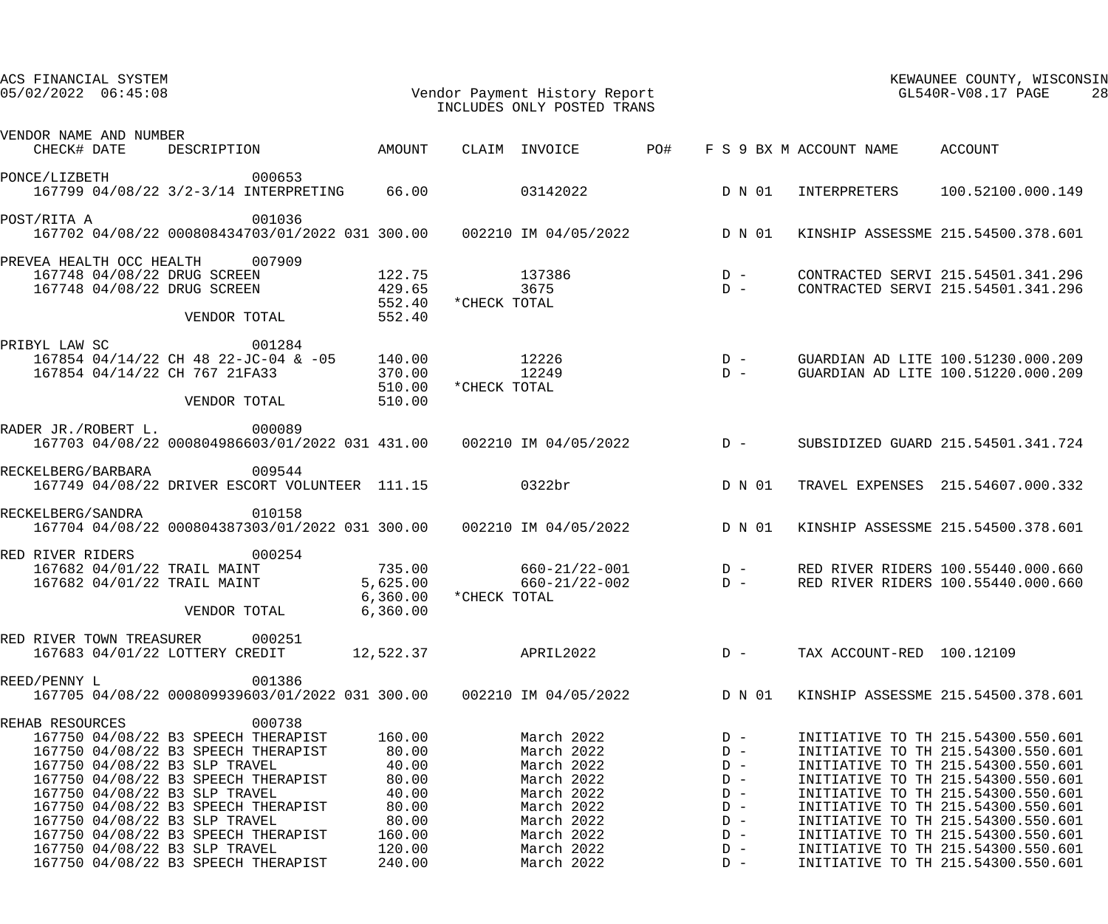| ACS FINANCIAL SYSTEM<br>$05/02/2022$ $06:45:08$                                                                                                     |                      | INCLUDES ONLY POSTED TRANS               |                                                 | KEWAUNEE COUNTY, WISCONSIN<br>KEWAUNEE COUNTY, WISCO<br>Vendor Payment History Report<br>INCLUDES ONLY POSTED TRANS<br>28 |                                                                          |  |
|-----------------------------------------------------------------------------------------------------------------------------------------------------|----------------------|------------------------------------------|-------------------------------------------------|---------------------------------------------------------------------------------------------------------------------------|--------------------------------------------------------------------------|--|
| VENDOR NAME AND NUMBER<br>DESCRIPTION AMOUNT<br>CHECK# DATE                                                                                         |                      | CLAIM INVOICE PO#                        |                                                 | F S 9 BX M ACCOUNT NAME ACCOUNT                                                                                           |                                                                          |  |
|                                                                                                                                                     |                      |                                          |                                                 |                                                                                                                           |                                                                          |  |
| 000653<br>PONCE/LIZBETH<br>167799 04/08/22 3/2-3/14 INTERPRETING 66.00 03142022                                                                     |                      |                                          | D N 01                                          |                                                                                                                           | INTERPRETERS 100.52100.000.149                                           |  |
| 001036<br>POST/RITA A<br>167702 04/08/22 000808434703/01/2022 031 300.00  002210 IM 04/05/2022  D N 01                                              |                      |                                          |                                                 |                                                                                                                           | KINSHIP ASSESSME 215.54500.378.601                                       |  |
| PREVEA HEALTH OCC HEALTH 007909                                                                                                                     |                      |                                          |                                                 |                                                                                                                           |                                                                          |  |
| 167748 04/08/22 DRUG SCREEN 122.75 137386<br>167748 04/08/22 DRUG SCREEN 429.65                                                                     | 552.40               | $137386$ D –<br>3675 D –<br>*CHECK TOTAL |                                                 |                                                                                                                           | CONTRACTED SERVI 215.54501.341.296<br>CONTRACTED SERVI 215.54501.341.296 |  |
| VENDOR TOTAL                                                                                                                                        | 552.40               |                                          |                                                 |                                                                                                                           |                                                                          |  |
| PRIBYL LAW SC<br>001284                                                                                                                             |                      |                                          |                                                 |                                                                                                                           |                                                                          |  |
| 167854 04/14/22 CH 48 22-JC-04 & -05 140.00<br>167854 04/14/22 CH 767 21FA33<br>370.00                                                              |                      | 12226<br>12249                           | $\begin{array}{c}\nD & - \\ D & -\n\end{array}$ |                                                                                                                           | GUARDIAN AD LITE 100.51230.000.209<br>GUARDIAN AD LITE 100.51220.000.209 |  |
| VENDOR TOTAL                                                                                                                                        | 510.00<br>510.00     | *CHECK TOTAL                             |                                                 |                                                                                                                           |                                                                          |  |
| RADER JR./ROBERT L. 000089                                                                                                                          |                      |                                          |                                                 |                                                                                                                           |                                                                          |  |
| 167703 04/08/22 000804986603/01/2022 031 431.00  002210 IM 04/05/2022  D -                                                                          |                      |                                          |                                                 |                                                                                                                           | SUBSIDIZED GUARD 215.54501.341.724                                       |  |
| RECKELBERG/BARBARA<br>009544<br>167749 04/08/22 DRIVER ESCORT VOLUNTEER 111.15 0322br                                                               |                      |                                          | D N 01                                          |                                                                                                                           | TRAVEL EXPENSES 215.54607.000.332                                        |  |
| 010158<br>RECKELBERG/SANDRA<br>$167704$ 04/08/22 000804387303/01/2022 031 300.00 002210 IM 04/05/2022 D N 01                                        |                      |                                          |                                                 |                                                                                                                           | KINSHIP ASSESSME 215.54500.378.601                                       |  |
|                                                                                                                                                     |                      |                                          |                                                 |                                                                                                                           |                                                                          |  |
| 000254<br>RED RIVER RIDERS                                                                                                                          |                      |                                          |                                                 |                                                                                                                           | RED RIVER RIDERS 100.55440.000.660                                       |  |
| 167682 04/01/22 TRAIL MAINT         735.00      660-21/22-001       D -<br>167682 04/01/22 TRAIL MAINT        5,625.00      660-21/22-002       D - |                      |                                          |                                                 |                                                                                                                           | RED RIVER RIDERS 100.55440.000.660                                       |  |
| VENDOR TOTAL                                                                                                                                        | 6,360.00<br>6,360.00 | *CHECK TOTAL                             |                                                 |                                                                                                                           |                                                                          |  |
| 000251<br>RED RIVER TOWN TREASURER                                                                                                                  |                      |                                          |                                                 |                                                                                                                           |                                                                          |  |
| 167683 04/01/22 LOTTERY CREDIT                                                                                                                      | 12,522.37            | APRIL2022                                | $D -$                                           | TAX ACCOUNT-RED 100.12109                                                                                                 |                                                                          |  |
| 001386<br>REED/PENNY L<br>167705 04/08/22 000809939603/01/2022 031 300.00                                                                           |                      | 002210 IM 04/05/2022                     | D N 01                                          |                                                                                                                           | KINSHIP ASSESSME 215.54500.378.601                                       |  |
| 000738<br>REHAB RESOURCES                                                                                                                           |                      |                                          |                                                 |                                                                                                                           |                                                                          |  |
| 167750 04/08/22 B3 SPEECH THERAPIST                                                                                                                 | 160.00               | March 2022                               | $D -$                                           |                                                                                                                           | INITIATIVE TO TH 215.54300.550.601                                       |  |
| 167750 04/08/22 B3 SPEECH THERAPIST                                                                                                                 | 80.00                | March 2022                               | $D -$                                           |                                                                                                                           | INITIATIVE TO TH 215.54300.550.601                                       |  |
| 167750 04/08/22 B3 SLP TRAVEL                                                                                                                       | 40.00                | March 2022                               | $D -$                                           |                                                                                                                           | INITIATIVE TO TH 215.54300.550.601                                       |  |
| 167750 04/08/22 B3 SPEECH THERAPIST                                                                                                                 | 80.00                | March 2022                               | $D -$                                           |                                                                                                                           | INITIATIVE TO TH 215.54300.550.601                                       |  |
| 167750 04/08/22 B3 SLP TRAVEL                                                                                                                       | 40.00                | March 2022                               | $D -$                                           |                                                                                                                           | INITIATIVE TO TH 215.54300.550.601                                       |  |
| 167750 04/08/22 B3 SPEECH THERAPIST                                                                                                                 | 80.00                | March 2022                               | $D -$                                           |                                                                                                                           | INITIATIVE TO TH 215.54300.550.601                                       |  |
| 167750 04/08/22 B3 SLP TRAVEL                                                                                                                       | 80.00                | March 2022                               | $D -$                                           |                                                                                                                           | INITIATIVE TO TH 215.54300.550.601                                       |  |
| 167750 04/08/22 B3 SPEECH THERAPIST                                                                                                                 | 160.00               | March 2022                               | $D -$                                           |                                                                                                                           | INITIATIVE TO TH 215.54300.550.601                                       |  |
| 167750 04/08/22 B3 SLP TRAVEL                                                                                                                       | 120.00               | March 2022                               | $D -$                                           |                                                                                                                           | INITIATIVE TO TH 215.54300.550.601                                       |  |
| 167750 04/08/22 B3 SPEECH THERAPIST                                                                                                                 | 240.00               | March 2022                               | $D -$                                           |                                                                                                                           | INITIATIVE TO TH 215.54300.550.601                                       |  |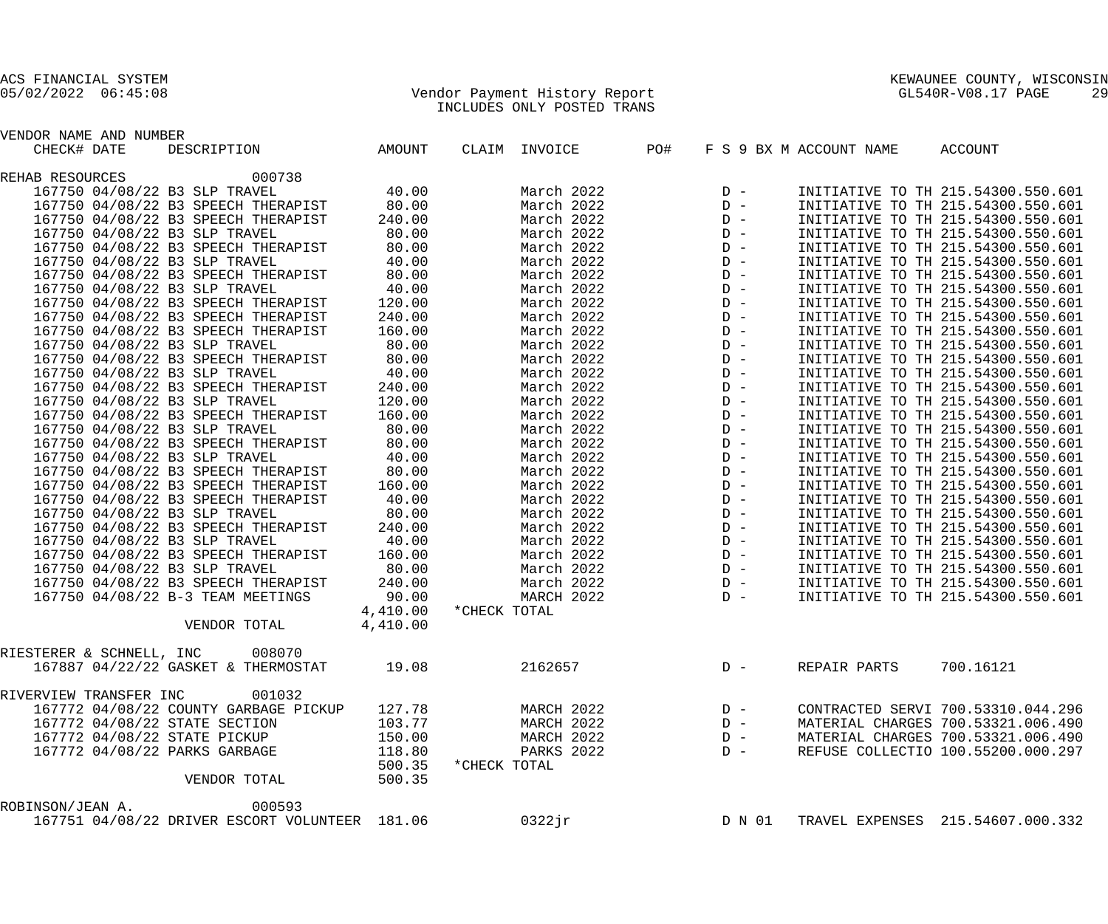## 05/02/2022 06:45:08 Vendor Payment History Report GL540R-V08.17 PAGE 29 INCLUDES ONLY POSTED TRANS

| VENDOR NAME AND NUMBER                         |          |               |                                                                                                                                                                                                                                          |                         |                                    |
|------------------------------------------------|----------|---------------|------------------------------------------------------------------------------------------------------------------------------------------------------------------------------------------------------------------------------------------|-------------------------|------------------------------------|
| CHECK# DATE<br>DESCRIPTION AMOUNT              |          | CLAIM INVOICE | PO#                                                                                                                                                                                                                                      | F S 9 BX M ACCOUNT NAME | ACCOUNT                            |
| 000738<br>REHAB RESOURCES                      |          |               | 0 - INITIATIVE TO TH 215.54300.550.601<br>0 - INITIATIVE TO TH 215.54300.550.601<br>0 - INITIATIVE TO TH 215.54300.550.601<br>0 - INITIATIVE TO TH 215.54300.550.601<br>0 - INITIATIVE TO TH 215.54300.550.601<br>0 - INITIATIVE TO TH 2 |                         |                                    |
| 167750 04/08/22 B3 SLP TRAVEL                  | 40.00    | March 2022    |                                                                                                                                                                                                                                          |                         |                                    |
| 167750 04/08/22 B3 SPEECH THERAPIST            | 80.00    | March 2022    |                                                                                                                                                                                                                                          |                         |                                    |
| 167750 04/08/22 B3 SPEECH THERAPIST            | 240.00   | March 2022    |                                                                                                                                                                                                                                          |                         |                                    |
| 167750 04/08/22 B3 SLP TRAVEL                  | 80.00    | March 2022    |                                                                                                                                                                                                                                          |                         |                                    |
| 167750 04/08/22 B3 SPEECH THERAPIST            | 80.00    | March 2022    |                                                                                                                                                                                                                                          |                         |                                    |
| 167750 04/08/22 B3 SLP TRAVEL                  | 40.00    | March 2022    |                                                                                                                                                                                                                                          |                         |                                    |
| 167750 04/08/22 B3 SPEECH THERAPIST            | 80.00    | March 2022    |                                                                                                                                                                                                                                          |                         |                                    |
| 167750 04/08/22 B3 SLP TRAVEL                  | 40.00    | March 2022    |                                                                                                                                                                                                                                          |                         |                                    |
| 167750 04/08/22 B3 SPEECH THERAPIST            | 120.00   | March 2022    |                                                                                                                                                                                                                                          |                         |                                    |
| 167750 04/08/22 B3 SPEECH THERAPIST            | 240.00   | March 2022    |                                                                                                                                                                                                                                          |                         |                                    |
| 167750 04/08/22 B3 SPEECH THERAPIST            | 160.00   | March 2022    |                                                                                                                                                                                                                                          |                         |                                    |
| 167750 04/08/22 B3 SLP TRAVEL                  | 80.00    | March 2022    |                                                                                                                                                                                                                                          |                         |                                    |
| 167750 04/08/22 B3 SPEECH THERAPIST            | 80.00    | March 2022    |                                                                                                                                                                                                                                          |                         |                                    |
| 167750 04/08/22 B3 SLP TRAVEL                  | 40.00    | March 2022    |                                                                                                                                                                                                                                          |                         |                                    |
| 167750 04/08/22 B3 SPEECH THERAPIST            | 240.00   | March 2022    |                                                                                                                                                                                                                                          |                         |                                    |
| 167750 04/08/22 B3 SLP TRAVEL                  | 120.00   | March 2022    |                                                                                                                                                                                                                                          |                         |                                    |
| 167750 04/08/22 B3 SPEECH THERAPIST            | 160.00   | March 2022    |                                                                                                                                                                                                                                          |                         |                                    |
| 167750 04/08/22 B3 SLP TRAVEL                  | 80.00    | March 2022    |                                                                                                                                                                                                                                          |                         |                                    |
| 167750 04/08/22 B3 SPEECH THERAPIST            | 80.00    | March 2022    |                                                                                                                                                                                                                                          |                         |                                    |
| 167750 04/08/22 B3 SLP TRAVEL                  | 40.00    | March 2022    |                                                                                                                                                                                                                                          |                         |                                    |
| 167750 04/08/22 B3 SPEECH THERAPIST            | 80.00    | March 2022    |                                                                                                                                                                                                                                          |                         |                                    |
| 167750 04/08/22 B3 SPEECH THERAPIST            | 160.00   | March 2022    |                                                                                                                                                                                                                                          |                         |                                    |
| 167750 04/08/22 B3 SPEECH THERAPIST            | 40.00    | March 2022    |                                                                                                                                                                                                                                          |                         |                                    |
| 167750 04/08/22 B3 SLP TRAVEL                  | 80.00    | March 2022    |                                                                                                                                                                                                                                          |                         |                                    |
| 167750 04/08/22 B3 SPEECH THERAPIST            | 240.00   | March 2022    |                                                                                                                                                                                                                                          |                         |                                    |
| 167750 04/08/22 B3 SLP TRAVEL                  | 40.00    | March 2022    |                                                                                                                                                                                                                                          |                         |                                    |
| 167750 04/08/22 B3 SPEECH THERAPIST            | 160.00   | March 2022    |                                                                                                                                                                                                                                          |                         |                                    |
| 167750 04/08/22 B3 SLP TRAVEL                  | 80.00    | March 2022    |                                                                                                                                                                                                                                          |                         |                                    |
| 167750 04/08/22 B3 SPEECH THERAPIST            | 240.00   | March 2022    |                                                                                                                                                                                                                                          |                         |                                    |
| 167750 04/08/22 B-3 TEAM MEETINGS              | 90.00    | MARCH 2022    |                                                                                                                                                                                                                                          |                         |                                    |
|                                                | 4,410.00 | *CHECK TOTAL  |                                                                                                                                                                                                                                          |                         |                                    |
|                                                |          |               |                                                                                                                                                                                                                                          |                         |                                    |
| VENDOR TOTAL 4,410.00                          |          |               |                                                                                                                                                                                                                                          |                         |                                    |
| RIESTERER & SCHNELL, INC 008070                |          |               |                                                                                                                                                                                                                                          |                         |                                    |
| 167887 04/22/22 GASKET & THERMOSTAT            | 19.08    | 2162657       | $D -$                                                                                                                                                                                                                                    | REPAIR PARTS            | 700.16121                          |
| RIVERVIEW TRANSFER INC<br>001032               |          |               |                                                                                                                                                                                                                                          |                         |                                    |
| 167772 04/08/22 COUNTY GARBAGE PICKUP          | 127.78   | MARCH 2022    | $D -$                                                                                                                                                                                                                                    |                         | CONTRACTED SERVI 700.53310.044.296 |
| 167772 04/08/22 STATE SECTION                  | 103.77   | MARCH 2022    | $D -$                                                                                                                                                                                                                                    |                         | MATERIAL CHARGES 700.53321.006.490 |
| 167772 04/08/22 STATE PICKUP                   | 150.00   | MARCH 2022    | $D -$                                                                                                                                                                                                                                    |                         | MATERIAL CHARGES 700.53321.006.490 |
| 167772 04/08/22 PARKS GARBAGE                  | 118.80   | PARKS 2022    | $D -$                                                                                                                                                                                                                                    |                         | REFUSE COLLECTIO 100.55200.000.297 |
|                                                | 500.35   | *CHECK TOTAL  |                                                                                                                                                                                                                                          |                         |                                    |
| VENDOR TOTAL                                   | 500.35   |               |                                                                                                                                                                                                                                          |                         |                                    |
|                                                |          |               |                                                                                                                                                                                                                                          |                         |                                    |
| 000593<br>ROBINSON/JEAN A.                     |          |               |                                                                                                                                                                                                                                          |                         |                                    |
| 167751 04/08/22 DRIVER ESCORT VOLUNTEER 181.06 |          | $0322$ jr     | D N 01                                                                                                                                                                                                                                   |                         | TRAVEL EXPENSES 215.54607.000.332  |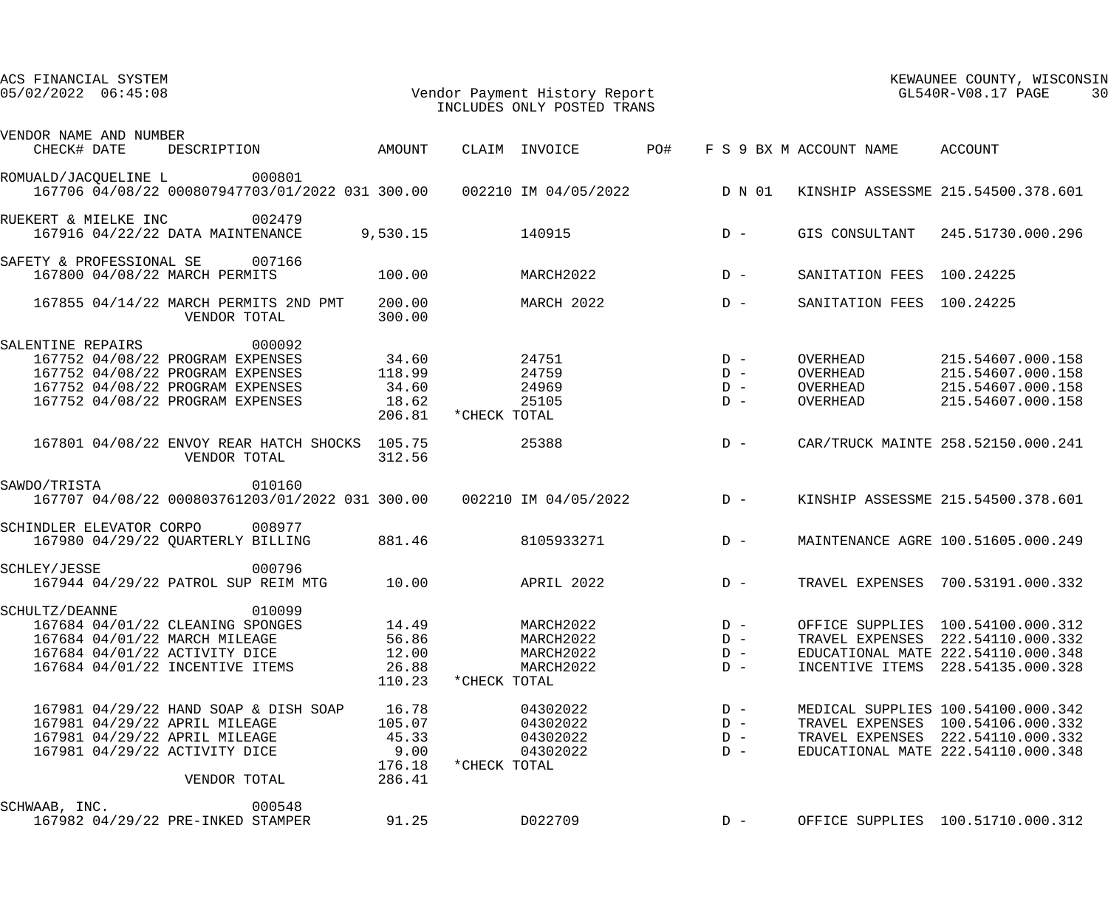| ACS FINANCIAL SYSTEM<br>Vendor Payment History Report<br>$05/02/2022$ $06:45:08$ |                  |              | INCLUDES ONLY POSTED TRANS |       | KEWAUNEE COUNTY, WISCONSIN<br>GL540R-V08.17 PAGE<br>30 |                                 |                                                                         |
|----------------------------------------------------------------------------------|------------------|--------------|----------------------------|-------|--------------------------------------------------------|---------------------------------|-------------------------------------------------------------------------|
| VENDOR NAME AND NUMBER<br>DESCRIPTION AMOUNT<br>CHECK# DATE                      |                  |              | CLAIM INVOICE PO#          |       |                                                        | F S 9 BX M ACCOUNT NAME ACCOUNT |                                                                         |
| ROMUALD/JACQUELINE L 000801                                                      |                  |              |                            |       |                                                        |                                 |                                                                         |
| 167706 04/08/22 000807947703/01/2022 031 300.00  002210 IM 04/05/2022  D N 01    |                  |              |                            |       |                                                        |                                 | KINSHIP ASSESSME 215.54500.378.601                                      |
| 002479<br>RUEKERT & MIELKE INC<br>167916 04/22/22 DATA MAINTENANCE               | 9,530.15         | 140915       |                            | $D -$ |                                                        |                                 | GIS CONSULTANT 245.51730.000.296                                        |
| SAFETY & PROFESSIONAL SE 007166                                                  |                  |              |                            |       |                                                        |                                 |                                                                         |
| 167800 04/08/22 MARCH PERMITS                                                    | 100.00           |              | MARCH2022                  |       | $D -$                                                  | SANITATION FEES 100.24225       |                                                                         |
| 167855 04/14/22 MARCH PERMITS 2ND PMT<br>VENDOR TOTAL                            | 200.00<br>300.00 |              | MARCH 2022                 | $D -$ |                                                        | SANITATION FEES 100.24225       |                                                                         |
| 000092<br>SALENTINE REPAIRS                                                      |                  |              |                            |       |                                                        |                                 |                                                                         |
| 167752 04/08/22 PROGRAM EXPENSES                                                 | 34.60            |              | 24751                      |       | $D -$                                                  | OVERHEAD                        | 215.54607.000.158                                                       |
| 167752 04/08/22 PROGRAM EXPENSES                                                 | 118.99           |              | 24759                      |       | $D -$                                                  | OVERHEAD                        | 215.54607.000.158                                                       |
| 167752 04/08/22 PROGRAM EXPENSES                                                 | 34.60            |              | 24969                      |       | $D -$                                                  | OVERHEAD                        | 215.54607.000.158                                                       |
| 167752 04/08/22 PROGRAM EXPENSES                                                 | 18.62<br>206.81  | *CHECK TOTAL | 25105                      |       | $D -$                                                  | OVERHEAD                        | 215.54607.000.158                                                       |
| 167801 04/08/22 ENVOY REAR HATCH SHOCKS 105.75<br>VENDOR TOTAL                   | 312.56           |              | 25388                      | $D -$ |                                                        |                                 | CAR/TRUCK MAINTE 258.52150.000.241                                      |
| 010160<br>SAWDO/TRISTA                                                           |                  |              |                            |       |                                                        |                                 |                                                                         |
| 167707 04/08/22 000803761203/01/2022 031 300.00  002210 IM 04/05/2022  D -       |                  |              |                            |       |                                                        |                                 | KINSHIP ASSESSME 215.54500.378.601                                      |
| SCHINDLER ELEVATOR CORPO 008977                                                  |                  |              |                            |       |                                                        |                                 |                                                                         |
| 167980 04/29/22 QUARTERLY BILLING                                                | 881.46           |              | 8105933271                 | $D -$ |                                                        |                                 | MAINTENANCE AGRE 100.51605.000.249                                      |
| 000796<br>SCHLEY/JESSE                                                           |                  |              |                            |       |                                                        |                                 |                                                                         |
| 167944 04/29/22 PATROL SUP REIM MTG                                              | 10.00            |              | <b>APRIL 2022</b>          |       | $D -$                                                  |                                 | TRAVEL EXPENSES 700.53191.000.332                                       |
| 010099<br>SCHULTZ/DEANNE                                                         |                  |              |                            |       |                                                        |                                 |                                                                         |
| 167684 04/01/22 CLEANING SPONGES                                                 | 14.49            |              | MARCH2022<br>MARCH2022     |       | $D -$<br>$D -$                                         |                                 | OFFICE SUPPLIES 100.54100.000.312                                       |
| 167684 04/01/22 MARCH MILEAGE<br>167684 04/01/22 ACTIVITY DICE                   | 56.86<br>12.00   |              | MARCH2022                  |       | $D -$                                                  |                                 | TRAVEL EXPENSES 222.54110.000.332<br>EDUCATIONAL MATE 222.54110.000.348 |
| 167684 04/01/22 INCENTIVE ITEMS                                                  | 26.88            |              | MARCH2022                  |       | $D -$                                                  | INCENTIVE ITEMS                 | 228.54135.000.328                                                       |
|                                                                                  | 110.23           | *CHECK TOTAL |                            |       |                                                        |                                 |                                                                         |
| 167981 04/29/22 HAND SOAP & DISH SOAP                                            | 16.78            |              | 04302022                   |       | $D -$                                                  |                                 | MEDICAL SUPPLIES 100.54100.000.342                                      |
| 167981 04/29/22 APRIL MILEAGE                                                    | 105.07           |              | 04302022                   |       | $D -$                                                  |                                 | TRAVEL EXPENSES 100.54106.000.332                                       |
| 167981 04/29/22 APRIL MILEAGE                                                    | 45.33            |              | 04302022                   |       | $D -$                                                  |                                 | TRAVEL EXPENSES 222.54110.000.332                                       |
| 167981 04/29/22 ACTIVITY DICE                                                    | 9.00             |              | 04302022                   |       | $D -$                                                  |                                 | EDUCATIONAL MATE 222.54110.000.348                                      |
| VENDOR TOTAL                                                                     | 176.18<br>286.41 | *CHECK TOTAL |                            |       |                                                        |                                 |                                                                         |
| 000548<br>SCHWAAB, INC.                                                          |                  |              |                            |       |                                                        |                                 |                                                                         |
| 167982 04/29/22 PRE-INKED STAMPER                                                | 91.25            |              | D022709                    |       | $D -$                                                  |                                 | OFFICE SUPPLIES 100.51710.000.312                                       |
|                                                                                  |                  |              |                            |       |                                                        |                                 |                                                                         |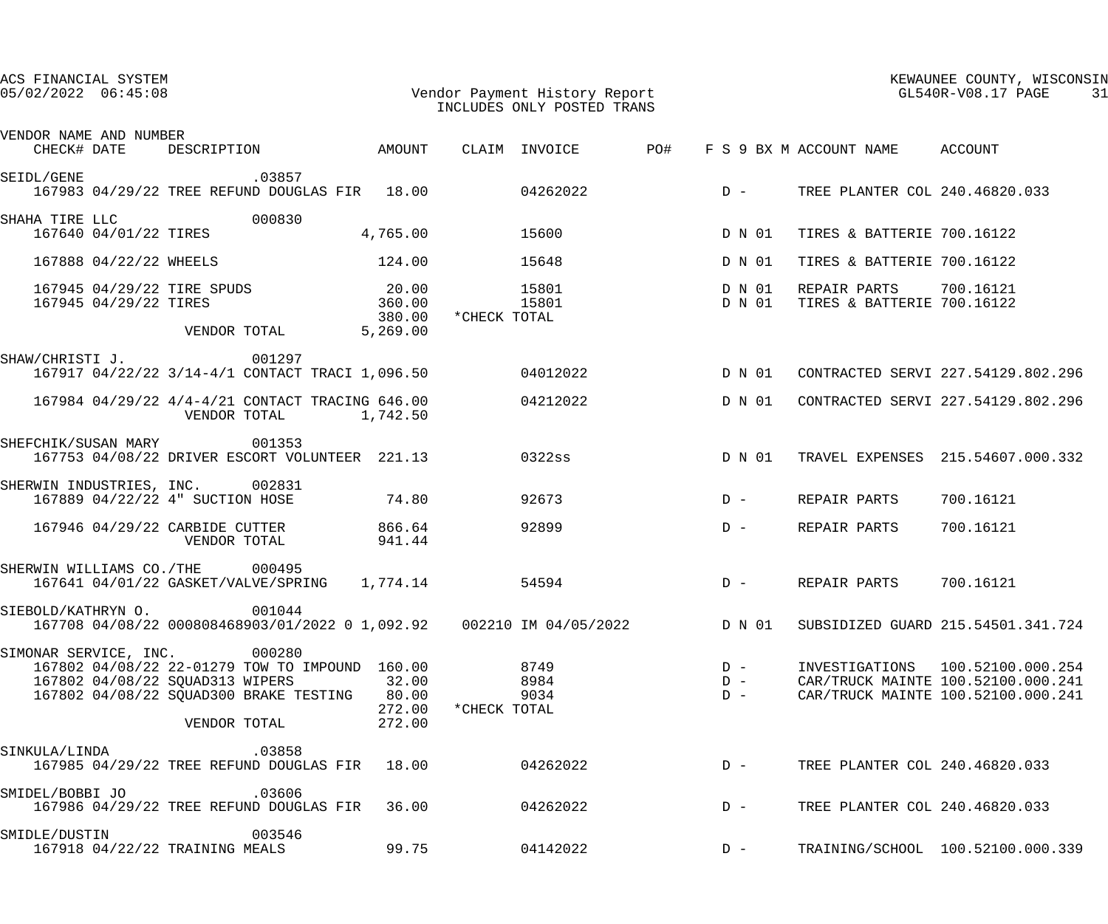| ACS FINANCIAL SYSTEM<br>$05/02/2022$ $06:45:08$ |                       |                                                                                                                                                                             |                       |                                       |              | Vendor Payment History Report<br>INCLUDES ONLY POSTED TRANS |                         |                                                                                  | KEWAUNEE COUNTY, WISCONSIN<br>GL540R-V08.17 PAGE<br>31                                                          |
|-------------------------------------------------|-----------------------|-----------------------------------------------------------------------------------------------------------------------------------------------------------------------------|-----------------------|---------------------------------------|--------------|-------------------------------------------------------------|-------------------------|----------------------------------------------------------------------------------|-----------------------------------------------------------------------------------------------------------------|
|                                                 |                       |                                                                                                                                                                             |                       |                                       |              |                                                             |                         |                                                                                  |                                                                                                                 |
| VENDOR NAME AND NUMBER                          |                       |                                                                                                                                                                             |                       |                                       |              |                                                             |                         | CHECK# DATE DESCRIPTION AMOUNT CLAIM INVOICE PO# F S 9 BX M ACCOUNT NAME ACCOUNT |                                                                                                                 |
|                                                 |                       | SEIDL/GENE 199857<br>167983 04/29/22 TREE REFUND DOUGLAS FIR 18.00 04262022                                                                                                 |                       |                                       |              |                                                             | $D -$                   | TREE PLANTER COL 240.46820.033                                                   |                                                                                                                 |
|                                                 |                       | SHAHA TIRE LLC 000830<br>167640 04/01/22 TIRES                                                                                                                              |                       | 4,765.00                              | 15600        |                                                             | D N 01                  | TIRES & BATTERIE 700.16122                                                       |                                                                                                                 |
|                                                 |                       | 167888 04/22/22 WHEELS                                                                                                                                                      |                       | 124.00                                |              | 15648                                                       | D N 01                  | TIRES & BATTERIE 700.16122                                                       |                                                                                                                 |
|                                                 | 167945 04/29/22 TIRES | 167945 04/29/22 TIRE SPUDS<br>VENDOR TOTAL                                                                                                                                  |                       | 20.00<br>360.00<br>380.00<br>5,269.00 | *CHECK TOTAL | 15801<br>15801 D N 01                                       | D N 01                  | REPAIR PARTS 700.16121<br>TIRES & BATTERIE 700.16122                             |                                                                                                                 |
|                                                 |                       | SHAW/CHRISTI J. 001297<br>167917 04/22/22 3/14-4/1 CONTACT TRACI 1,096.50 04012022                                                                                          |                       |                                       |              |                                                             | D N 01                  |                                                                                  | CONTRACTED SERVI 227.54129.802.296                                                                              |
|                                                 |                       | 167984 04/29/22 4/4-4/21 CONTACT TRACING 646.00                                                                                                                             | VENDOR TOTAL 1,742.50 |                                       |              | 04212022                                                    | D N 01                  |                                                                                  | CONTRACTED SERVI 227.54129.802.296                                                                              |
|                                                 |                       | SHEFCHIK/SUSAN MARY 001353<br>167753 04/08/22 DRIVER ESCORT VOLUNTEER 221.13                                                                                                |                       |                                       | 0322ss       |                                                             |                         |                                                                                  | D N 01 TRAVEL EXPENSES 215.54607.000.332                                                                        |
|                                                 |                       | SHERWIN INDUSTRIES, INC. 002831<br>167889 04/22/22 4" SUCTION HOSE 74.80                                                                                                    |                       |                                       |              | 92673                                                       | $D -$                   | REPAIR PARTS                                                                     | 700.16121                                                                                                       |
|                                                 |                       | 167946 04/29/22 CARBIDE CUTTER<br>VENDOR TOTAL                                                                                                                              |                       | 866.64<br>941.44                      |              | 92899                                                       | $D -$                   | REPAIR PARTS                                                                     | 700.16121                                                                                                       |
|                                                 |                       | SHERWIN WILLIAMS CO./THE 000495<br>167641 04/01/22 GASKET/VALVE/SPRING 1,774.14 54594                                                                                       |                       |                                       |              |                                                             | $D -$                   | REPAIR PARTS                                                                     | 700.16121                                                                                                       |
|                                                 |                       | SIEBOLD/KATHRYN O. 001044                                                                                                                                                   |                       |                                       |              |                                                             |                         |                                                                                  | 167708 04/08/22 000808468903/01/2022 0 1,092.92 002210 IM 04/05/2022 D N 01 SUBSIDIZED GUARD 215.54501.341.724  |
|                                                 |                       | SIMONAR SERVICE, INC. 000280<br>167802 04/08/22 22-01279 TOW TO IMPOUND 160.00<br>167802 04/08/22 SQUAD313 WIPERS<br>167802 04/08/22 SQUAD300 BRAKE TESTING<br>VENDOR TOTAL |                       | 32.00<br>80.00<br>272.00<br>272.00    | *CHECK TOTAL | 8749<br>8984<br>9034                                        | $D -$<br>$D -$<br>$D -$ |                                                                                  | INVESTIGATIONS    100.52100.000.254<br>CAR/TRUCK MAINTE 100.52100.000.241<br>CAR/TRUCK MAINTE 100.52100.000.241 |
| SINKULA/LINDA                                   |                       |                                                                                                                                                                             | .03858                |                                       |              | 167985 04/29/22 TREE REFUND DOUGLAS FIR 18.00 04262022 D -  |                         | TREE PLANTER COL 240.46820.033                                                   |                                                                                                                 |
| SMIDEL/BOBBI JO                                 |                       | 167986 04/29/22 TREE REFUND DOUGLAS FIR 36.00 04262022                                                                                                                      | .03606                |                                       |              |                                                             | $D -$                   | TREE PLANTER COL 240.46820.033                                                   |                                                                                                                 |
| SMIDLE/DUSTIN                                   |                       | 167918 04/22/22 TRAINING MEALS                                                                                                                                              | 003546                | 99.75                                 |              | 04142022                                                    | $D -$                   |                                                                                  | TRAINING/SCHOOL 100.52100.000.339                                                                               |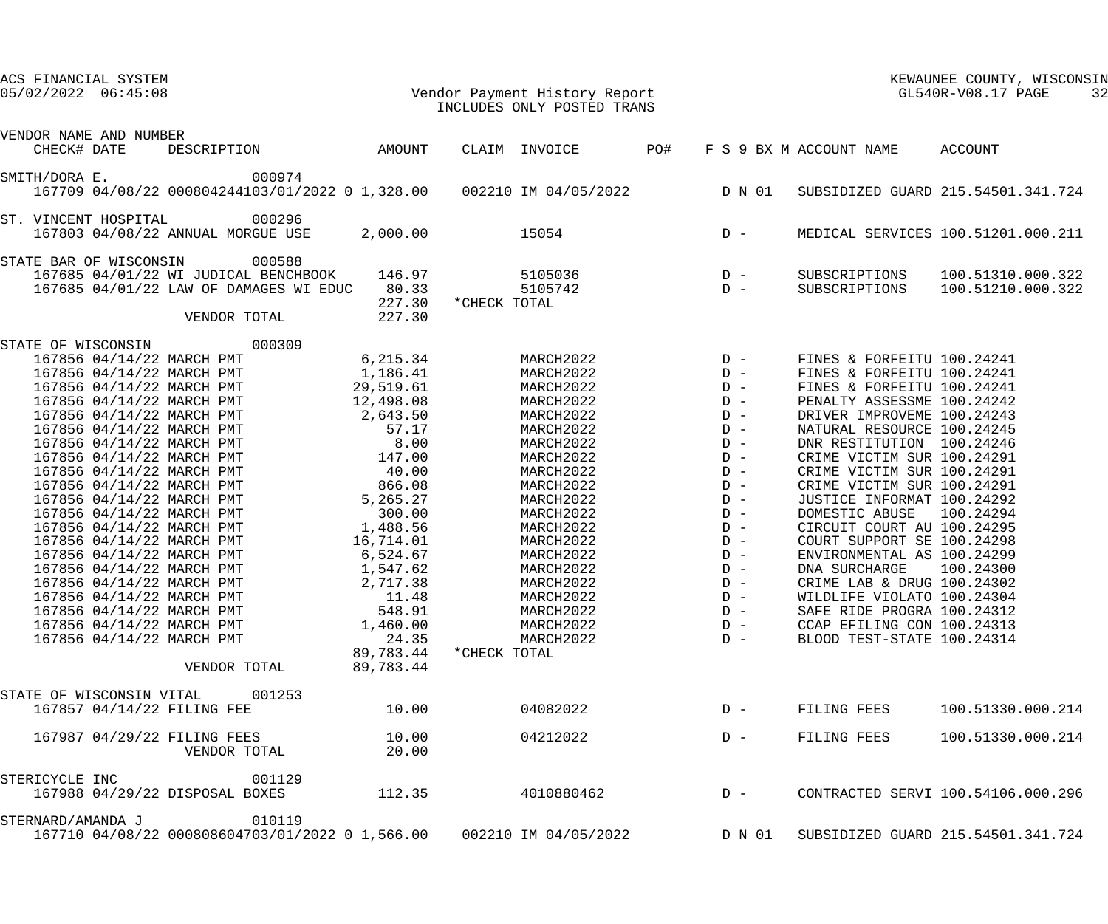| ACS FINANCIAL SYSTEM<br>$05/02/2022$ $06:45:08$                                       |                       |                  |               | Vendor Payment History Report<br>INCLUDES ONLY POSTED TRANS |                |                                | KEWAUNEE COUNTY, WISCONSIN<br>GL540R-V08.17 PAGE<br>32 |
|---------------------------------------------------------------------------------------|-----------------------|------------------|---------------|-------------------------------------------------------------|----------------|--------------------------------|--------------------------------------------------------|
| VENDOR NAME AND NUMBER<br>CHECK# DATE                                                 | AMOUNT<br>DESCRIPTION |                  | CLAIM INVOICE | PO#                                                         |                | F S 9 BX M ACCOUNT NAME        | ACCOUNT                                                |
|                                                                                       |                       |                  |               |                                                             |                |                                |                                                        |
| SMITH/DORA E.<br>167709 04/08/22 000804244103/01/2022 0 1,328.00 002210 IM 04/05/2022 | 000974                |                  |               |                                                             | D N 01         |                                | SUBSIDIZED GUARD 215.54501.341.724                     |
| ST. VINCENT HOSPITAL<br>167803 04/08/22 ANNUAL MORGUE USE                             | 000296                | 2,000.00         |               | 15054                                                       | $D -$          |                                | MEDICAL SERVICES 100.51201.000.211                     |
| STATE BAR OF WISCONSIN                                                                | 000588                |                  |               |                                                             |                |                                |                                                        |
| 167685 04/01/22 WI JUDICAL BENCHBOOK<br>167685 04/01/22 LAW OF DAMAGES WI EDUC        |                       | 146.97<br>80.33  | *CHECK TOTAL  | 5105036<br>5105742                                          | $D -$<br>$D -$ | SUBSCRIPTIONS<br>SUBSCRIPTIONS | 100.51310.000.322<br>100.51210.000.322                 |
|                                                                                       | VENDOR TOTAL          | 227.30<br>227.30 |               |                                                             |                |                                |                                                        |
| STATE OF WISCONSIN                                                                    | 000309                |                  |               |                                                             |                |                                |                                                        |
| 167856 04/14/22 MARCH PMT                                                             |                       | 6,215.34         |               | MARCH2022                                                   | $D -$          | FINES & FORFEITU 100.24241     |                                                        |
| 167856 04/14/22 MARCH PMT                                                             |                       | 1,186.41         |               | MARCH2022                                                   | $D -$          | FINES & FORFEITU 100.24241     |                                                        |
| 167856 04/14/22 MARCH PMT                                                             |                       | 29,519.61        |               | MARCH2022                                                   | $D -$          | FINES & FORFEITU 100.24241     |                                                        |
| 167856 04/14/22 MARCH PMT                                                             |                       | 12,498.08        |               | MARCH2022                                                   | $D -$          | PENALTY ASSESSME 100.24242     |                                                        |
| 167856 04/14/22 MARCH PMT                                                             |                       | 2,643.50         |               | MARCH2022                                                   | $D -$          | DRIVER IMPROVEME 100.24243     |                                                        |
| 167856 04/14/22 MARCH PMT                                                             |                       | 57.17            |               | MARCH2022                                                   | $D -$          | NATURAL RESOURCE 100.24245     |                                                        |
| 167856 04/14/22 MARCH PMT                                                             |                       | 8.00             |               | MARCH2022                                                   | $D -$          | DNR RESTITUTION 100.24246      |                                                        |
| 167856 04/14/22 MARCH PMT                                                             |                       | 147.00           |               | MARCH2022                                                   | $D -$          | CRIME VICTIM SUR 100.24291     |                                                        |
| 167856 04/14/22 MARCH PMT                                                             |                       | 40.00            |               | MARCH2022                                                   | $D -$          | CRIME VICTIM SUR 100.24291     |                                                        |
| 167856 04/14/22 MARCH PMT                                                             |                       | 866.08           |               | MARCH2022                                                   | $D -$          | CRIME VICTIM SUR 100.24291     |                                                        |
| 167856 04/14/22 MARCH PMT                                                             |                       | 5,265.27         |               | MARCH2022                                                   | $D -$          | JUSTICE INFORMAT 100.24292     |                                                        |
| 167856 04/14/22 MARCH PMT                                                             |                       | 300.00           |               | MARCH2022                                                   | $D -$          | DOMESTIC ABUSE                 | 100.24294                                              |
| 167856 04/14/22 MARCH PMT                                                             |                       | 1,488.56         |               | MARCH2022                                                   | $D -$          | CIRCUIT COURT AU 100.24295     |                                                        |
| 167856 04/14/22 MARCH PMT                                                             |                       | 16,714.01        |               | MARCH2022                                                   | $D -$          | COURT SUPPORT SE 100.24298     |                                                        |
| 167856 04/14/22 MARCH PMT                                                             |                       | 6,524.67         |               | MARCH2022                                                   | $D -$          | ENVIRONMENTAL AS 100.24299     |                                                        |
| 167856 04/14/22 MARCH PMT                                                             |                       | 1,547.62         |               | MARCH2022                                                   | $D -$          | DNA SURCHARGE                  | 100.24300                                              |
| 167856 04/14/22 MARCH PMT                                                             |                       | 2,717.38         |               | MARCH2022                                                   | $D -$          | CRIME LAB & DRUG 100.24302     |                                                        |
| 167856 04/14/22 MARCH PMT                                                             |                       | 11.48            |               | MARCH2022                                                   | $D -$          | WILDLIFE VIOLATO 100.24304     |                                                        |
| 167856 04/14/22 MARCH PMT                                                             |                       | 548.91           |               | MARCH2022                                                   | $D -$          | SAFE RIDE PROGRA 100.24312     |                                                        |
| 167856 04/14/22 MARCH PMT                                                             |                       | 1,460.00         |               | MARCH2022                                                   | $D -$          | CCAP EFILING CON 100.24313     |                                                        |
| 167856 04/14/22 MARCH PMT                                                             |                       | 24.35            |               | MARCH2022                                                   | $D -$          | BLOOD TEST-STATE 100.24314     |                                                        |
|                                                                                       |                       | 89,783.44        | *CHECK TOTAL  |                                                             |                |                                |                                                        |
|                                                                                       | VENDOR TOTAL          | 89,783.44        |               |                                                             |                |                                |                                                        |
| STATE OF WISCONSIN VITAL                                                              | 001253                |                  |               |                                                             |                |                                |                                                        |
| 167857 04/14/22 FILING FEE                                                            |                       | 10.00            |               | 04082022                                                    | $D -$          | FILING FEES                    | 100.51330.000.214                                      |
| 167987 04/29/22 FILING FEES                                                           | VENDOR TOTAL          | 10.00<br>20.00   |               | 04212022                                                    | $D -$          | FILING FEES                    | 100.51330.000.214                                      |
| STERICYCLE INC<br>167988 04/29/22 DISPOSAL BOXES                                      | 001129                | 112.35           |               | 4010880462                                                  | $D -$          |                                | CONTRACTED SERVI 100.54106.000.296                     |
| STERNARD/AMANDA J                                                                     | 010119                |                  |               |                                                             |                |                                |                                                        |
| 167710 04/08/22 000808604703/01/2022 0 1,566.00                                       |                       |                  |               | 002210 IM 04/05/2022                                        | D N 01         |                                | SUBSIDIZED GUARD 215.54501.341.724                     |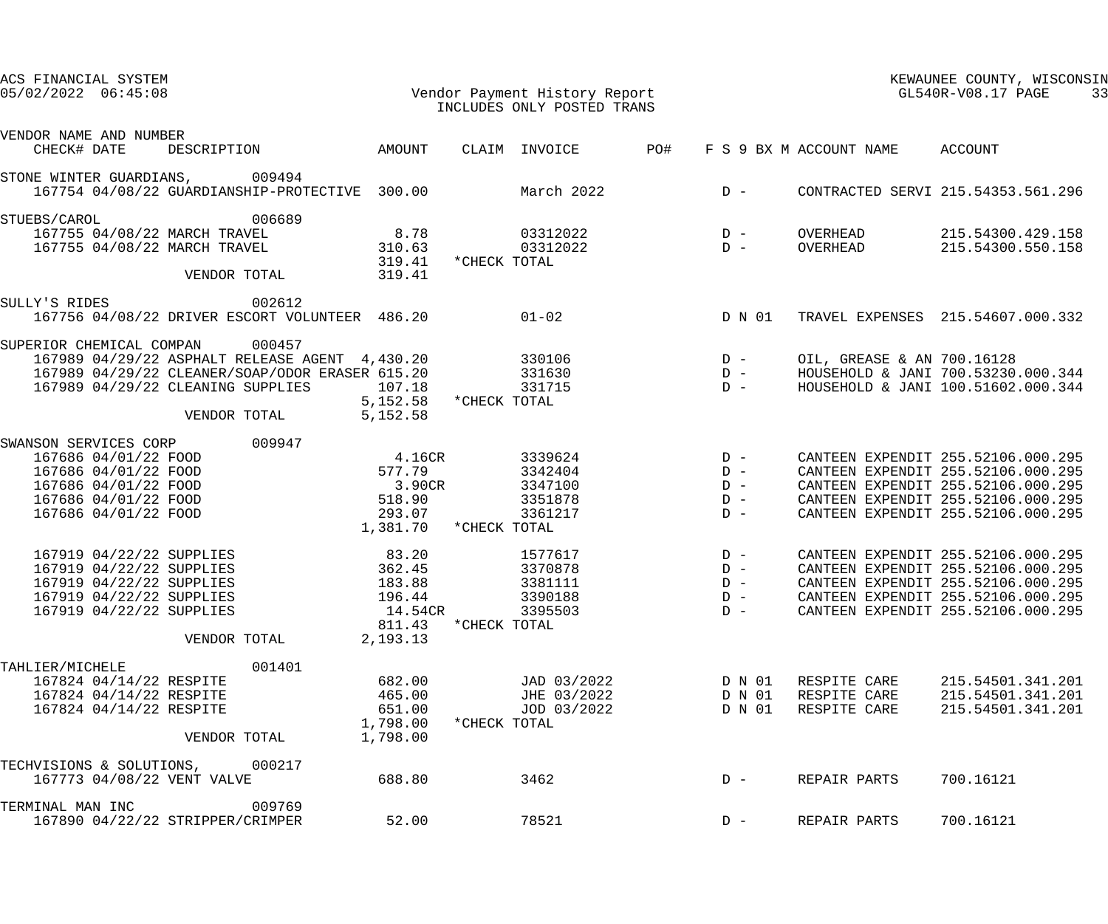| ACS FINANCIAL SYSTEM<br>$05/02/2022$ $06:45:08$                                  |        |                       |              | Vendor Payment History Report<br>INCLUDES ONLY POSTED TRANS |     |                                                |                            | KEWAUNEE COUNTY, WISCONSIN<br>$GL540R-\mathrm{V08.17}$ PAGE<br>33        |
|----------------------------------------------------------------------------------|--------|-----------------------|--------------|-------------------------------------------------------------|-----|------------------------------------------------|----------------------------|--------------------------------------------------------------------------|
| VENDOR NAME AND NUMBER                                                           |        |                       |              |                                                             |     |                                                |                            |                                                                          |
| CHECK# DATE<br>DESCRIPTION                                                       |        | AMOUNT                |              | CLAIM INVOICE                                               | PO# |                                                | F S 9 BX M ACCOUNT NAME    | ACCOUNT                                                                  |
| STONE WINTER GUARDIANS, 009494<br>167754 04/08/22 GUARDIANSHIP-PROTECTIVE 300.00 |        |                       |              | March 2022                                                  |     | $D -$                                          |                            | CONTRACTED SERVI 215.54353.561.296                                       |
| STUEBS/CAROL                                                                     | 006689 |                       |              |                                                             |     |                                                |                            |                                                                          |
| 167755 04/08/22 MARCH TRAVEL                                                     |        | 8.78                  |              | 03312022                                                    |     | $D -$                                          | OVERHEAD                   | 215.54300.429.158                                                        |
| 167755 04/08/22 MARCH TRAVEL                                                     |        | 310.63                |              | 03312022                                                    |     | $D -$                                          | OVERHEAD                   | 215.54300.550.158                                                        |
| VENDOR TOTAL                                                                     |        | 319.41<br>319.41      | *CHECK TOTAL |                                                             |     |                                                |                            |                                                                          |
| SULLY'S RIDES                                                                    | 002612 |                       |              |                                                             |     |                                                |                            |                                                                          |
| 167756 04/08/22 DRIVER ESCORT VOLUNTEER 486.20                                   |        |                       |              | $01 - 02$                                                   |     | D N 01                                         |                            | TRAVEL EXPENSES 215.54607.000.332                                        |
| SUPERIOR CHEMICAL COMPAN                                                         | 000457 |                       |              |                                                             |     |                                                |                            |                                                                          |
| 167989 04/29/22 ASPHALT RELEASE AGENT 4,430.20                                   |        |                       |              | 330106                                                      |     | $D -$                                          | OIL, GREASE & AN 700.16128 |                                                                          |
| 167989 04/29/22 CLEANER/SOAP/ODOR ERASER 615.20                                  |        |                       |              | 331630                                                      |     | $D -$                                          |                            | HOUSEHOLD & JANI 700.53230.000.344                                       |
| 167989 04/29/22 CLEANING SUPPLIES                                                |        | 107.18<br>5,152.58    | *CHECK TOTAL | 331715                                                      |     | $D -$                                          |                            | HOUSEHOLD & JANI 100.51602.000.344                                       |
| VENDOR TOTAL                                                                     |        | 5,152.58              |              |                                                             |     |                                                |                            |                                                                          |
| SWANSON SERVICES CORP                                                            | 009947 |                       |              |                                                             |     |                                                |                            |                                                                          |
| 167686 04/01/22 FOOD                                                             |        | 4.16CR                |              | 3339624                                                     |     | $D -$                                          |                            | CANTEEN EXPENDIT 255.52106.000.295                                       |
| 167686 04/01/22 FOOD                                                             |        | 577.79                |              | 3342404                                                     |     | $D -$                                          |                            | CANTEEN EXPENDIT 255.52106.000.295                                       |
| 167686 04/01/22 FOOD                                                             |        | 3.90CR                |              | 3347100                                                     |     | $D -$                                          |                            | CANTEEN EXPENDIT 255.52106.000.295                                       |
| 167686 04/01/22 FOOD                                                             |        | 518.90                |              | 3351878                                                     |     | $D -$                                          |                            | CANTEEN EXPENDIT 255.52106.000.295                                       |
| 167686 04/01/22 FOOD                                                             |        | 293.07                |              | 3361217                                                     |     | $D -$                                          |                            | CANTEEN EXPENDIT 255.52106.000.295                                       |
|                                                                                  |        | 1,381.70 *CHECK TOTAL |              |                                                             |     |                                                |                            |                                                                          |
| 167919 04/22/22 SUPPLIES                                                         |        | 83.20                 |              | 1577617                                                     |     | $\begin{array}{cc} D & - \\ D & - \end{array}$ |                            | CANTEEN EXPENDIT 255.52106.000.295                                       |
| 167919 04/22/22 SUPPLIES                                                         |        | 362.45                |              | 3370878                                                     |     |                                                |                            | CANTEEN EXPENDIT 255.52106.000.295                                       |
| 167919 04/22/22 SUPPLIES                                                         |        | 183.88                |              | 3381111                                                     |     | $D -$                                          |                            | CANTEEN EXPENDIT 255.52106.000.295                                       |
| 167919 04/22/22 SUPPLIES<br>167919 04/22/22 SUPPLIES                             |        | 196.44                |              | 3390188                                                     |     | $D -$                                          |                            | CANTEEN EXPENDIT 255.52106.000.295<br>CANTEEN EXPENDIT 255.52106.000.295 |
|                                                                                  |        | 14.54CR<br>811.43     | *CHECK TOTAL | 3395503                                                     |     | $D -$                                          |                            |                                                                          |
| VENDOR TOTAL                                                                     |        | 2,193.13              |              |                                                             |     |                                                |                            |                                                                          |
| TAHLIER/MICHELE                                                                  | 001401 |                       |              |                                                             |     |                                                |                            |                                                                          |
| 167824 04/14/22 RESPITE                                                          |        | 682.00                |              | JAD 03/2022                                                 |     | D N 01                                         | RESPITE CARE               | 215.54501.341.201                                                        |
| 167824 04/14/22 RESPITE                                                          |        | 465.00                |              | JHE 03/2022                                                 |     | D N 01                                         | RESPITE CARE               | 215.54501.341.201                                                        |
| 167824 04/14/22 RESPITE                                                          |        | 651.00                |              | JOD 03/2022                                                 |     | D N 01                                         | RESPITE CARE               | 215.54501.341.201                                                        |
| VENDOR TOTAL                                                                     |        | 1,798.00<br>1,798.00  | *CHECK TOTAL |                                                             |     |                                                |                            |                                                                          |
| TECHVISIONS & SOLUTIONS,                                                         | 000217 |                       |              |                                                             |     |                                                |                            |                                                                          |
| 167773 04/08/22 VENT VALVE                                                       |        | 688.80                |              | 3462                                                        |     | $D -$                                          | REPAIR PARTS               | 700.16121                                                                |
| TERMINAL MAN INC                                                                 | 009769 |                       |              |                                                             |     |                                                |                            |                                                                          |
| 167890 04/22/22 STRIPPER/CRIMPER                                                 |        | 52.00                 |              | 78521                                                       |     | $D -$                                          | REPAIR PARTS               | 700.16121                                                                |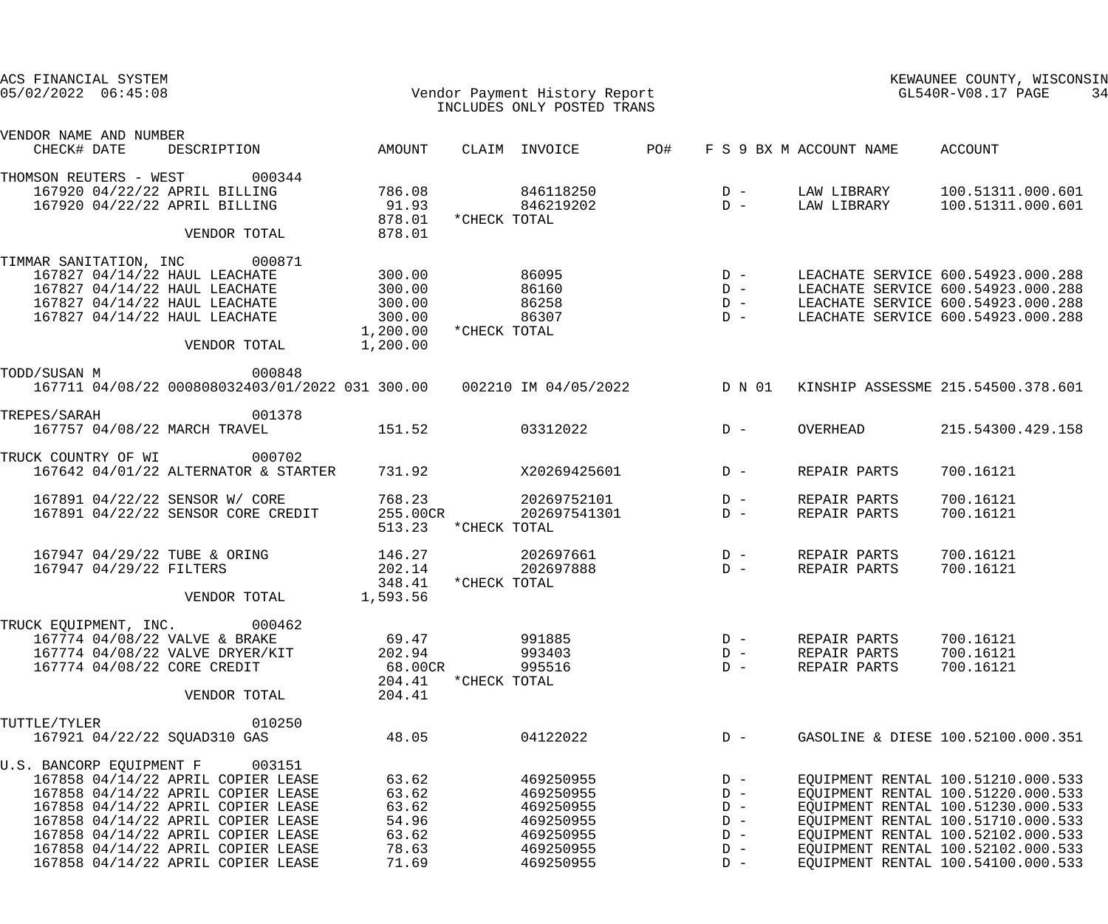| ACS FINANCIAL SYSTEM<br>$05/02/2022$ $06:45:08$                |                                                                          |                           | Vendor Payment History Report<br>INCLUDES ONLY POSTED TRANS            |     |                |                         | KEWAUNEE COUNTY, WISCONSIN<br>GL540R-V08.17 PAGE<br>34                   |
|----------------------------------------------------------------|--------------------------------------------------------------------------|---------------------------|------------------------------------------------------------------------|-----|----------------|-------------------------|--------------------------------------------------------------------------|
| VENDOR NAME AND NUMBER<br>CHECK# DATE                          | DESCRIPTION                                                              | AMOUNT                    | CLAIM INVOICE                                                          | PO# |                | F S 9 BX M ACCOUNT NAME | ACCOUNT                                                                  |
| THOMSON REUTERS - WEST                                         | 000344                                                                   |                           |                                                                        |     |                |                         |                                                                          |
| 167920 04/22/22 APRIL BILLING<br>167920 04/22/22 APRIL BILLING |                                                                          | 786.08<br>91.93<br>878.01 | 846118250<br>846219202<br>*CHECK TOTAL                                 |     | $D -$<br>$D -$ | LAW LIBRARY             | LAW LIBRARY 100.51311.000.601<br>100.51311.000.601                       |
|                                                                | VENDOR TOTAL                                                             | 878.01                    |                                                                        |     |                |                         |                                                                          |
| TIMMAR SANITATION, INC 000871                                  |                                                                          |                           |                                                                        |     |                |                         |                                                                          |
| 167827 04/14/22 HAUL LEACHATE                                  |                                                                          | 300.00                    | 86095                                                                  |     |                |                         | LEACHATE SERVICE 600.54923.000.288                                       |
| 167827 04/14/22 HAUL LEACHATE                                  |                                                                          | 300.00                    | 86160                                                                  |     |                |                         | LEACHATE SERVICE 600.54923.000.288                                       |
| 167827 04/14/22 HAUL LEACHATE                                  |                                                                          | 300.00                    | 86258                                                                  |     |                |                         | LEACHATE SERVICE 600.54923.000.288                                       |
| 167827 04/14/22 HAUL LEACHATE                                  |                                                                          | 300.00                    | 86307                                                                  |     |                |                         | LEACHATE SERVICE 600.54923.000.288                                       |
|                                                                |                                                                          | 1,200.00                  | *CHECK TOTAL                                                           |     |                |                         |                                                                          |
|                                                                | VENDOR TOTAL                                                             | 1,200.00                  |                                                                        |     |                |                         |                                                                          |
| TODD/SUSAN M                                                   | 000848                                                                   |                           |                                                                        |     |                |                         |                                                                          |
|                                                                |                                                                          |                           | 167711 04/08/22 000808032403/01/2022 031 300.00   002210 IM 04/05/2022 |     | D N 01         |                         | KINSHIP ASSESSME 215.54500.378.601                                       |
| TREPES/SARAH                                                   | 001378                                                                   |                           |                                                                        |     |                |                         |                                                                          |
| 167757 04/08/22 MARCH TRAVEL                                   |                                                                          | 151.52                    | 03312022                                                               |     | $D -$          | OVERHEAD                | 215.54300.429.158                                                        |
| TRUCK COUNTRY OF WI                                            | 000702                                                                   |                           |                                                                        |     |                |                         |                                                                          |
|                                                                | 167642 04/01/22 ALTERNATOR & STARTER                                     | 731.92                    | X20269425601                                                           |     | $D -$          | REPAIR PARTS            | 700.16121                                                                |
| 167891 04/22/22 SENSOR W/ CORE                                 |                                                                          | 768.23                    | 20269752101                                                            |     | $D -$          | REPAIR PARTS            | 700.16121                                                                |
|                                                                | 167891 04/22/22 SENSOR CORE CREDIT                                       | 255.00CR                  | 202697541301                                                           |     | $D -$          | REPAIR PARTS            | 700.16121                                                                |
|                                                                |                                                                          | 513.23                    | *CHECK TOTAL                                                           |     |                |                         |                                                                          |
| 167947 04/29/22 TUBE & ORING                                   |                                                                          | 146.27                    | 202697661                                                              |     | $D -$          | REPAIR PARTS            | 700.16121                                                                |
| 167947 04/29/22 FILTERS                                        |                                                                          | 202.14                    | 202697888                                                              |     | $D -$          | REPAIR PARTS            | 700.16121                                                                |
|                                                                |                                                                          | 348.41                    | *CHECK TOTAL                                                           |     |                |                         |                                                                          |
|                                                                | VENDOR TOTAL                                                             | 1,593.56                  |                                                                        |     |                |                         |                                                                          |
| TRUCK EQUIPMENT, INC. 000462                                   |                                                                          |                           |                                                                        |     |                |                         |                                                                          |
| 167774 04/08/22 VALVE & BRAKE                                  |                                                                          | 69.47                     | 991885                                                                 |     | $D -$          | REPAIR PARTS            | 700.16121                                                                |
|                                                                | 167774 04/08/22 VALVE DRYER/KIT                                          | 202.94                    | 993403                                                                 |     | $D -$          | REPAIR PARTS            | 700.16121                                                                |
| 167774 04/08/22 CORE CREDIT                                    |                                                                          | 68.00CR                   | 995516                                                                 |     | $D -$          | REPAIR PARTS            | 700.16121                                                                |
|                                                                |                                                                          | 204.41                    | *CHECK TOTAL                                                           |     |                |                         |                                                                          |
|                                                                | VENDOR TOTAL                                                             | 204.41                    |                                                                        |     |                |                         |                                                                          |
| TUTTLE/TYLER                                                   | 010250                                                                   |                           |                                                                        |     |                |                         |                                                                          |
| 167921 04/22/22 SQUAD310 GAS                                   |                                                                          | 48.05                     | 04122022                                                               |     | $D -$          |                         | GASOLINE & DIESE 100.52100.000.351                                       |
|                                                                |                                                                          |                           |                                                                        |     |                |                         |                                                                          |
| U.S. BANCORP EQUIPMENT F                                       | 003151<br>167858 04/14/22 APRIL COPIER LEASE                             | 63.62                     |                                                                        |     | $D -$          |                         |                                                                          |
|                                                                |                                                                          | 63.62                     | 469250955<br>469250955                                                 |     | $D -$          |                         | EQUIPMENT RENTAL 100.51210.000.533<br>EQUIPMENT RENTAL 100.51220.000.533 |
|                                                                | 167858 04/14/22 APRIL COPIER LEASE<br>167858 04/14/22 APRIL COPIER LEASE | 63.62                     | 469250955                                                              |     | $D -$          |                         | EQUIPMENT RENTAL 100.51230.000.533                                       |
|                                                                |                                                                          | 54.96                     |                                                                        |     | $D -$          |                         |                                                                          |
|                                                                | 167858 04/14/22 APRIL COPIER LEASE                                       |                           | 469250955                                                              |     |                |                         | EQUIPMENT RENTAL 100.51710.000.533                                       |
|                                                                | 167858 04/14/22 APRIL COPIER LEASE                                       | 63.62                     | 469250955                                                              |     | $D -$          |                         | EQUIPMENT RENTAL 100.52102.000.533                                       |
|                                                                | 167858 04/14/22 APRIL COPIER LEASE                                       | 78.63                     | 469250955                                                              |     | $D -$          |                         | EQUIPMENT RENTAL 100.52102.000.533                                       |
|                                                                | 167858 04/14/22 APRIL COPIER LEASE                                       | 71.69                     | 469250955                                                              |     | $D -$          |                         | EQUIPMENT RENTAL 100.54100.000.533                                       |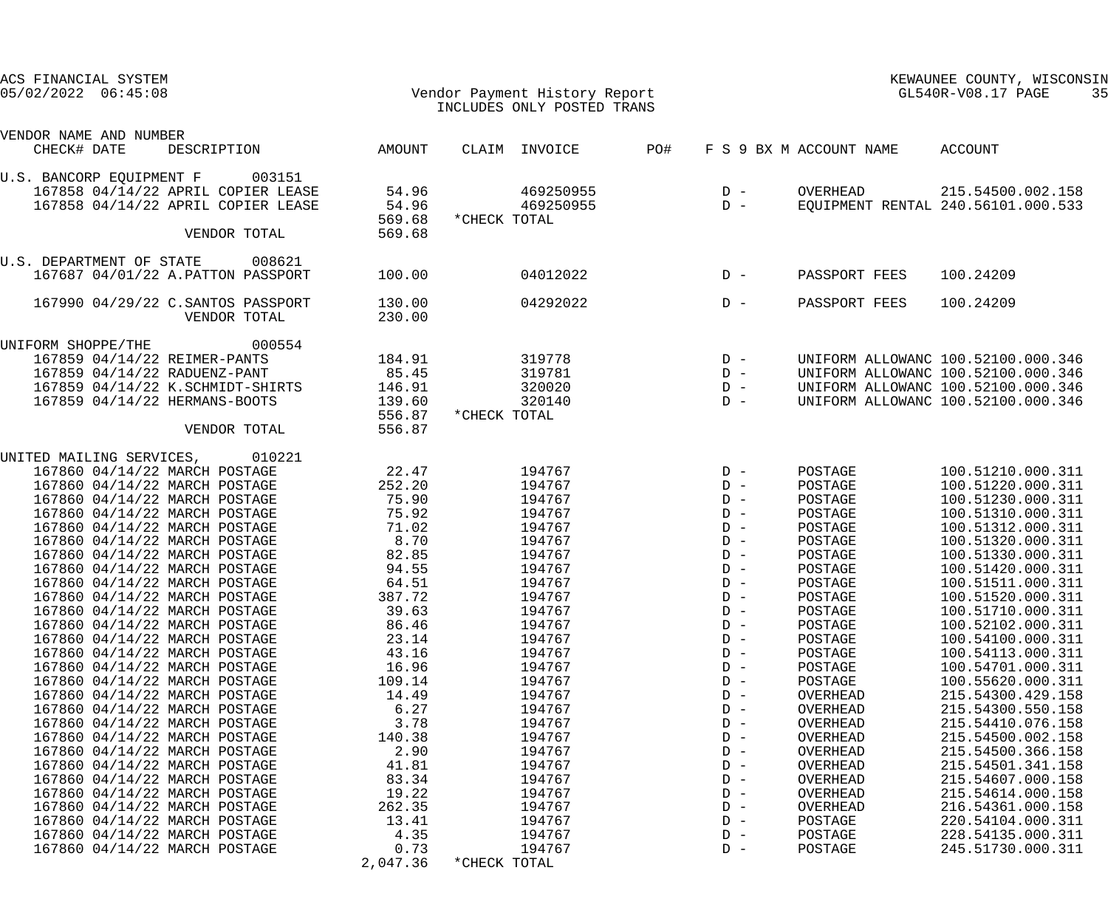|                     | ACS FINANCIAL SYSTEM   |  |                                    |          |                               |                            |     |                                     |                         | KEWAUNEE COUNTY, WISCONSIN         |  |
|---------------------|------------------------|--|------------------------------------|----------|-------------------------------|----------------------------|-----|-------------------------------------|-------------------------|------------------------------------|--|
| 05/02/2022 06:45:08 |                        |  |                                    |          | Vendor Payment History Report |                            |     | $GL540R-\mathrm{V08.17}$ PAGE<br>35 |                         |                                    |  |
|                     |                        |  |                                    |          |                               | INCLUDES ONLY POSTED TRANS |     |                                     |                         |                                    |  |
|                     | VENDOR NAME AND NUMBER |  |                                    |          |                               |                            |     |                                     |                         |                                    |  |
|                     | CHECK# DATE            |  | DESCRIPTION                        | AMOUNT   |                               | CLAIM INVOICE              | PO# |                                     | F S 9 BX M ACCOUNT NAME | ACCOUNT                            |  |
|                     |                        |  | U.S. BANCORP EQUIPMENT F 003151    |          |                               |                            |     |                                     |                         |                                    |  |
|                     |                        |  | 167858 04/14/22 APRIL COPIER LEASE | 54.96    |                               | 469250955                  |     | $D -$                               | OVERHEAD                | 215.54500.002.158                  |  |
|                     |                        |  | 167858 04/14/22 APRIL COPIER LEASE | 54.96    |                               | 469250955                  |     | $D -$                               |                         | EQUIPMENT RENTAL 240.56101.000.533 |  |
|                     |                        |  |                                    | 569.68   | *CHECK TOTAL                  |                            |     |                                     |                         |                                    |  |
|                     |                        |  | VENDOR TOTAL                       | 569.68   |                               |                            |     |                                     |                         |                                    |  |
|                     |                        |  | U.S. DEPARTMENT OF STATE 008621    |          |                               |                            |     |                                     |                         |                                    |  |
|                     |                        |  | 167687 04/01/22 A.PATTON PASSPORT  | 100.00   |                               | 04012022                   |     | $D -$                               | PASSPORT FEES           | 100.24209                          |  |
|                     |                        |  |                                    |          |                               |                            |     |                                     |                         |                                    |  |
|                     |                        |  | 167990 04/29/22 C.SANTOS PASSPORT  | 130.00   |                               | 04292022                   |     | $D -$                               | PASSPORT FEES           | 100.24209                          |  |
|                     |                        |  | VENDOR TOTAL                       | 230.00   |                               |                            |     |                                     |                         |                                    |  |
|                     | UNIFORM SHOPPE/THE     |  | 000554                             |          |                               |                            |     |                                     |                         |                                    |  |
|                     |                        |  | 167859 04/14/22 REIMER-PANTS       | 184.91   |                               | 319778                     |     | $D -$                               |                         | UNIFORM ALLOWANC 100.52100.000.346 |  |
|                     |                        |  | 167859 04/14/22 RADUENZ-PANT       | 85.45    |                               | 319781                     |     | $D -$                               |                         | UNIFORM ALLOWANC 100.52100.000.346 |  |
|                     |                        |  | 167859 04/14/22 K.SCHMIDT-SHIRTS   | 146.91   |                               | 320020                     |     | $D -$                               |                         | UNIFORM ALLOWANC 100.52100.000.346 |  |
|                     |                        |  | 167859 04/14/22 HERMANS-BOOTS      | 139.60   |                               | 320140                     |     | $D -$                               |                         | UNIFORM ALLOWANC 100.52100.000.346 |  |
|                     |                        |  |                                    | 556.87   | *CHECK TOTAL                  |                            |     |                                     |                         |                                    |  |
|                     |                        |  | VENDOR TOTAL                       | 556.87   |                               |                            |     |                                     |                         |                                    |  |
|                     |                        |  | UNITED MAILING SERVICES, 010221    |          |                               |                            |     |                                     |                         |                                    |  |
|                     |                        |  | 167860 04/14/22 MARCH POSTAGE      | 22.47    |                               | 194767                     |     | $D -$                               | POSTAGE                 | 100.51210.000.311                  |  |
|                     |                        |  | 167860 04/14/22 MARCH POSTAGE      | 252.20   |                               | 194767                     |     | $D -$                               | POSTAGE                 | 100.51220.000.311                  |  |
|                     |                        |  | 167860 04/14/22 MARCH POSTAGE      | 75.90    |                               | 194767                     |     | $D -$                               | POSTAGE                 | 100.51230.000.311                  |  |
|                     |                        |  | 167860 04/14/22 MARCH POSTAGE      | 75.92    |                               | 194767                     |     | $D -$                               | POSTAGE                 | 100.51310.000.311                  |  |
|                     |                        |  | 167860 04/14/22 MARCH POSTAGE      | 71.02    |                               | 194767                     |     | $D -$                               | POSTAGE                 | 100.51312.000.311                  |  |
|                     |                        |  | 167860 04/14/22 MARCH POSTAGE      | 8.70     |                               | 194767                     |     | $D -$                               | POSTAGE                 | 100.51320.000.311                  |  |
|                     |                        |  | 167860 04/14/22 MARCH POSTAGE      | 82.85    |                               | 194767                     |     | $D -$                               | POSTAGE                 | 100.51330.000.311                  |  |
|                     |                        |  | 167860 04/14/22 MARCH POSTAGE      | 94.55    |                               | 194767                     |     | $D -$                               | POSTAGE                 | 100.51420.000.311                  |  |
|                     |                        |  | 167860 04/14/22 MARCH POSTAGE      | 64.51    |                               | 194767                     |     | $D -$                               | POSTAGE                 | 100.51511.000.311                  |  |
|                     |                        |  | 167860 04/14/22 MARCH POSTAGE      | 387.72   |                               | 194767                     |     | $D -$                               | POSTAGE                 | 100.51520.000.311                  |  |
|                     |                        |  | 167860 04/14/22 MARCH POSTAGE      | 39.63    |                               | 194767                     |     | $D -$                               | POSTAGE                 | 100.51710.000.311                  |  |
|                     |                        |  | 167860 04/14/22 MARCH POSTAGE      | 86.46    |                               | 194767                     |     | $D -$                               | POSTAGE                 | 100.52102.000.311                  |  |
|                     |                        |  | 167860 04/14/22 MARCH POSTAGE      | 23.14    |                               | 194767                     |     | $D -$                               | POSTAGE                 | 100.54100.000.311                  |  |
|                     |                        |  | 167860 04/14/22 MARCH POSTAGE      | 43.16    |                               | 194767                     |     | $D -$                               | POSTAGE                 | 100.54113.000.311                  |  |
|                     |                        |  | 167860 04/14/22 MARCH POSTAGE      | 16.96    |                               | 194767                     |     | $D -$                               | POSTAGE                 | 100.54701.000.311                  |  |
|                     |                        |  | 167860 04/14/22 MARCH POSTAGE      | 109.14   |                               | 194767                     |     | $D -$                               | POSTAGE                 | 100.55620.000.311                  |  |
|                     |                        |  | 167860 04/14/22 MARCH POSTAGE      | 14.49    |                               | 194767                     |     | $D -$                               | OVERHEAD                | 215.54300.429.158                  |  |
|                     |                        |  | 167860 04/14/22 MARCH POSTAGE      | 6.27     |                               | 194767                     |     | $D -$                               | OVERHEAD                | 215.54300.550.158                  |  |
|                     |                        |  | 167860 04/14/22 MARCH POSTAGE      | 3.78     |                               | 194767                     |     | $D -$                               | OVERHEAD                | 215.54410.076.158                  |  |
|                     |                        |  | 167860 04/14/22 MARCH POSTAGE      | 140.38   |                               | 194767                     |     | $D -$                               |                         | 215.54500.002.158                  |  |
|                     |                        |  |                                    |          |                               |                            |     | $D -$                               | OVERHEAD                |                                    |  |
|                     |                        |  | 167860 04/14/22 MARCH POSTAGE      | 2.90     |                               | 194767                     |     |                                     | OVERHEAD                | 215.54500.366.158                  |  |
|                     |                        |  | 167860 04/14/22 MARCH POSTAGE      | 41.81    |                               | 194767                     |     | $D -$                               | OVERHEAD                | 215.54501.341.158                  |  |
|                     |                        |  | 167860 04/14/22 MARCH POSTAGE      | 83.34    |                               | 194767                     |     | $D -$                               | OVERHEAD                | 215.54607.000.158                  |  |
|                     |                        |  | 167860 04/14/22 MARCH POSTAGE      | 19.22    |                               | 194767                     |     | $D -$                               | OVERHEAD                | 215.54614.000.158                  |  |
|                     |                        |  | 167860 04/14/22 MARCH POSTAGE      | 262.35   |                               | 194767                     |     | $D -$                               | OVERHEAD                | 216.54361.000.158                  |  |
|                     |                        |  | 167860 04/14/22 MARCH POSTAGE      | 13.41    |                               | 194767                     |     | $D -$                               | POSTAGE                 | 220.54104.000.311                  |  |
|                     |                        |  | 167860 04/14/22 MARCH POSTAGE      | 4.35     |                               | 194767                     |     | $D -$                               | POSTAGE                 | 228.54135.000.311                  |  |
|                     |                        |  | 167860 04/14/22 MARCH POSTAGE      | 0.73     |                               | 194767                     |     | $D -$                               | POSTAGE                 | 245.51730.000.311                  |  |
|                     |                        |  |                                    | 2,047.36 | *CHECK TOTAL                  |                            |     |                                     |                         |                                    |  |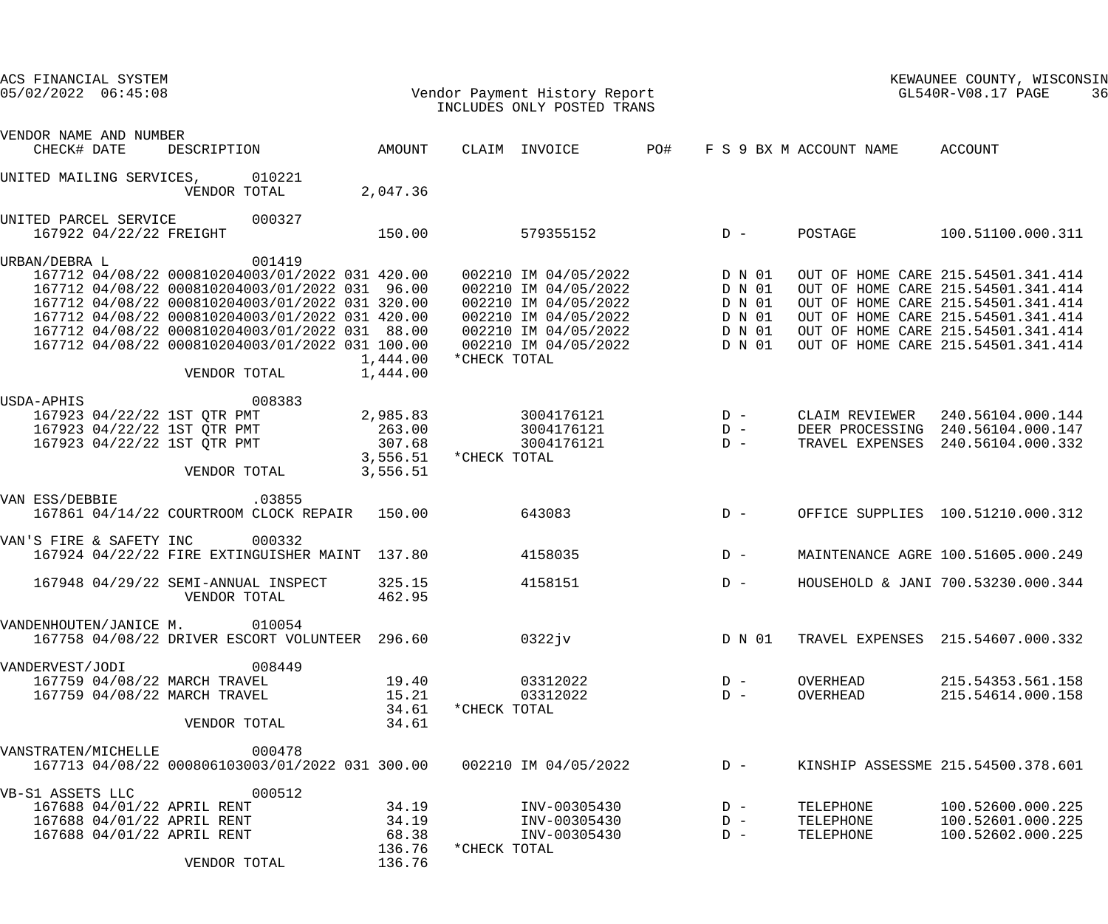| ACS FINANCIAL SYSTEM<br>$05/02/2022$ $06:45:08$                                                                                                                                                                                                                                                                                                                                 | Vendor Payment History Report<br>INCLUDES ONLY POSTED TRANS                                                                                                         |                                                                | KEWAUNEE COUNTY, WISCONSIN<br>GL540R-V08.17 PAGE<br>36                                                                                                                                                                           |
|---------------------------------------------------------------------------------------------------------------------------------------------------------------------------------------------------------------------------------------------------------------------------------------------------------------------------------------------------------------------------------|---------------------------------------------------------------------------------------------------------------------------------------------------------------------|----------------------------------------------------------------|----------------------------------------------------------------------------------------------------------------------------------------------------------------------------------------------------------------------------------|
| VENDOR NAME AND NUMBER<br>AMOUNT<br>CHECK# DATE<br>DESCRIPTION                                                                                                                                                                                                                                                                                                                  | PO#<br>CLAIM INVOICE                                                                                                                                                | F S 9 BX M ACCOUNT NAME                                        | ACCOUNT                                                                                                                                                                                                                          |
| 010221<br>UNITED MAILING SERVICES,<br>2,047.36<br>VENDOR TOTAL                                                                                                                                                                                                                                                                                                                  |                                                                                                                                                                     |                                                                |                                                                                                                                                                                                                                  |
| 000327<br>UNITED PARCEL SERVICE<br>167922 04/22/22 FREIGHT<br>150.00                                                                                                                                                                                                                                                                                                            | $D -$<br>579355152                                                                                                                                                  | POSTAGE                                                        | 100.51100.000.311                                                                                                                                                                                                                |
| 001419<br>URBAN/DEBRA L<br>167712 04/08/22 000810204003/01/2022 031 420.00<br>167712 04/08/22 000810204003/01/2022 031 96.00<br>167712 04/08/22 000810204003/01/2022 031 320.00<br>167712 04/08/22 000810204003/01/2022 031 420.00<br>167712 04/08/22 000810204003/01/2022 031 88.00<br>167712 04/08/22 000810204003/01/2022 031 100.00<br>1,444.00<br>1,444.00<br>VENDOR TOTAL | 002210 IM 04/05/2022 D N 01<br>002210 IM 04/05/2022<br>002210 IM 04/05/2022<br>002210 IM 04/05/2022<br>002210 IM 04/05/2022<br>002210 IM 04/05/2022<br>*CHECK TOTAL | D N 01<br>D N 01<br>D N 01<br>D N 01<br>D N 01                 | OUT OF HOME CARE 215.54501.341.414<br>OUT OF HOME CARE 215.54501.341.414<br>OUT OF HOME CARE 215.54501.341.414<br>OUT OF HOME CARE 215.54501.341.414<br>OUT OF HOME CARE 215.54501.341.414<br>OUT OF HOME CARE 215.54501.341.414 |
| 008383<br>USDA-APHIS<br>2,985.83<br>167923 04/22/22 1ST QTR PMT<br>167923 04/22/22 1ST QTR PMT<br>263.00<br>307.68<br>167923 04/22/22 1ST QTR PMT<br>3,556.51<br>VENDOR TOTAL<br>3,556.51                                                                                                                                                                                       | $D -$<br>3004176121<br>3004176121<br>$D -$<br>3004176121<br>*CHECK TOTAL                                                                                            | CLAIM REVIEWER<br>$D -$<br>TRAVEL EXPENSES                     | 240.56104.000.144<br>DEER PROCESSING 240.56104.000.147<br>240.56104.000.332                                                                                                                                                      |
| .03855<br>VAN ESS/DEBBIE<br>167861 04/14/22 COURTROOM CLOCK REPAIR 150.00                                                                                                                                                                                                                                                                                                       | 643083                                                                                                                                                              | $D -$                                                          | OFFICE SUPPLIES 100.51210.000.312                                                                                                                                                                                                |
| 000332<br>VAN'S FIRE & SAFETY INC<br>167924 04/22/22 FIRE EXTINGUISHER MAINT 137.80                                                                                                                                                                                                                                                                                             | $D -$<br>4158035                                                                                                                                                    |                                                                | MAINTENANCE AGRE 100.51605.000.249                                                                                                                                                                                               |
| 325.15<br>167948 04/29/22 SEMI-ANNUAL INSPECT<br>VENDOR TOTAL<br>462.95                                                                                                                                                                                                                                                                                                         | 4158151                                                                                                                                                             | $D -$                                                          | HOUSEHOLD & JANI 700.53230.000.344                                                                                                                                                                                               |
| VANDENHOUTEN/JANICE M. 010054<br>167758 04/08/22 DRIVER ESCORT VOLUNTEER 296.60                                                                                                                                                                                                                                                                                                 | 0322jv                                                                                                                                                              | D N 01                                                         | TRAVEL EXPENSES 215.54607.000.332                                                                                                                                                                                                |
| 008449<br>VANDERVEST/JODI<br>167759 04/08/22 MARCH TRAVEL<br>19.40<br>167759 04/08/22 MARCH TRAVEL<br>15.21<br>34.61<br>34.61<br>VENDOR TOTAL                                                                                                                                                                                                                                   | 03312022<br>03312022<br>*CHECK TOTAL                                                                                                                                | OVERHEAD<br>$D -$<br>$D -$<br>OVERHEAD                         | 215.54353.561.158<br>215.54614.000.158                                                                                                                                                                                           |
| 000478<br>VANSTRATEN/MICHELLE<br>167713 04/08/22 000806103003/01/2022 031 300.00                                                                                                                                                                                                                                                                                                | 002210 IM 04/05/2022                                                                                                                                                | $D -$                                                          | KINSHIP ASSESSME 215.54500.378.601                                                                                                                                                                                               |
| 000512<br>VB-S1 ASSETS LLC<br>167688 04/01/22 APRIL RENT<br>34.19<br>34.19<br>167688 04/01/22 APRIL RENT<br>68.38<br>167688 04/01/22 APRIL RENT<br>136.76<br>136.76<br>VENDOR TOTAL                                                                                                                                                                                             | INV-00305430<br>INV-00305430<br>INV-00305430<br>*CHECK TOTAL                                                                                                        | $D -$<br>TELEPHONE<br>$D -$<br>TELEPHONE<br>TELEPHONE<br>$D -$ | 100.52600.000.225<br>100.52601.000.225<br>100.52602.000.225                                                                                                                                                                      |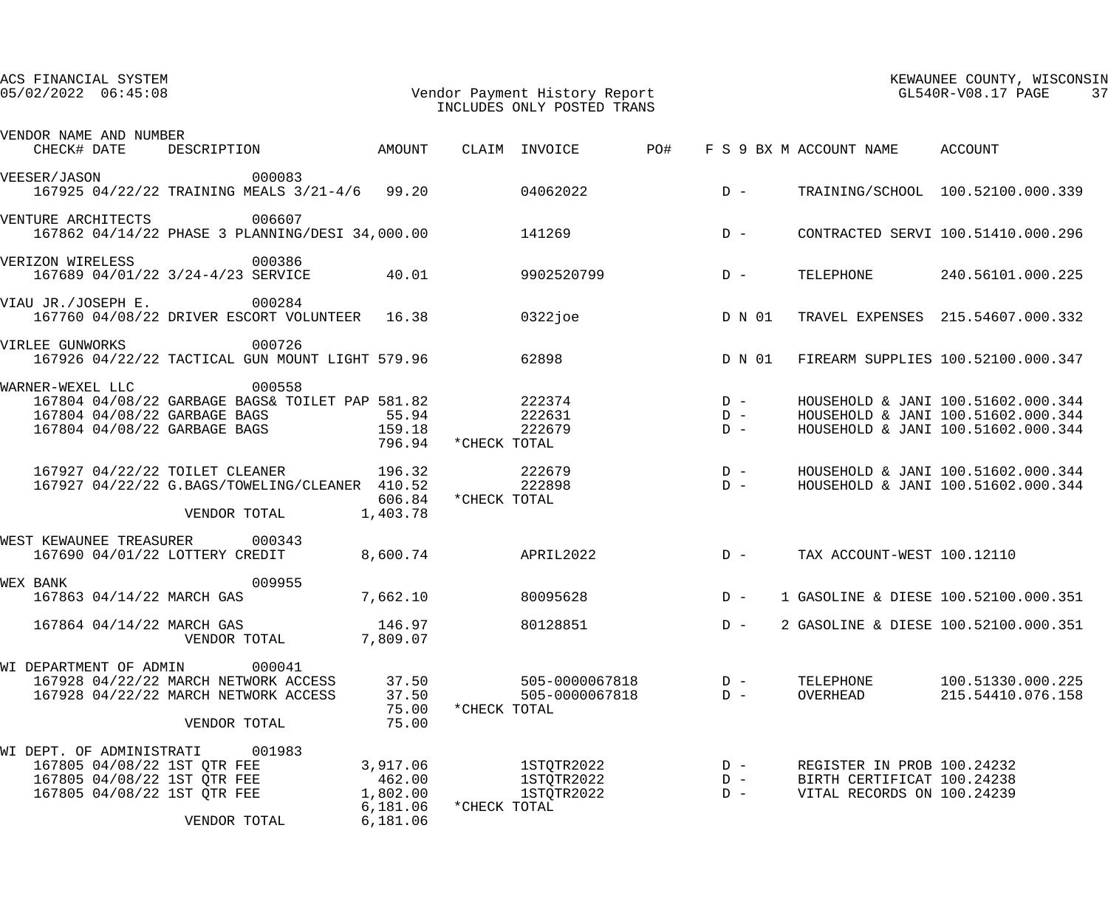| ACS FINANCIAL SYSTEM<br>$05/02/2022$ $06:45:08$                                                                                                                                                           | Vendor Payment History Report<br>INCLUDES ONLY POSTED TRANS                       | KEWAUNEE COUNTY, WISCONSIN<br>GL540R-V08.17 PAGE<br>37                                                         |
|-----------------------------------------------------------------------------------------------------------------------------------------------------------------------------------------------------------|-----------------------------------------------------------------------------------|----------------------------------------------------------------------------------------------------------------|
| VENDOR NAME AND NUMBER<br>DESCRIPTION AMOUNT<br>CHECK# DATE                                                                                                                                               | CLAIM INVOICE PO#                                                                 | F S 9 BX M ACCOUNT NAME ACCOUNT                                                                                |
| 000083<br>VEESER/JASON<br>167925 04/22/22 TRAINING MEALS 3/21-4/6 99.20 04062022                                                                                                                          | $D -$                                                                             | TRAINING/SCHOOL 100.52100.000.339                                                                              |
| 006607<br>VENTURE ARCHITECTS<br>167862 04/14/22 PHASE 3 PLANNING/DESI 34,000.00                                                                                                                           | 141269<br>$D -$                                                                   | CONTRACTED SERVI 100.51410.000.296                                                                             |
| VERIZON WIRELESS<br>000386<br>40.01<br>167689 04/01/22 3/24-4/23 SERVICE                                                                                                                                  | $D -$<br>9902520799                                                               | TELEPHONE<br>240.56101.000.225                                                                                 |
| 000284<br>VIAU JR./JOSEPH E.<br>167760 04/08/22 DRIVER ESCORT VOLUNTEER 16.38                                                                                                                             | 0322joe<br>D N 01                                                                 | TRAVEL EXPENSES 215.54607.000.332                                                                              |
| 000726<br>VIRLEE GUNWORKS<br>167926 04/22/22 TACTICAL GUN MOUNT LIGHT 579.96 62898                                                                                                                        | D N 01                                                                            | FIREARM SUPPLIES 100.52100.000.347                                                                             |
| 000558<br>WARNER-WEXEL LLC<br>167804 04/08/22 GARBAGE BAGS& TOILET PAP 581.82<br>167804 04/08/22 GARBAGE BAGS 55.94<br>167804 04/08/22 GARBAGE BAGS<br>159.18<br>796.94                                   | $D -$<br>222374<br>222631<br>$D -$<br>222679<br>$D -$<br>*CHECK TOTAL             | HOUSEHOLD & JANI 100.51602.000.344<br>HOUSEHOLD & JANI 100.51602.000.344<br>HOUSEHOLD & JANI 100.51602.000.344 |
| 167927 04/22/22 TOILET CLEANER 196.32<br>167927 04/22/22 G.BAGS/TOWELING/CLEANER 410.52<br>606.84<br>1,403.78<br>VENDOR TOTAL                                                                             | $D -$<br>222679<br>222898<br>$D -$<br>*CHECK TOTAL                                | HOUSEHOLD & JANI 100.51602.000.344<br>HOUSEHOLD & JANI 100.51602.000.344                                       |
| WEST KEWAUNEE TREASURER 000343<br>167690 04/01/22 LOTTERY CREDIT                                                                                                                                          | $D -$<br>8,600.74 APRIL2022                                                       | TAX ACCOUNT-WEST 100.12110                                                                                     |
| <b>WEX BANK</b><br>009955<br>167863 04/14/22 MARCH GAS<br>7,662.10                                                                                                                                        | 80095628<br>$D -$                                                                 | 1 GASOLINE & DIESE 100.52100.000.351                                                                           |
| 146.97<br>167864 04/14/22 MARCH GAS<br>7,809.07<br>VENDOR TOTAL                                                                                                                                           | 80128851<br>$D -$                                                                 | 2 GASOLINE & DIESE 100.52100.000.351                                                                           |
| WI DEPARTMENT OF ADMIN<br>000041<br>167928 04/22/22 MARCH NETWORK ACCESS<br>37.50<br>37.50<br>167928 04/22/22 MARCH NETWORK ACCESS<br>75.00<br>75.00<br>VENDOR TOTAL                                      | 505-0000067818<br>$D -$<br>505-0000067818<br>$D -$<br>*CHECK TOTAL                | TELEPHONE<br>100.51330.000.225<br>215.54410.076.158<br>OVERHEAD                                                |
| WI DEPT. OF ADMINISTRATI<br>001983<br>167805 04/08/22 1ST QTR FEE<br>3,917.06<br>167805 04/08/22 1ST QTR FEE<br>462.00<br>1,802.00<br>167805 04/08/22 1ST QTR FEE<br>6,181.06<br>6,181.06<br>VENDOR TOTAL | 1STQTR2022<br>$D -$<br>1STQTR2022<br>$D -$<br>1STQTR2022<br>$D -$<br>*CHECK TOTAL | REGISTER IN PROB 100.24232<br>BIRTH CERTIFICAT 100.24238<br>VITAL RECORDS ON 100.24239                         |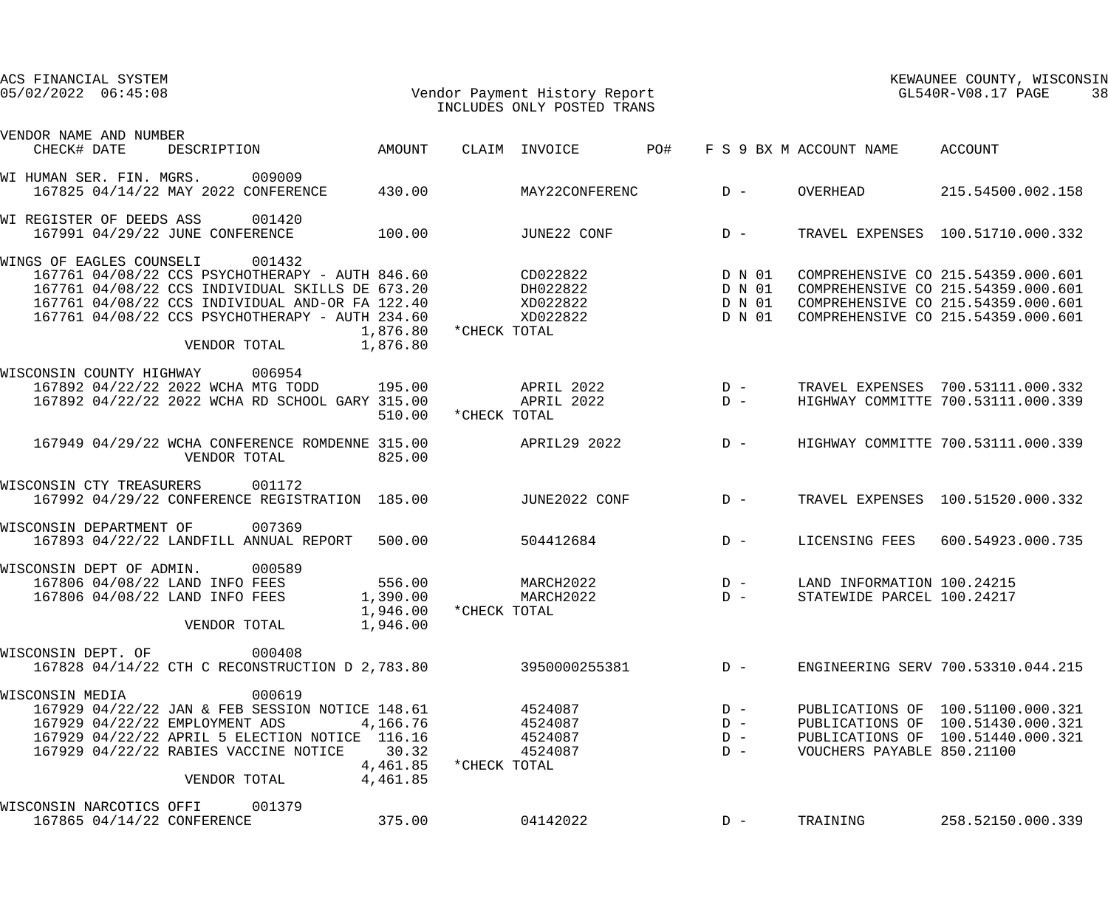| ACS FINANCIAL SYSTEM<br>$05/02/2022$ $06:45:08$                                                                                                                                                                                      | Vendor Payment History Report<br>Tier Uppe ONIX DOSTED TRANS |                                            |              | INCLUDES ONLY POSTED TRANS                          |       |                                                 |                                                          | KEWAUNEE COUNTY, WISCONSIN<br>GL540R-V08.17 PAGE                                                                                                     | 38 |
|--------------------------------------------------------------------------------------------------------------------------------------------------------------------------------------------------------------------------------------|--------------------------------------------------------------|--------------------------------------------|--------------|-----------------------------------------------------|-------|-------------------------------------------------|----------------------------------------------------------|------------------------------------------------------------------------------------------------------------------------------------------------------|----|
| VENDOR NAME AND NUMBER<br>DESCRIPTION<br>CHECK# DATE                                                                                                                                                                                 | AMOUNT                                                       |                                            |              | CLAIM INVOICE                                       | PO#   |                                                 | F S 9 BX M ACCOUNT NAME                                  | ACCOUNT                                                                                                                                              |    |
|                                                                                                                                                                                                                                      |                                                              |                                            |              |                                                     |       |                                                 |                                                          |                                                                                                                                                      |    |
| WI HUMAN SER. FIN. MGRS.<br>167825 04/14/22 MAY 2022 CONFERENCE                                                                                                                                                                      | 009009                                                       | 430.00                                     |              | MAY22CONFERENC                                      | $D -$ |                                                 | OVERHEAD                                                 | 215.54500.002.158                                                                                                                                    |    |
| WI REGISTER OF DEEDS ASS<br>167991 04/29/22 JUNE CONFERENCE                                                                                                                                                                          | 001420<br>100.00                                             |                                            |              | JUNE22 CONF                                         |       | $D -$                                           |                                                          | TRAVEL EXPENSES 100.51710.000.332                                                                                                                    |    |
| WINGS OF EAGLES COUNSELI<br>167761 04/08/22 CCS PSYCHOTHERAPY - AUTH 846.60<br>167761 04/08/22 CCS INDIVIDUAL SKILLS DE 673.20<br>167761 04/08/22 CCS INDIVIDUAL AND-OR FA 122.40<br>167761 04/08/22 CCS PSYCHOTHERAPY - AUTH 234.60 | 001432<br>VENDOR TOTAL                                       | 1,876.80<br>1,876.80                       | *CHECK TOTAL | CD022822 D N 01<br>DH022822<br>XD022822<br>XD022822 |       | D N 01<br>D N 01<br>D N 01                      |                                                          | COMPREHENSIVE CO 215.54359.000.601<br>COMPREHENSIVE CO 215.54359.000.601<br>COMPREHENSIVE CO 215.54359.000.601<br>COMPREHENSIVE CO 215.54359.000.601 |    |
| WISCONSIN COUNTY HIGHWAY<br>167892 04/22/22 2022 WCHA MTG TODD 195.00<br>167892 04/22/22 2022 WCHA RD SCHOOL GARY 315.00                                                                                                             | 006954                                                       | 510.00                                     | *CHECK TOTAL | APRIL 2022<br>APRIL 2022                            |       | $\begin{array}{c}\nD & - \\ D & -\n\end{array}$ |                                                          | TRAVEL EXPENSES 700.53111.000.332<br>HIGHWAY COMMITTE 700.53111.000.339                                                                              |    |
| 167949 04/29/22 WCHA CONFERENCE ROMDENNE 315.00                                                                                                                                                                                      | VENDOR TOTAL                                                 | 825.00                                     |              | APRIL29 2022                                        |       | $D -$                                           |                                                          | HIGHWAY COMMITTE 700.53111.000.339                                                                                                                   |    |
| WISCONSIN CTY TREASURERS<br>167992 04/29/22 CONFERENCE REGISTRATION 185.00                                                                                                                                                           | 001172                                                       |                                            |              | JUNE2022 CONF                                       |       | $D -$                                           |                                                          | TRAVEL EXPENSES 100.51520.000.332                                                                                                                    |    |
| WISCONSIN DEPARTMENT OF<br>167893 04/22/22 LANDFILL ANNUAL REPORT 500.00                                                                                                                                                             | 007369                                                       |                                            |              | 504412684                                           |       | $D -$                                           | LICENSING FEES                                           | 600.54923.000.735                                                                                                                                    |    |
| WISCONSIN DEPT OF ADMIN.<br>167806 04/08/22 LAND INFO FEES<br>167806 04/08/22 LAND INFO FEES                                                                                                                                         | 000589<br>VENDOR TOTAL                                       | 556.00<br>1,390.00<br>1,946.00<br>1,946.00 | *CHECK TOTAL | MARCH2022<br>MARCH2022                              |       | $D -$<br>$D -$                                  | LAND INFORMATION 100.24215<br>STATEWIDE PARCEL 100.24217 |                                                                                                                                                      |    |
| WISCONSIN DEPT. OF<br>167828 04/14/22 CTH C RECONSTRUCTION D 2,783.80                                                                                                                                                                | 000408                                                       |                                            |              | 3950000255381                                       |       | $D -$                                           |                                                          | ENGINEERING SERV 700.53310.044.215                                                                                                                   |    |
| WISCONSIN MEDIA<br>167929 04/22/22 JAN & FEB SESSION NOTICE 148.61<br>167929 04/22/22 EMPLOYMENT ADS<br>167929 04/22/22 APRIL 5 ELECTION NOTICE 116.16<br>167929 04/22/22 RABIES VACCINE NOTICE                                      | 000619<br>VENDOR TOTAL                                       | 4,166.76<br>30.32<br>4,461.85<br>4,461.85  | *CHECK TOTAL | 4524087<br>4524087<br>4524087<br>4524087            |       | $D -$<br>$D -$<br>$D -$<br>$D -$                | VOUCHERS PAYABLE 850.21100                               | PUBLICATIONS OF 100.51100.000.321<br>PUBLICATIONS OF 100.51430.000.321<br>PUBLICATIONS OF 100.51440.000.321                                          |    |
| WISCONSIN NARCOTICS OFFI<br>167865 04/14/22 CONFERENCE                                                                                                                                                                               | 001379                                                       | 375.00                                     |              | 04142022                                            |       | $D -$                                           | TRAINING                                                 | 258.52150.000.339                                                                                                                                    |    |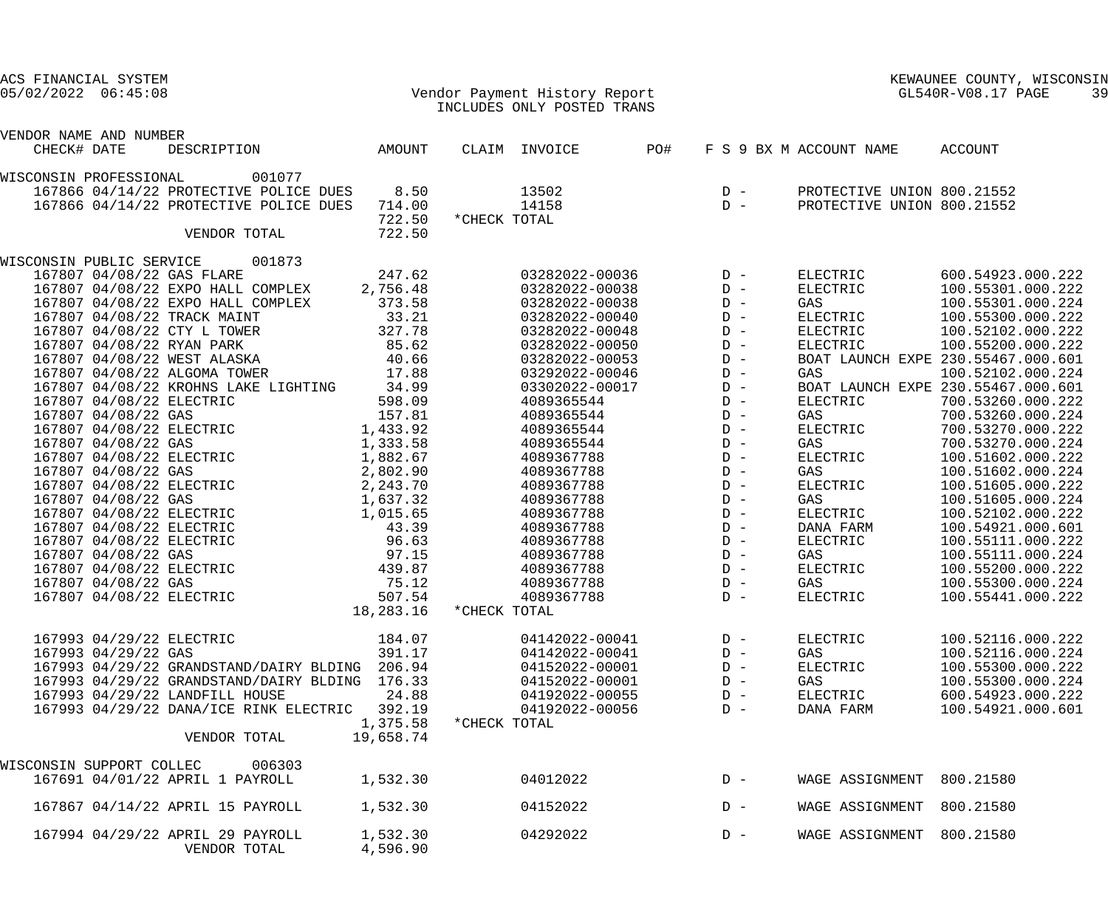| ACS FINANCIAL SYSTEM<br>$05/02/2022$ $06:45:08$ |                     |                                                |                                    |              | Vendor Payment History Report<br>INCLUDES ONLY POSTED TRANS |     |       |                            | KEWAUNEE COUNTY, WISCONSIN<br>GL540R-V08.17 PAGE | 39 |
|-------------------------------------------------|---------------------|------------------------------------------------|------------------------------------|--------------|-------------------------------------------------------------|-----|-------|----------------------------|--------------------------------------------------|----|
| VENDOR NAME AND NUMBER                          |                     |                                                |                                    |              |                                                             |     |       |                            |                                                  |    |
| CHECK# DATE                                     |                     | DESCRIPTION                                    | AMOUNT                             |              | CLAIM INVOICE                                               | PO# |       | F S 9 BX M ACCOUNT NAME    | ACCOUNT                                          |    |
| WISCONSIN PROFESSIONAL                          |                     | 001077                                         |                                    |              |                                                             |     |       |                            |                                                  |    |
|                                                 |                     | 167866 04/14/22 PROTECTIVE POLICE DUES         | 8.50                               |              | 13502                                                       |     | $D -$ | PROTECTIVE UNION 800.21552 |                                                  |    |
|                                                 |                     | 167866 04/14/22 PROTECTIVE POLICE DUES         | 714.00                             |              | 14158                                                       |     | $D -$ | PROTECTIVE UNION 800.21552 |                                                  |    |
|                                                 |                     | VENDOR TOTAL                                   | 722.50<br>722.50                   | *CHECK TOTAL |                                                             |     |       |                            |                                                  |    |
| WISCONSIN PUBLIC SERVICE                        |                     | 001873                                         |                                    |              |                                                             |     |       |                            |                                                  |    |
|                                                 |                     | 167807 04/08/22 GAS FLARE                      | 247.62                             |              | 03282022-00036                                              |     | $D -$ | ELECTRIC                   | 600.54923.000.222                                |    |
|                                                 |                     | 167807 04/08/22 EXPO HALL COMPLEX              | 2,756.48                           |              | 03282022-00038                                              |     | $D -$ | ELECTRIC                   | 100.55301.000.222                                |    |
|                                                 |                     | 167807 04/08/22 EXPO HALL COMPLEX              | 373.58                             |              | 03282022-00038                                              |     | $D -$ | GAS                        | 100.55301.000.224                                |    |
|                                                 |                     | 167807 04/08/22 TRACK MAINT                    | 33.21                              |              | 03282022-00040                                              |     | $D -$ | ELECTRIC                   | 100.55300.000.222                                |    |
|                                                 |                     | 167807 04/08/22 CTY L TOWER                    | 327.78                             |              | 03282022-00048                                              |     | $D -$ | ELECTRIC                   | 100.52102.000.222                                |    |
|                                                 |                     | 167807 04/08/22 RYAN PARK                      | 85.62                              |              | 03282022-00050                                              |     | $D -$ | ELECTRIC                   | 100.55200.000.222                                |    |
|                                                 |                     | 167807 04/08/22 WEST ALASKA                    | 40.66                              |              | 03282022-00053                                              |     | $D -$ |                            | BOAT LAUNCH EXPE 230.55467.000.601               |    |
|                                                 |                     | 167807 04/08/22 ALGOMA TOWER                   | 17.88                              |              | 03292022-00046                                              |     | $D -$ | GAS                        | 100.52102.000.224                                |    |
|                                                 |                     | 167807 04/08/22 KROHNS LAKE LIGHTING           | 34.99                              |              | 03302022-00017                                              |     | $D -$ |                            | BOAT LAUNCH EXPE 230.55467.000.601               |    |
|                                                 |                     | 167807 04/08/22 ELECTRIC                       | 598.09                             |              | 4089365544                                                  |     | $D -$ | ELECTRIC                   | 700.53260.000.222                                |    |
|                                                 | 167807 04/08/22 GAS |                                                | 157.81                             |              | 4089365544                                                  |     | $D -$ | GAS                        | 700.53260.000.224                                |    |
|                                                 |                     | 167807 04/08/22 ELECTRIC 1,433.92              |                                    |              | 4089365544                                                  |     | $D -$ | ELECTRIC                   | 700.53270.000.222                                |    |
|                                                 | 167807 04/08/22 GAS |                                                | 1,333.58                           |              | 4089365544                                                  |     | $D -$ | GAS                        | 700.53270.000.224                                |    |
|                                                 |                     | 167807 04/08/22 ELECTRIC                       | 1,882.67                           |              | 4089367788                                                  |     | $D -$ | ELECTRIC                   | 100.51602.000.222                                |    |
|                                                 | 167807 04/08/22 GAS |                                                | 2,802.90                           |              | 4089367788                                                  |     | $D -$ | GAS                        | 100.51602.000.224                                |    |
|                                                 |                     | 167807 04/08/22 ELECTRIC                       | 2,243.70                           |              | 4089367788                                                  |     | $D -$ | ELECTRIC                   | 100.51605.000.222                                |    |
|                                                 | 167807 04/08/22 GAS |                                                | 1,637.32                           |              | 4089367788                                                  |     | $D -$ | GAS                        | 100.51605.000.224                                |    |
|                                                 |                     | 167807 04/08/22 ELECTRIC                       | 1,015.65                           |              | 4089367788                                                  |     | $D -$ | ELECTRIC                   | 100.52102.000.222                                |    |
|                                                 |                     | 167807 04/08/22 ELECTRIC                       | 43.39                              |              | 4089367788                                                  |     | $D -$ | DANA FARM                  | 100.54921.000.601                                |    |
|                                                 |                     | 167807 04/08/22 ELECTRIC                       | 96.63                              |              | 4089367788                                                  |     | $D -$ | ELECTRIC                   | 100.55111.000.222                                |    |
|                                                 | 167807 04/08/22 GAS |                                                | 97.15                              |              | 4089367788                                                  |     | $D -$ | GAS                        | 100.55111.000.224                                |    |
|                                                 |                     | 167807 04/08/22 ELECTRIC                       | 439.87                             |              | 4089367788                                                  |     | $D -$ | ELECTRIC                   | 100.55200.000.222                                |    |
|                                                 | 167807 04/08/22 GAS |                                                | 75.12                              |              | 4089367788                                                  |     | $D -$ | GAS                        | 100.55300.000.224                                |    |
|                                                 |                     | 167807 04/08/22 ELECTRIC                       | 507.54                             |              | 4089367788                                                  |     | $D -$ | ELECTRIC                   | 100.55441.000.222                                |    |
|                                                 |                     |                                                | 18,283.16                          | *CHECK TOTAL |                                                             |     |       |                            |                                                  |    |
|                                                 |                     |                                                |                                    |              |                                                             |     |       |                            |                                                  |    |
|                                                 |                     | 167993 04/29/22 ELECTRIC                       | 184.07                             |              | 04142022-00041                                              |     | $D -$ | ELECTRIC                   | 100.52116.000.222                                |    |
|                                                 | 167993 04/29/22 GAS |                                                | 391.17                             |              | 04142022-00041                                              |     | $D -$ | GAS                        | 100.52116.000.224                                |    |
|                                                 |                     | 167993 04/29/22 GRANDSTAND/DAIRY BLDING 206.94 |                                    |              | 04152022-00001                                              |     | $D -$ | ELECTRIC                   | 100.55300.000.222                                |    |
|                                                 |                     | 167993 04/29/22 GRANDSTAND/DAIRY BLDING 176.33 |                                    |              | 04152022-00001                                              |     | $D -$ | GAS                        | 100.55300.000.224                                |    |
|                                                 |                     | 167993 04/29/22 LANDFILL HOUSE                 | 24.88                              |              | 04192022-00055                                              |     | $D -$ | ELECTRIC                   | 600.54923.000.222                                |    |
|                                                 |                     | 167993 04/29/22 DANA/ICE RINK ELECTRIC 392.19  |                                    |              | 04192022-00056                                              |     | $D -$ | DANA FARM                  | 100.54921.000.601                                |    |
|                                                 |                     | VENDOR TOTAL                                   | 1,375.58 *CHECK TOTAL<br>19,658.74 |              |                                                             |     |       |                            |                                                  |    |
|                                                 |                     |                                                |                                    |              |                                                             |     |       |                            |                                                  |    |
| WISCONSIN SUPPORT COLLEC                        |                     | 006303                                         |                                    |              |                                                             |     |       |                            |                                                  |    |
|                                                 |                     | 167691 04/01/22 APRIL 1 PAYROLL                | 1,532.30                           |              | 04012022                                                    |     | $D -$ | WAGE ASSIGNMENT            | 800.21580                                        |    |
|                                                 |                     | 167867 04/14/22 APRIL 15 PAYROLL               | 1,532.30                           |              | 04152022                                                    |     | $D -$ | WAGE ASSIGNMENT            | 800.21580                                        |    |
|                                                 |                     | 167994 04/29/22 APRIL 29 PAYROLL               | 1,532.30                           |              | 04292022                                                    |     | $D -$ | WAGE ASSIGNMENT            | 800.21580                                        |    |
|                                                 |                     | VENDOR TOTAL                                   | 4,596.90                           |              |                                                             |     |       |                            |                                                  |    |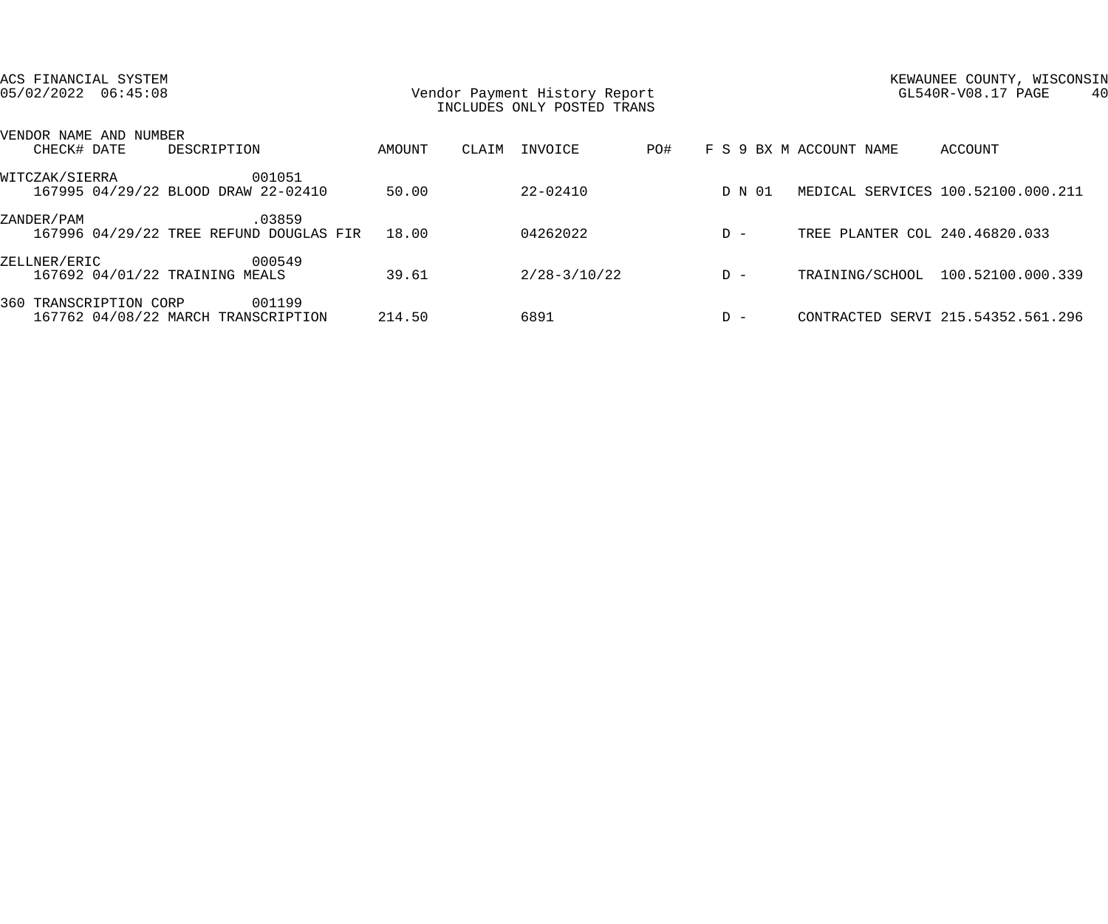| ACS FINANCIAL SYSTEM<br>$05/02/2022$ $06:45:08$               |        | Vendor Payment History Report<br>INCLUDES ONLY POSTED TRANS |       |                  |     |        | KEWAUNEE COUNTY, WISCONSIN<br>GL540R-V08.17 PAGE<br>40 |                                    |  |
|---------------------------------------------------------------|--------|-------------------------------------------------------------|-------|------------------|-----|--------|--------------------------------------------------------|------------------------------------|--|
| VENDOR NAME AND NUMBER<br>CHECK# DATE<br>DESCRIPTION          |        | AMOUNT                                                      | CLAIM | INVOICE          | PO# |        | F S 9 BX M ACCOUNT NAME                                | ACCOUNT                            |  |
| WITCZAK/SIERRA<br>167995 04/29/22 BLOOD DRAW 22-02410         | 001051 | 50.00                                                       |       | 22-02410         |     | D N 01 |                                                        | MEDICAL SERVICES 100.52100.000.211 |  |
| ZANDER/PAM<br>167996 04/29/22 TREE REFUND DOUGLAS FIR         | .03859 | 18.00                                                       |       | 04262022         |     | $D -$  | TREE PLANTER COL 240.46820.033                         |                                    |  |
| ZELLNER/ERIC<br>167692 04/01/22 TRAINING MEALS                | 000549 | 39.61                                                       |       | $2/28 - 3/10/22$ |     | $D -$  |                                                        | TRAINING/SCHOOL 100.52100.000.339  |  |
| 360 TRANSCRIPTION CORP<br>167762 04/08/22 MARCH TRANSCRIPTION | 001199 | 214.50                                                      |       | 6891             |     | $D -$  |                                                        | CONTRACTED SERVI 215.54352.561.296 |  |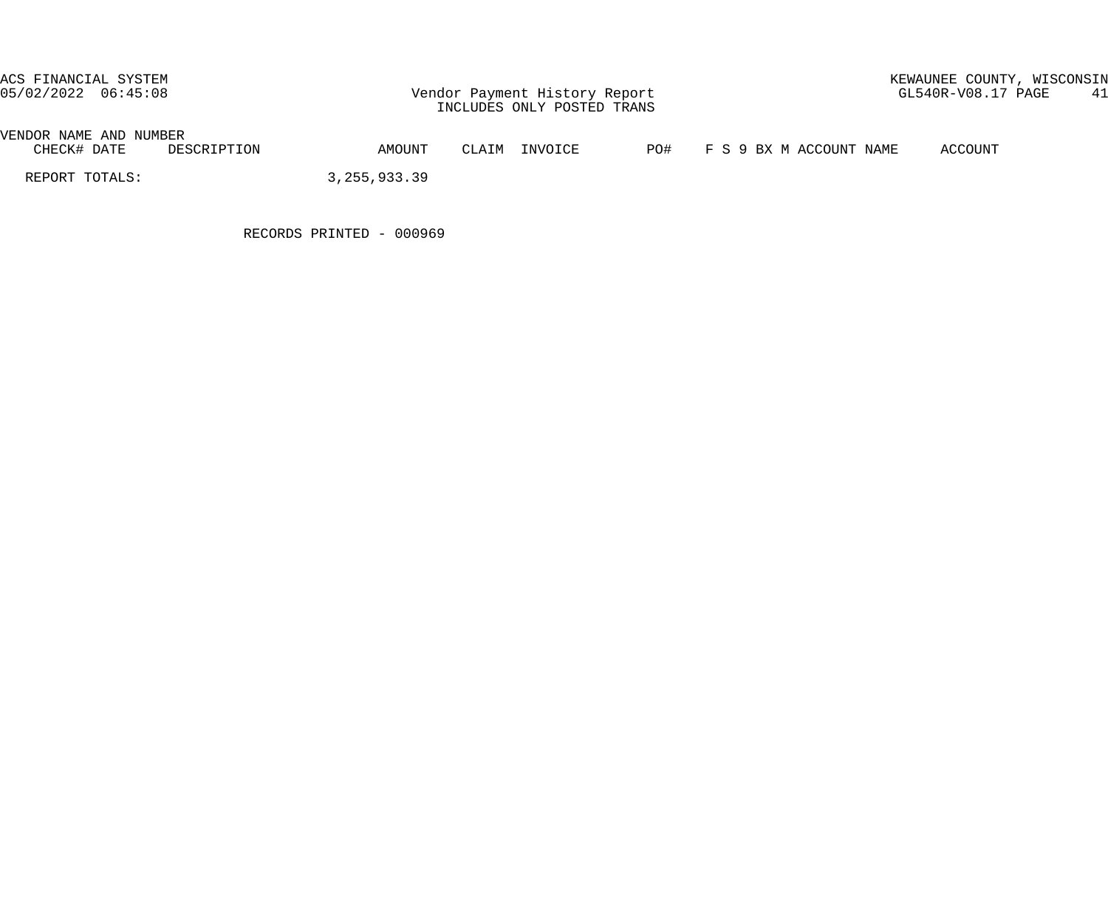## ACS FINANCIAL SYSTEM<br>05/02/2022 06:45:08 Vendor Payment History Report GL540R-V08.17 PAGE 41

| VENDOR<br>AND<br>NAME | NUMBER               |               |          |     |                                  |                                |
|-----------------------|----------------------|---------------|----------|-----|----------------------------------|--------------------------------|
| CHECK#<br>DATE        | LON<br>しせんしゃ<br>חס : | <b>AMOUNT</b> | TNN/OTCE | PO# | NAME<br>ACCOINT<br>BX<br>M<br>്പ | COUNT <sup>-</sup><br>$\cdots$ |

REPORT TOTALS: 3,255,933.39

RECORDS PRINTED - 000969